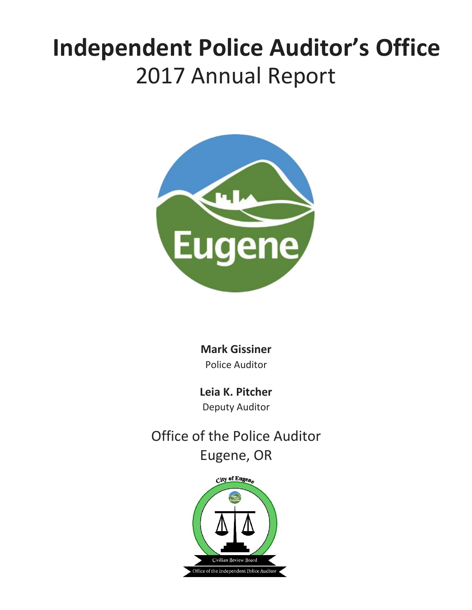## **Independent Police Auditor's Office** 2017 Annual Report



**Mark Gissiner** Police Auditor

**Leia K. Pitcher** Deputy Auditor

Office of the Police Auditor Eugene, OR

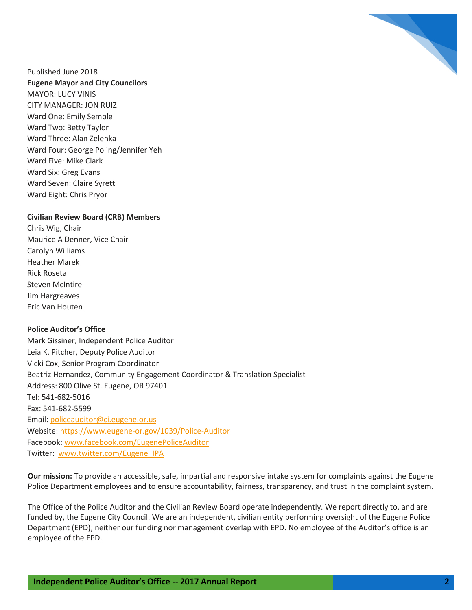

Published June 2018 **Eugene Mayor and City Councilors** MAYOR: LUCY VINIS CITY MANAGER: JON RUIZ Ward One: Emily Semple Ward Two: Betty Taylor Ward Three: Alan Zelenka Ward Four: George Poling/Jennifer Yeh Ward Five: Mike Clark Ward Six: Greg Evans Ward Seven: Claire Syrett Ward Eight: Chris Pryor

#### **Civilian Review Board (CRB) Members**

Chris Wig, Chair Maurice A Denner, Vice Chair Carolyn Williams Heather Marek Rick Roseta Steven McIntire Jim Hargreaves Eric Van Houten

#### **Police Auditor's Office**

Mark Gissiner, Independent Police Auditor Leia K. Pitcher, Deputy Police Auditor Vicki Cox, Senior Program Coordinator Beatriz Hernandez, Community Engagement Coordinator & Translation Specialist Address: 800 Olive St. Eugene, OR 97401 Tel: 541-682-5016 Fax: 541-682-5599 Email: [policeauditor@ci.eugene.or.us](mailto:policeauditor@ci.eugene.or.us) Website[: https://www.eugene-or.gov/1039/Police-Auditor](https://www.eugene-or.gov/1039/Police-Auditor) Facebook[: www.facebook.com/EugenePoliceAuditor](http://www.facebook.com/EugenePoliceAuditor) Twitter: [www.twitter.com/Eugene\\_IPA](http://www.twitter.com/Eugene_IPA)

**Our mission:** To provide an accessible, safe, impartial and responsive intake system for complaints against the Eugene Police Department employees and to ensure accountability, fairness, transparency, and trust in the complaint system.

The Office of the Police Auditor and the Civilian Review Board operate independently. We report directly to, and are funded by, the Eugene City Council. We are an independent, civilian entity performing oversight of the Eugene Police Department (EPD); neither our funding nor management overlap with EPD. No employee of the Auditor's office is an employee of the EPD.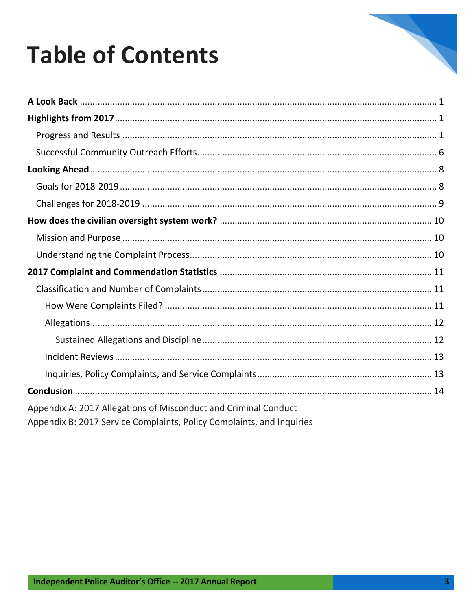# 

# **Table of Contents**

| Appendix A: 2017 Allegations of Misconduct and Criminal Conduct<br>Appendix B: 2017 Service Complaints, Policy Complaints, and Inquiries |
|------------------------------------------------------------------------------------------------------------------------------------------|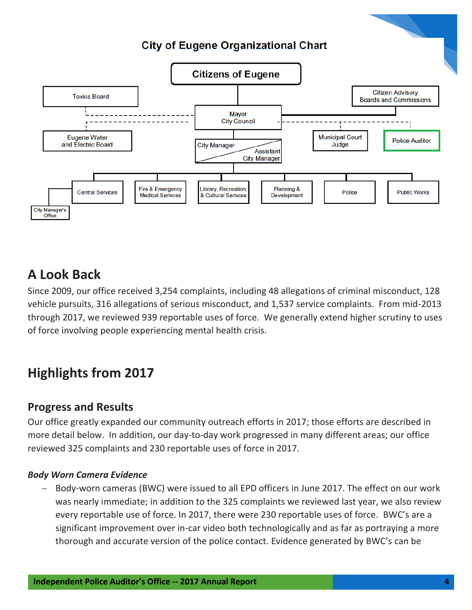## **City of Eugene Organizational Chart**



## **A Look Back**

Since 2009, our office received 3,254 complaints, including 48 allegations of criminal misconduct, 128 vehicle pursuits, 316 allegations of serious misconduct, and 1,537 service complaints. From mid-2013 through 2017, we reviewed 939 reportable uses of force. We generally extend higher scrutiny to uses of force involving people experiencing mental health crisis.

## **Highlights from 2017**

### **Progress and Results**

Our office greatly expanded our community outreach efforts in 2017; those efforts are described in more detail below. In addition, our day-to-day work progressed in many different areas; our office reviewed 325 complaints and 230 reportable uses of force in 2017.

#### *Body Worn Camera Evidence*

 Body-worn cameras (BWC) were issued to all EPD officers in June 2017. The effect on our work was nearly immediate; in addition to the 325 complaints we reviewed last year, we also review every reportable use of force. In 2017, there were 230 reportable uses of force. BWC's are a significant improvement over in-car video both technologically and as far as portraying a more thorough and accurate version of the police contact. Evidence generated by BWC's can be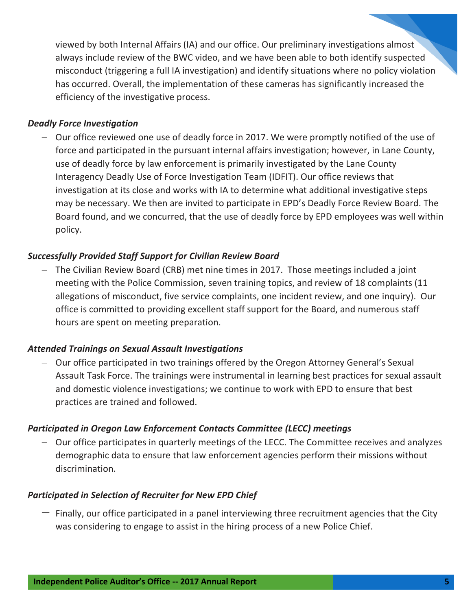viewed by both Internal Affairs (IA) and our office. Our preliminary investigations almost always include review of the BWC video, and we have been able to both identify suspected misconduct (triggering a full IA investigation) and identify situations where no policy violation has occurred. Overall, the implementation of these cameras has significantly increased the efficiency of the investigative process.

#### *Deadly Force Investigation*

 Our office reviewed one use of deadly force in 2017. We were promptly notified of the use of force and participated in the pursuant internal affairs investigation; however, in Lane County, use of deadly force by law enforcement is primarily investigated by the Lane County Interagency Deadly Use of Force Investigation Team (IDFIT). Our office reviews that investigation at its close and works with IA to determine what additional investigative steps may be necessary. We then are invited to participate in EPD's Deadly Force Review Board. The Board found, and we concurred, that the use of deadly force by EPD employees was well within policy.

#### *Successfully Provided Staff Support for Civilian Review Board*

 The Civilian Review Board (CRB) met nine times in 2017. Those meetings included a joint meeting with the Police Commission, seven training topics, and review of 18 complaints (11 allegations of misconduct, five service complaints, one incident review, and one inquiry). Our office is committed to providing excellent staff support for the Board, and numerous staff hours are spent on meeting preparation.

#### *Attended Trainings on Sexual Assault Investigations*

 Our office participated in two trainings offered by the Oregon Attorney General's Sexual Assault Task Force. The trainings were instrumental in learning best practices for sexual assault and domestic violence investigations; we continue to work with EPD to ensure that best practices are trained and followed.

#### *Participated in Oregon Law Enforcement Contacts Committee (LECC) meetings*

 Our office participates in quarterly meetings of the LECC. The Committee receives and analyzes demographic data to ensure that law enforcement agencies perform their missions without discrimination.

#### *Participated in Selection of Recruiter for New EPD Chief*

 $-$  Finally, our office participated in a panel interviewing three recruitment agencies that the City was considering to engage to assist in the hiring process of a new Police Chief.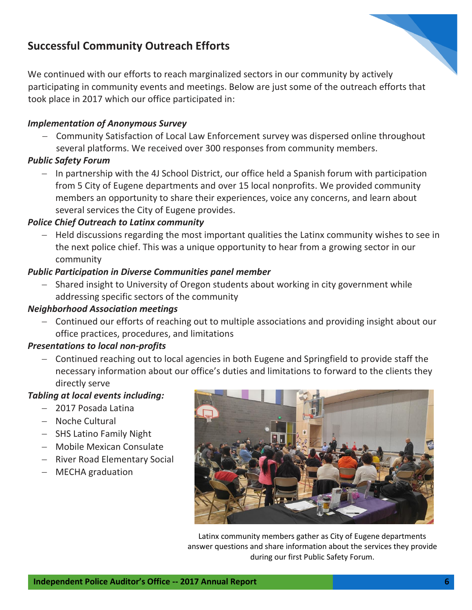## **Successful Community Outreach Efforts**

We continued with our efforts to reach marginalized sectors in our community by actively participating in community events and meetings. Below are just some of the outreach efforts that took place in 2017 which our office participated in:

#### *Implementation of Anonymous Survey*

- Community Satisfaction of Local Law Enforcement survey was dispersed online throughout several platforms. We received over 300 responses from community members.

#### *Public Safety Forum*

 $-$  In partnership with the 4J School District, our office held a Spanish forum with participation from 5 City of Eugene departments and over 15 local nonprofits. We provided community members an opportunity to share their experiences, voice any concerns, and learn about several services the City of Eugene provides.

#### *Police Chief Outreach to Latinx community*

 $-$  Held discussions regarding the most important qualities the Latinx community wishes to see in the next police chief. This was a unique opportunity to hear from a growing sector in our community

#### *Public Participation in Diverse Communities panel member*

 Shared insight to University of Oregon students about working in city government while addressing specific sectors of the community

#### *Neighborhood Association meetings*

 Continued our efforts of reaching out to multiple associations and providing insight about our office practices, procedures, and limitations

#### *Presentations to local non-profits*

 Continued reaching out to local agencies in both Eugene and Springfield to provide staff the necessary information about our office's duties and limitations to forward to the clients they directly serve

#### *Tabling at local events including:*

- 2017 Posada Latina
- Noche Cultural
- SHS Latino Family Night
- Mobile Mexican Consulate
- River Road Elementary Social
- MECHA graduation



Latinx community members gather as City of Eugene departments answer questions and share information about the services they provide during our first Public Safety Forum.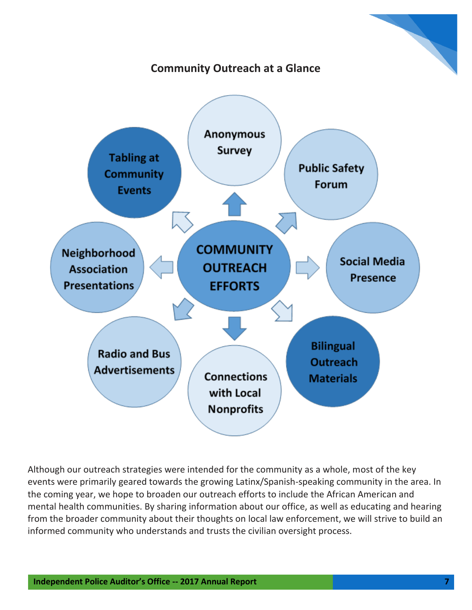

## **Community Outreach at a Glance**



Although our outreach strategies were intended for the community as a whole, most of the key events were primarily geared towards the growing Latinx/Spanish-speaking community in the area. In the coming year, we hope to broaden our outreach efforts to include the African American and mental health communities. By sharing information about our office, as well as educating and hearing from the broader community about their thoughts on local law enforcement, we will strive to build an informed community who understands and trusts the civilian oversight process.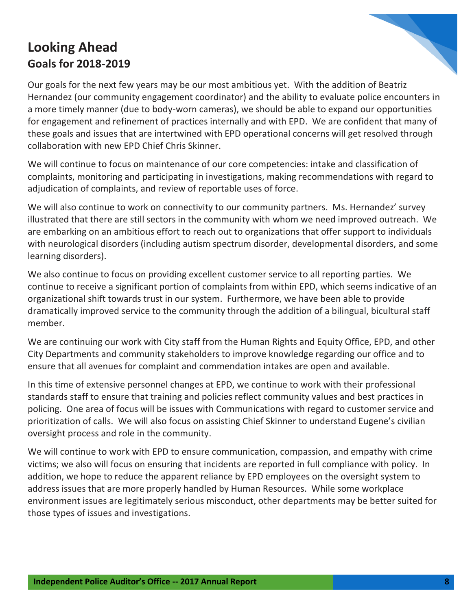## **Looking Ahead Goals for 2018-2019**



Our goals for the next few years may be our most ambitious yet. With the addition of Beatriz Hernandez (our community engagement coordinator) and the ability to evaluate police encounters in a more timely manner (due to body-worn cameras), we should be able to expand our opportunities for engagement and refinement of practices internally and with EPD. We are confident that many of these goals and issues that are intertwined with EPD operational concerns will get resolved through collaboration with new EPD Chief Chris Skinner.

We will continue to focus on maintenance of our core competencies: intake and classification of complaints, monitoring and participating in investigations, making recommendations with regard to adjudication of complaints, and review of reportable uses of force.

We will also continue to work on connectivity to our community partners. Ms. Hernandez' survey illustrated that there are still sectors in the community with whom we need improved outreach. We are embarking on an ambitious effort to reach out to organizations that offer support to individuals with neurological disorders (including autism spectrum disorder, developmental disorders, and some learning disorders).

We also continue to focus on providing excellent customer service to all reporting parties. We continue to receive a significant portion of complaints from within EPD, which seems indicative of an organizational shift towards trust in our system. Furthermore, we have been able to provide dramatically improved service to the community through the addition of a bilingual, bicultural staff member.

We are continuing our work with City staff from the Human Rights and Equity Office, EPD, and other City Departments and community stakeholders to improve knowledge regarding our office and to ensure that all avenues for complaint and commendation intakes are open and available.

In this time of extensive personnel changes at EPD, we continue to work with their professional standards staff to ensure that training and policies reflect community values and best practices in policing. One area of focus will be issues with Communications with regard to customer service and prioritization of calls. We will also focus on assisting Chief Skinner to understand Eugene's civilian oversight process and role in the community.

We will continue to work with EPD to ensure communication, compassion, and empathy with crime victims; we also will focus on ensuring that incidents are reported in full compliance with policy. In addition, we hope to reduce the apparent reliance by EPD employees on the oversight system to address issues that are more properly handled by Human Resources. While some workplace environment issues are legitimately serious misconduct, other departments may be better suited for those types of issues and investigations.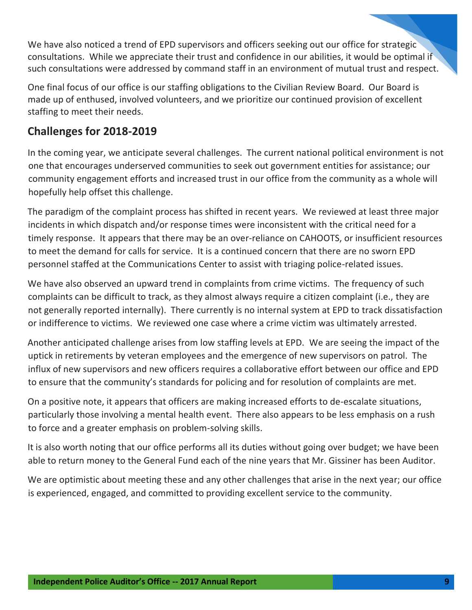We have also noticed a trend of EPD supervisors and officers seeking out our office for strategic consultations. While we appreciate their trust and confidence in our abilities, it would be optimal if such consultations were addressed by command staff in an environment of mutual trust and respect.

One final focus of our office is our staffing obligations to the Civilian Review Board. Our Board is made up of enthused, involved volunteers, and we prioritize our continued provision of excellent staffing to meet their needs.

## **Challenges for 2018-2019**

In the coming year, we anticipate several challenges. The current national political environment is not one that encourages underserved communities to seek out government entities for assistance; our community engagement efforts and increased trust in our office from the community as a whole will hopefully help offset this challenge.

The paradigm of the complaint process has shifted in recent years. We reviewed at least three major incidents in which dispatch and/or response times were inconsistent with the critical need for a timely response. It appears that there may be an over-reliance on CAHOOTS, or insufficient resources to meet the demand for calls for service. It is a continued concern that there are no sworn EPD personnel staffed at the Communications Center to assist with triaging police-related issues.

We have also observed an upward trend in complaints from crime victims. The frequency of such complaints can be difficult to track, as they almost always require a citizen complaint (i.e., they are not generally reported internally). There currently is no internal system at EPD to track dissatisfaction or indifference to victims. We reviewed one case where a crime victim was ultimately arrested.

Another anticipated challenge arises from low staffing levels at EPD. We are seeing the impact of the uptick in retirements by veteran employees and the emergence of new supervisors on patrol. The influx of new supervisors and new officers requires a collaborative effort between our office and EPD to ensure that the community's standards for policing and for resolution of complaints are met.

On a positive note, it appears that officers are making increased efforts to de-escalate situations, particularly those involving a mental health event. There also appears to be less emphasis on a rush to force and a greater emphasis on problem-solving skills.

It is also worth noting that our office performs all its duties without going over budget; we have been able to return money to the General Fund each of the nine years that Mr. Gissiner has been Auditor.

We are optimistic about meeting these and any other challenges that arise in the next year; our office is experienced, engaged, and committed to providing excellent service to the community.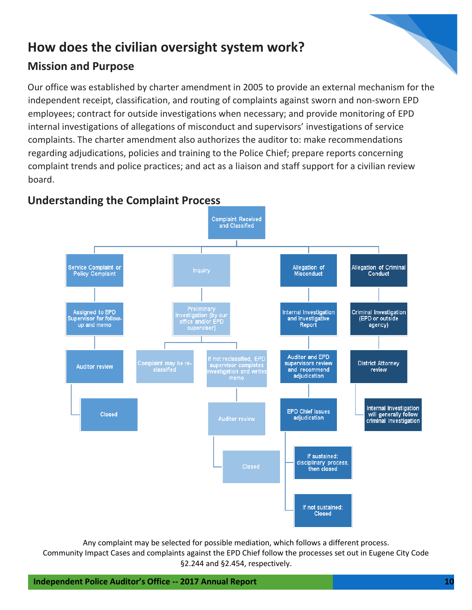## **How does the civilian oversight system work?**

## **Mission and Purpose**

Our office was established by charter amendment in 2005 to provide an external mechanism for the independent receipt, classification, and routing of complaints against sworn and non-sworn EPD employees; contract for outside investigations when necessary; and provide monitoring of EPD internal investigations of allegations of misconduct and supervisors' investigations of service complaints. The charter amendment also authorizes the auditor to: make recommendations regarding adjudications, policies and training to the Police Chief; prepare reports concerning complaint trends and police practices; and act as a liaison and staff support for a civilian review board.



## **Understanding the Complaint Process**

Any complaint may be selected for possible mediation, which follows a different process.

Community Impact Cases and complaints against the EPD Chief follow the processes set out in Eugene City Code §2.244 and §2.454, respectively.

**Independent Police Auditor's Office -- 2017 Annual Report 10**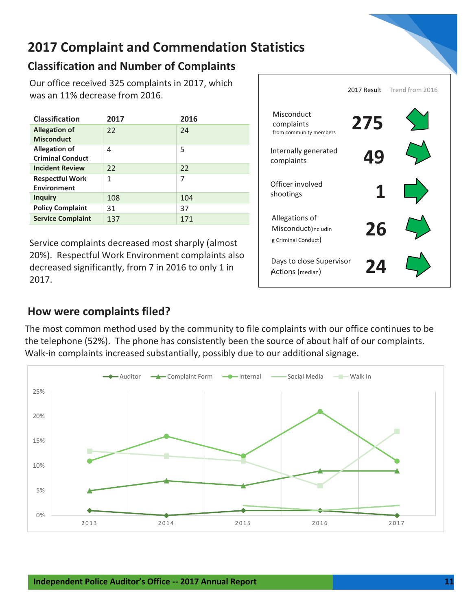

## **2017 Complaint and Commendation Statistics**

## **Classification and Number of Complaints**

Our office received 325 complaints in 2017, which was an 11% decrease from 2016.

| <b>Classification</b>                           | 2017 | 2016 |
|-------------------------------------------------|------|------|
| <b>Allegation of</b><br><b>Misconduct</b>       | 22   | 24   |
| <b>Allegation of</b><br><b>Criminal Conduct</b> | 4    | 5    |
| <b>Incident Review</b>                          | 22   | 22   |
| <b>Respectful Work</b><br><b>Environment</b>    | 1    | 7    |
| <b>Inquiry</b>                                  | 108  | 104  |
| <b>Policy Complaint</b>                         | 31   | 37   |
| <b>Service Complaint</b>                        | 137  | 171  |

Service complaints decreased most sharply (almost 20%). Respectful Work Environment complaints also decreased significantly, from 7 in 2016 to only 1 in 2017.

|                                                              | 2017 Result | Trend from 2016 |
|--------------------------------------------------------------|-------------|-----------------|
| Misconduct<br>complaints<br>from community members           | 275         |                 |
| Internally generated<br>complaints                           | 49          |                 |
| Officer involved<br>shootings                                |             |                 |
| Allegations of<br>Misconduct(includin<br>g Criminal Conduct) | 26          |                 |
| Days to close Supervisor<br>Actions (median)                 | 74          |                 |

**How were complaints filed?**

The most common method used by the community to file complaints with our office continues to be the telephone (52%). The phone has consistently been the source of about half of our complaints. Walk-in complaints increased substantially, possibly due to our additional signage.

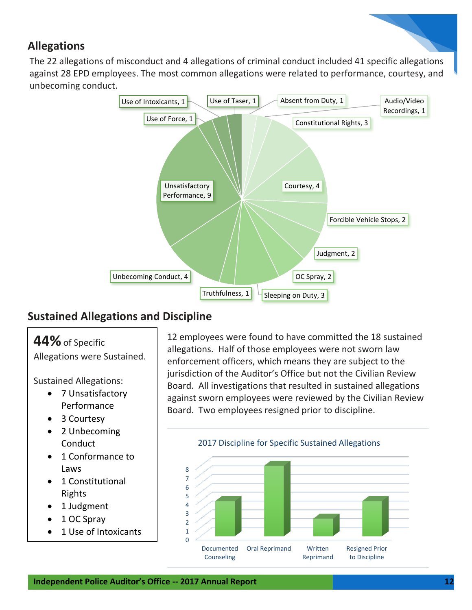## **Allegations**

The 22 allegations of misconduct and 4 allegations of criminal conduct included 41 specific allegations against 28 EPD employees. The most common allegations were related to performance, courtesy, and unbecoming conduct.



## **Sustained Allegations and Discipline**

## **44%**of Specific

Allegations were Sustained.

Sustained Allegations:

- 7 Unsatisfactory Performance
- 3 Courtesy
- 2 Unbecoming **Conduct**
- 1 Conformance to Laws
- 1 Constitutional Rights
- 1 Judgment
- 1 OC Spray
- 1 Use of Intoxicants

12 employees were found to have committed the 18 sustained allegations. Half of those employees were not sworn law enforcement officers, which means they are subject to the jurisdiction of the Auditor's Office but not the Civilian Review Board. All investigations that resulted in sustained allegations against sworn employees were reviewed by the Civilian Review Board. Two employees resigned prior to discipline.

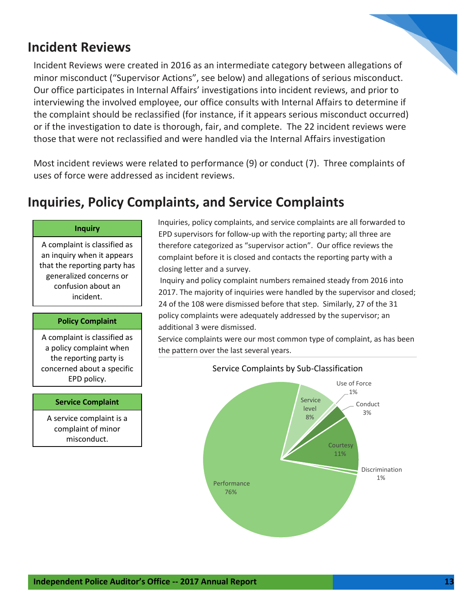## **Incident Reviews**

Incident Reviews were created in 2016 as an intermediate category between allegations of minor misconduct ("Supervisor Actions", see below) and allegations of serious misconduct. Our office participates in Internal Affairs' investigations into incident reviews, and prior to interviewing the involved employee, our office consults with Internal Affairs to determine if the complaint should be reclassified (for instance, if it appears serious misconduct occurred) or if the investigation to date is thorough, fair, and complete. The 22 incident reviews were those that were not reclassified and were handled via the Internal Affairs investigation

Most incident reviews were related to performance (9) or conduct (7). Three complaints of uses of force were addressed as incident reviews.

#### **Inquiries, Policy Complaints, and Service Complaints** violation indicated. One additional Incident Review was determined to be unfounded.

#### **Inquiry**

A complaint is classified as an inquiry when it appears that the reporting party has generalized concerns or confusion about an incident.

#### **Policy Complaint**

A complaint is classified as a policy complaint when the reporting party is concerned about a specific EPD policy.

#### **Service Complaint**

A service complaint is a complaint of minor misconduct.

Inquiries, policy complaints, and service complaints are all forwarded to EPD supervisors for follow-up with the reporting party; all three are therefore categorized as "supervisor action". Our office reviews the complaint before it is closed and contacts the reporting party with a closing letter and a survey.

Inquiry and policy complaint numbers remained steady from 2016 into 2017. The majority of inquiries were handled by the supervisor and closed; 24 of the 108 were dismissed before that step. Similarly, 27 of the 31 policy complaints were adequately addressed by the supervisor; an additional 3 were dismissed.

Service complaints were our most common type of complaint, as has been the pattern over the last several years.



#### Service Complaints by Sub-Classification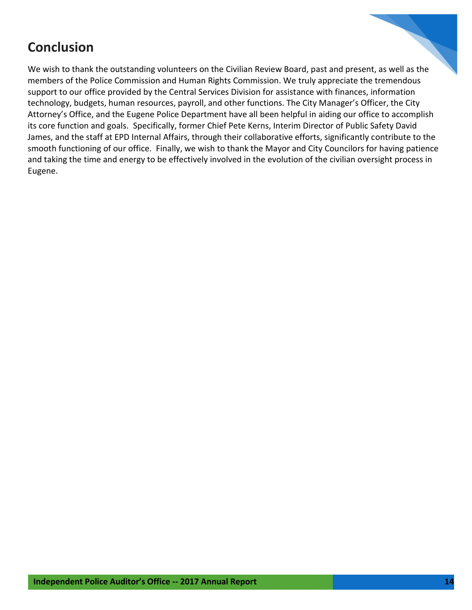## **Conclusion**

We wish to thank the outstanding volunteers on the Civilian Review Board, past and present, as well as the members of the Police Commission and Human Rights Commission. We truly appreciate the tremendous support to our office provided by the Central Services Division for assistance with finances, information technology, budgets, human resources, payroll, and other functions. The City Manager's Officer, the City Attorney's Office, and the Eugene Police Department have all been helpful in aiding our office to accomplish its core function and goals. Specifically, former Chief Pete Kerns, Interim Director of Public Safety David James, and the staff at EPD Internal Affairs, through their collaborative efforts, significantly contribute to the smooth functioning of our office. Finally, we wish to thank the Mayor and City Councilors for having patience and taking the time and energy to be effectively involved in the evolution of the civilian oversight process in Eugene.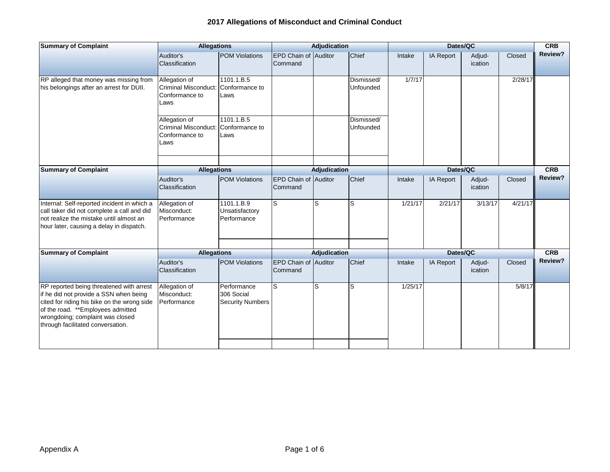| <b>Summary of Complaint</b>                                                                                                                                                                                                                     | <b>Allegations</b>                                                     |                                                      | Adjudication                           |                     | Dates/QC                |          |                  |                          | <b>CRB</b> |            |
|-------------------------------------------------------------------------------------------------------------------------------------------------------------------------------------------------------------------------------------------------|------------------------------------------------------------------------|------------------------------------------------------|----------------------------------------|---------------------|-------------------------|----------|------------------|--------------------------|------------|------------|
|                                                                                                                                                                                                                                                 | Auditor's<br>Classification                                            | <b>POM Violations</b>                                | <b>EPD Chain of Auditor</b><br>Command |                     | Chief                   | Intake   | <b>IA Report</b> | Adjud-<br><i>ication</i> | Closed     | Review?    |
| RP alleged that money was missing from<br>his belongings after an arrest for DUII.                                                                                                                                                              | Allegation of<br><b>Criminal Misconduct:</b><br>Conformance to<br>Laws | 1101.1.B.5<br>Conformance to<br>Laws                 |                                        |                     | Dismissed/<br>Unfounded | 1/7/17   |                  |                          | 2/28/17    |            |
|                                                                                                                                                                                                                                                 | Allegation of<br>Criminal Misconduct:<br>Conformance to<br>Laws        | 1101.1.B.5<br>Conformance to<br>Laws                 |                                        |                     | Dismissed/<br>Unfounded |          |                  |                          |            |            |
| <b>Summary of Complaint</b>                                                                                                                                                                                                                     | <b>Allegations</b>                                                     |                                                      |                                        | <b>Adjudication</b> |                         |          | Dates/QC         |                          |            | <b>CRB</b> |
|                                                                                                                                                                                                                                                 | Auditor's<br>Classification                                            | <b>POM Violations</b>                                | <b>EPD Chain of Auditor</b><br>Command |                     | Chief                   | Intake   | IA Report        | Adjud-<br>ication        | Closed     | Review?    |
| Internal: Self-reported incident in which a<br>call taker did not complete a call and did<br>not realize the mistake until almost an<br>hour later, causing a delay in dispatch.                                                                | Allegation of<br>Misconduct:<br>Performance                            | 1101.1.B.9<br>Unsatisfactory<br>Performance          | S                                      | S                   | S                       | 1/21/17  | 2/21/17          | 3/13/17                  | 4/21/17    |            |
| <b>Summary of Complaint</b>                                                                                                                                                                                                                     | <b>Allegations</b>                                                     |                                                      |                                        | Adjudication        |                         | Dates/QC |                  |                          |            | <b>CRB</b> |
|                                                                                                                                                                                                                                                 | Auditor's<br>Classification                                            | <b>POM Violations</b>                                | EPD Chain of Auditor<br>Command        |                     | Chief                   | Intake   | <b>IA Report</b> | Adjud-<br>ication        | Closed     | Review?    |
| RP reported being threatened with arrest<br>if he did not provide a SSN when being<br>cited for riding his bike on the wrong side<br>of the road. **Employees admitted<br>wrongdoing; complaint was closed<br>through facilitated conversation. | Allegation of<br>Misconduct:<br>Performance                            | Performance<br>306 Social<br><b>Security Numbers</b> | lS.                                    | S                   | S                       | 1/25/17  |                  |                          | 5/8/17     |            |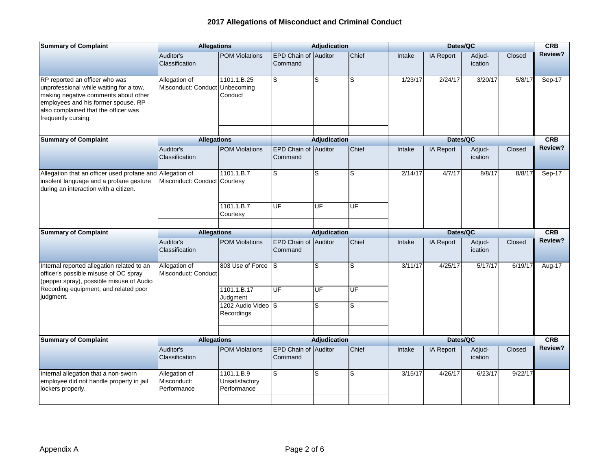| <b>Summary of Complaint</b>                                                                                                                                                                                             | <b>Allegations</b>                              |                                             | <b>Adjudication</b>                    |                     | Dates/QC |         |                  |                   | <b>CRB</b> |            |
|-------------------------------------------------------------------------------------------------------------------------------------------------------------------------------------------------------------------------|-------------------------------------------------|---------------------------------------------|----------------------------------------|---------------------|----------|---------|------------------|-------------------|------------|------------|
|                                                                                                                                                                                                                         | Auditor's<br>Classification                     | <b>POM Violations</b>                       | EPD Chain of Auditor<br>Command        |                     | Chief    | Intake  | IA Report        | Adjud-<br>ication | Closed     | Review?    |
| RP reported an officer who was<br>unprofessional while waiting for a tow,<br>making negative comments about other<br>employees and his former spouse. RP<br>also complained that the officer was<br>frequently cursing. | Allegation of<br>Misconduct: Conduct Unbecoming | 1101.1.B.25<br>Conduct                      | S                                      | S                   | S        | 1/23/17 | 2/24/17          | 3/20/17           | 5/8/17     | Sep-17     |
| <b>Summary of Complaint</b>                                                                                                                                                                                             | <b>Allegations</b>                              |                                             |                                        | Adjudication        |          |         | Dates/QC         |                   |            | <b>CRB</b> |
|                                                                                                                                                                                                                         | Auditor's<br>Classification                     | <b>POM Violations</b>                       | EPD Chain of<br>Command                | Auditor             | Chief    | Intake  | <b>IA Report</b> | Adjud-<br>ication | Closed     | Review?    |
| Allegation that an officer used profane and Allegation of<br>insolent language and a profane gesture<br>during an interaction with a citizen.                                                                           | Misconduct: Conduct Courtesy                    | 1101.1.B.7                                  | S                                      | S                   | S        | 2/14/17 | 4/7/17           | 8/8/17            | 8/8/17     | Sep-17     |
|                                                                                                                                                                                                                         |                                                 | 1101.1.B.7<br>Courtesy                      | UF                                     | UF                  | UF       |         |                  |                   |            |            |
| <b>Summary of Complaint</b>                                                                                                                                                                                             | <b>Allegations</b>                              |                                             |                                        | Adjudication        |          |         | Dates/QC         |                   |            | <b>CRB</b> |
|                                                                                                                                                                                                                         | Auditor's<br>Classification                     | <b>POM Violations</b>                       | EPD Chain of Auditor<br>Command        |                     | Chief    | Intake  | IA Report        | Adjud-<br>ication | Closed     | Review?    |
| Internal reported allegation related to an<br>officer's possible misuse of OC spray<br>(pepper spray), possible misuse of Audio                                                                                         | Allegation of<br>Misconduct: Conduct            | 803 Use of Force                            | S                                      | S                   | S        | 3/11/17 | 4/25/17          | 5/17/17           | 6/19/17    | Aug-17     |
| Recording equipment, and related poor<br>judgment.                                                                                                                                                                      |                                                 | 1101.1.B.17<br>Judgment                     | <b>UF</b>                              | UF                  | UF       |         |                  |                   |            |            |
|                                                                                                                                                                                                                         |                                                 | 1202 Audio Video S<br>Recordings            |                                        | S                   | S        |         |                  |                   |            |            |
| <b>Summary of Complaint</b>                                                                                                                                                                                             | <b>Allegations</b>                              |                                             |                                        | <b>Adjudication</b> |          |         | Dates/QC         |                   |            | CRB        |
|                                                                                                                                                                                                                         | Auditor's<br>Classification                     | <b>POM Violations</b>                       | <b>EPD Chain of Auditor</b><br>Command |                     | Chief    | Intake  | IA Report        | Adjud-<br>ication | Closed     | Review?    |
| Internal allegation that a non-sworn<br>employee did not handle property in jail<br>lockers properly.                                                                                                                   | Allegation of<br>Misconduct:<br>Performance     | 1101.1.B.9<br>Unsatisfactory<br>Performance | S                                      | S                   | S        | 3/15/17 | 4/26/17          | 6/23/17           | 9/22/17    |            |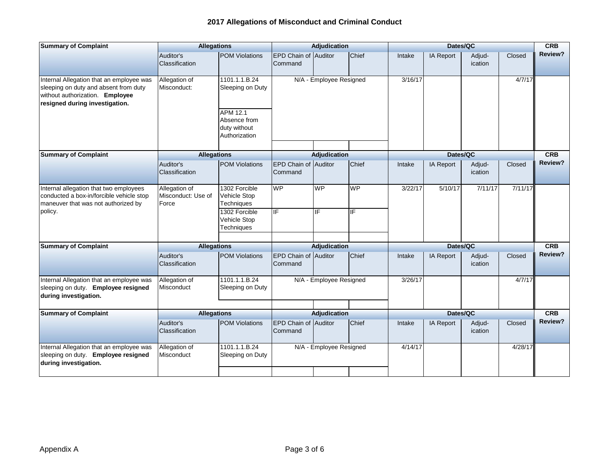| <b>Summary of Complaint</b>                                                                                                                            | <b>Allegations</b>                           |                                                           |                                 | <b>Adjudication</b>     |           |          | Dates/QC  |                   |            | <b>CRB</b> |
|--------------------------------------------------------------------------------------------------------------------------------------------------------|----------------------------------------------|-----------------------------------------------------------|---------------------------------|-------------------------|-----------|----------|-----------|-------------------|------------|------------|
|                                                                                                                                                        | Auditor's<br>Classification                  | <b>POM Violations</b>                                     | EPD Chain of Auditor<br>Command |                         | Chief     | Intake   | IA Report | Adjud-<br>ication | Closed     | Review?    |
| Internal Allegation that an employee was<br>sleeping on duty and absent from duty<br>without authorization. Employee<br>resigned during investigation. | Allegation of<br>Misconduct:                 | 1101.1.1.B.24<br>Sleeping on Duty                         | N/A - Employee Resigned         |                         |           | 3/16/17  |           |                   | 4/7/17     |            |
|                                                                                                                                                        |                                              | APM 12.1<br>Absence from<br>duty without<br>Authorization |                                 |                         |           |          |           |                   |            |            |
| <b>Summary of Complaint</b>                                                                                                                            | <b>Allegations</b>                           |                                                           | <b>Adjudication</b>             |                         |           | Dates/QC |           |                   | <b>CRB</b> |            |
|                                                                                                                                                        | Auditor's<br>Classification                  | <b>POM Violations</b>                                     | EPD Chain of Auditor<br>Command |                         | Chief     | Intake   | IA Report | Adjud-<br>ication | Closed     | Review?    |
| Internal allegation that two employees<br>conducted a box-in/forcible vehicle stop<br>maneuver that was not authorized by                              | Allegation of<br>Misconduct: Use of<br>Force | 1302 Forcible<br>Vehicle Stop<br><b>Techniques</b>        | <b>WP</b>                       | <b>WP</b>               | <b>WP</b> | 3/22/17  | 5/10/17   | 7/11/17           | 7/11/17    |            |
| policy.                                                                                                                                                |                                              | 1302 Forcible<br>Vehicle Stop<br>Techniques               | IF                              | ΙF                      | IF        |          |           |                   |            |            |
| <b>Summary of Complaint</b>                                                                                                                            | <b>Allegations</b>                           |                                                           | <b>Adjudication</b>             |                         | Dates/QC  |          |           | <b>CRB</b>        |            |            |
|                                                                                                                                                        | Auditor's<br>Classification                  | <b>POM Violations</b>                                     | EPD Chain of Auditor<br>Command |                         | Chief     | Intake   | IA Report | Adjud-<br>ication | Closed     | Review?    |
| Internal Allegation that an employee was<br>sleeping on duty. Employee resigned<br>during investigation.                                               | Allegation of<br>Misconduct                  | 1101.1.1.B.24<br>Sleeping on Duty                         |                                 | N/A - Employee Resigned |           | 3/26/17  |           |                   | 4/7/17     |            |
| <b>Summary of Complaint</b>                                                                                                                            | <b>Allegations</b>                           |                                                           |                                 | <b>Adjudication</b>     |           |          | Dates/QC  |                   |            | <b>CRB</b> |
|                                                                                                                                                        | Auditor's<br>Classification                  | <b>POM Violations</b>                                     | EPD Chain of Auditor<br>Command |                         | Chief     | Intake   | IA Report | Adjud-<br>ication | Closed     | Review?    |
| Internal Allegation that an employee was<br>sleeping on duty. Employee resigned<br>during investigation.                                               | Allegation of<br>Misconduct                  | 1101.1.1.B.24<br>Sleeping on Duty                         |                                 | N/A - Employee Resigned |           | 4/14/17  |           |                   | 4/28/17    |            |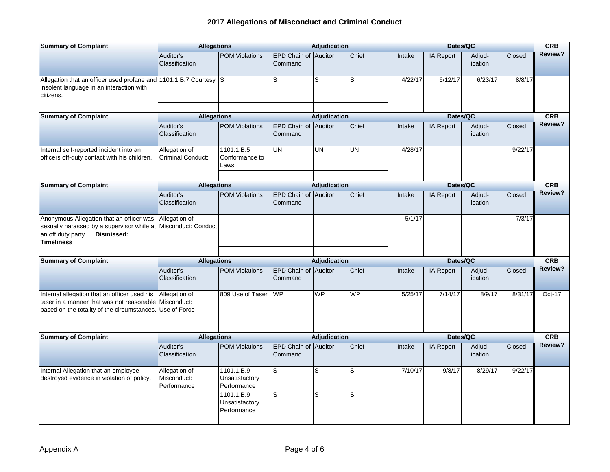| <b>Summary of Complaint</b>                                                                                                                          | <b>Allegations</b>                          |                                             | Adjudication                           |                     |                          | Dates/QC |                  |                   |            |            |
|------------------------------------------------------------------------------------------------------------------------------------------------------|---------------------------------------------|---------------------------------------------|----------------------------------------|---------------------|--------------------------|----------|------------------|-------------------|------------|------------|
|                                                                                                                                                      | Auditor's<br>Classification                 | <b>POM Violations</b>                       | EPD Chain of Auditor<br>Command        |                     | Chief                    | Intake   | IA Report        | Adjud-<br>ication | Closed     | Review?    |
| Allegation that an officer used profane and 1101.1.B.7 Courtesy<br>insolent language in an interaction with<br>citizens.                             |                                             | ls                                          | S                                      | lS.                 | S                        | 4/22/17  | 6/12/17          | 6/23/17           | 8/8/17     |            |
| <b>Summary of Complaint</b>                                                                                                                          | <b>Allegations</b>                          |                                             |                                        | Adjudication        |                          |          | Dates/QC         |                   |            | <b>CRB</b> |
|                                                                                                                                                      | Auditor's<br>Classification                 | <b>POM Violations</b>                       | <b>EPD Chain of Auditor</b><br>Command |                     | Chief                    | Intake   | IA Report        | Adjud-<br>ication | Closed     | Review?    |
| Internal self-reported incident into an<br>officers off-duty contact with his children.                                                              | Allegation of<br>Criminal Conduct:          | 1101.1.B.5<br>Conformance to<br>Laws        | UN                                     | UN                  | $\overline{\mathsf{UN}}$ | 4/28/17  |                  |                   | 9/22/17    |            |
| <b>Summary of Complaint</b>                                                                                                                          | <b>Allegations</b>                          |                                             |                                        | <b>Adjudication</b> |                          |          | Dates/QC         |                   |            | <b>CRB</b> |
|                                                                                                                                                      | Auditor's<br>Classification                 | <b>POM Violations</b>                       | EPD Chain of Auditor<br>Command        |                     | Chief                    | Intake   | IA Report        | Adjud-<br>ication | Closed     | Review?    |
| Anonymous Allegation that an officer was<br>sexually harassed by a supervisor while at<br>Dismissed:<br>an off duty party.<br><b>Timeliness</b>      | Allegation of<br>Misconduct: Conduct        |                                             |                                        |                     |                          | 5/1/17   |                  |                   | 7/3/17     |            |
| <b>Summary of Complaint</b>                                                                                                                          | <b>Allegations</b>                          |                                             | Adjudication                           |                     | Dates/QC                 |          |                  |                   | <b>CRB</b> |            |
|                                                                                                                                                      | Auditor's<br>Classification                 | <b>POM Violations</b>                       | EPD Chain of Auditor<br>Command        |                     | Chief                    | Intake   | <b>IA Report</b> | Adjud-<br>ication | Closed     | Review?    |
| Internal allegation that an officer used his<br>taser in a manner that was not reasonable Misconduct:<br>based on the totality of the circumstances. | Allegation of<br>Use of Force               | 809 Use of Taser                            | <b>WP</b>                              | <b>WP</b>           | <b>WP</b>                | 5/25/17  | 7/14/17          | 8/9/17            | 8/31/17    | Oct-17     |
| <b>Summary of Complaint</b>                                                                                                                          | <b>Allegations</b>                          |                                             |                                        | Adjudication        |                          |          | Dates/QC         |                   |            | <b>CRB</b> |
|                                                                                                                                                      | Auditor's<br>Classification                 | <b>POM Violations</b>                       | EPD Chain of Auditor<br>Command        |                     | Chief                    | Intake   | <b>IA Report</b> | Adjud-<br>ication | Closed     | Review?    |
| Internal Allegation that an employee<br>destroyed evidence in violation of policy.                                                                   | Allegation of<br>Misconduct:<br>Performance | 1101.1.B.9<br>Unsatisfactory<br>Performance | S                                      | S                   | $\overline{s}$           | 7/10/17  | 9/8/17           | 8/29/17           | 9/22/17    |            |
|                                                                                                                                                      |                                             | 1101.1.B.9<br>Unsatisfactory<br>Performance | S                                      | S                   | S                        |          |                  |                   |            |            |
|                                                                                                                                                      |                                             |                                             |                                        |                     |                          |          |                  |                   |            |            |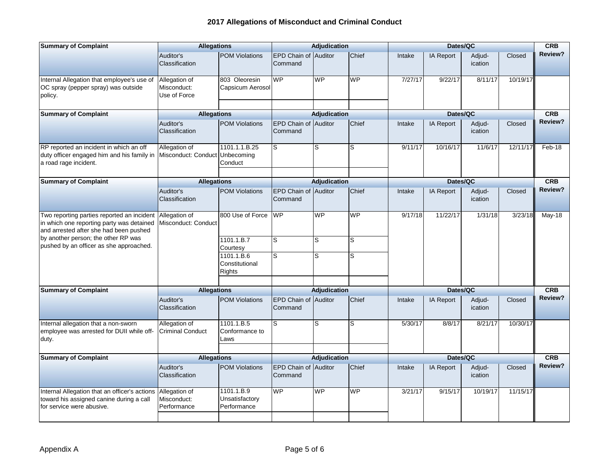| <b>Summary of Complaint</b>                                                                                                       | <b>Allegations</b>                              |                                               |                                 | <b>Adjudication</b> |           | Dates/QC |                  |                   |          | <b>CRB</b> |
|-----------------------------------------------------------------------------------------------------------------------------------|-------------------------------------------------|-----------------------------------------------|---------------------------------|---------------------|-----------|----------|------------------|-------------------|----------|------------|
|                                                                                                                                   | Auditor's<br>Classification                     | <b>POM Violations</b>                         | EPD Chain of Auditor<br>Command |                     | Chief     | Intake   | <b>IA Report</b> | Adjud-<br>ication | Closed   | Review?    |
| Internal Allegation that employee's use of<br>OC spray (pepper spray) was outside<br>policy.                                      | Allegation of<br>Misconduct:<br>Use of Force    | 803 Oleoresin<br>Capsicum Aerosol             | <b>WP</b>                       | <b>WP</b>           | <b>WP</b> | 7/27/17  | 9/22/17          | 8/11/17           | 10/19/17 |            |
| <b>Summary of Complaint</b>                                                                                                       | <b>Allegations</b>                              |                                               |                                 | <b>Adjudication</b> |           |          | Dates/QC         |                   |          | <b>CRB</b> |
|                                                                                                                                   | Auditor's<br>Classification                     | <b>POM Violations</b>                         | EPD Chain of Auditor<br>Command |                     | Chief     | Intake   | <b>IA Report</b> | Adjud-<br>ication | Closed   | Review?    |
| RP reported an incident in which an off<br>duty officer engaged him and his family in<br>a road rage incident.                    | Allegation of<br>Misconduct: Conduct Unbecoming | 1101.1.1.B.25<br>Conduct                      | S                               | S.                  | S         | 9/11/17  | 10/16/17         | 11/6/17           | 12/11/17 | Feb-18     |
| <b>Summary of Complaint</b>                                                                                                       | <b>Allegations</b>                              |                                               |                                 | Adjudication        |           |          | Dates/QC         |                   |          | CRB        |
|                                                                                                                                   | Auditor's<br>Classification                     | <b>POM Violations</b>                         | EPD Chain of Auditor<br>Command |                     | Chief     | Intake   | <b>IA Report</b> | Adjud-<br>ication | Closed   | Review?    |
| Two reporting parties reported an incident<br>in which one reporting party was detained<br>and arrested after she had been pushed | Allegation of<br>Misconduct: Conduct            | 800 Use of Force                              | WP                              | WP                  | <b>WP</b> | 9/17/18  | 11/22/17         | 1/31/18           | 3/23/18  | May-18     |
| by another person; the other RP was<br>pushed by an officer as she approached.                                                    |                                                 | 1101.1.B.7<br>Courtesy                        | S                               | lS                  | S         |          |                  |                   |          |            |
|                                                                                                                                   |                                                 | 1101.1.B.6<br>Constitutional<br><b>Rights</b> | S                               | ls                  | S         |          |                  |                   |          |            |
| <b>Summary of Complaint</b>                                                                                                       | <b>Allegations</b>                              |                                               |                                 | <b>Adjudication</b> |           |          | Dates/QC         |                   |          | <b>CRB</b> |
|                                                                                                                                   | Auditor's<br>Classification                     | <b>POM Violations</b>                         | EPD Chain of Auditor<br>Command |                     | Chief     | Intake   | <b>IA Report</b> | Adjud-<br>ication | Closed   | Review?    |
| Internal allegation that a non-sworn<br>employee was arrested for DUII while off-<br>duty.                                        | Allegation of<br><b>Criminal Conduct</b>        | 1101.1.B.5<br>Conformance to<br>Laws          | S                               | S                   | S         | 5/30/17  | 8/8/17           | 8/21/17           | 10/30/17 |            |
| <b>Summary of Complaint</b>                                                                                                       | <b>Allegations</b>                              |                                               |                                 | Adjudication        |           |          | Dates/QC         |                   |          | <b>CRB</b> |
|                                                                                                                                   | Auditor's<br>Classification                     | <b>POM Violations</b>                         | EPD Chain of<br>Command         | Auditor             | Chief     | Intake   | <b>IA Report</b> | Adjud-<br>ication | Closed   | Review?    |
| Internal Allegation that an officer's actions<br>toward his assigned canine during a call<br>for service were abusive.            | Allegation of<br>Misconduct:<br>Performance     | 1101.1.B.9<br>Unsatisfactory<br>Performance   | <b>WP</b>                       | <b>WP</b>           | <b>WP</b> | 3/21/17  | 9/15/17          | 10/19/17          | 11/15/17 |            |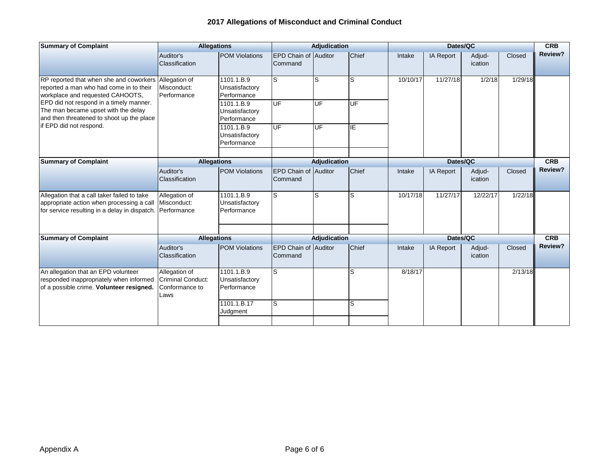| <b>Summary of Complaint</b>                                                                                                               | <b>Allegations</b>                                                  |                                             |                                        | <b>Adjudication</b> |          |          | Dates/QC  |                   |         | <b>CRB</b> |
|-------------------------------------------------------------------------------------------------------------------------------------------|---------------------------------------------------------------------|---------------------------------------------|----------------------------------------|---------------------|----------|----------|-----------|-------------------|---------|------------|
|                                                                                                                                           | Auditor's<br>Classification                                         | <b>POM Violations</b>                       | EPD Chain of Auditor<br>Command        |                     | Chief    | Intake   | IA Report | Adjud-<br>ication | Closed  | Review?    |
| RP reported that when she and coworkers<br>reported a man who had come in to their<br>workplace and requested CAHOOTS,                    | Allegation of<br>Misconduct:<br>Performance                         | 1101.1.B.9<br>Unsatisfactory<br>Performance | S                                      | ls                  | S        | 10/10/17 | 11/27/18  | 1/2/18            | 1/29/18 |            |
| EPD did not respond in a timely manner.<br>The man became upset with the delay<br>and then threatened to shoot up the place               |                                                                     | 1101.1.B.9<br>Unsatisfactory<br>Performance | <b>UF</b>                              | UF                  | UF       |          |           |                   |         |            |
| if EPD did not respond.                                                                                                                   |                                                                     | 1101.1.B.9<br>Unsatisfactory<br>Performance | UF                                     | UF                  | IE       |          |           |                   |         |            |
| <b>Summary of Complaint</b>                                                                                                               | <b>Allegations</b>                                                  | Adjudication                                |                                        |                     | Dates/QC |          |           | <b>CRB</b>        |         |            |
|                                                                                                                                           | Auditor's<br>Classification                                         | <b>POM Violations</b>                       | EPD Chain of Auditor<br>Command        |                     | Chief    | Intake   | IA Report | Adjud-<br>ication | Closed  | Review?    |
| Allegation that a call taker failed to take<br>appropriate action when processing a call<br>for service resulting in a delay in dispatch. | Allegation of<br>Misconduct:<br>Performance                         | 1101.1.B.9<br>Unsatisfactory<br>Performance | S                                      | S                   | S        | 10/17/18 | 11/27/17  | 12/22/17          | 1/22/18 |            |
| <b>Summary of Complaint</b>                                                                                                               | <b>Allegations</b>                                                  |                                             |                                        | <b>Adjudication</b> |          |          | Dates/QC  |                   | CRB     |            |
|                                                                                                                                           | Auditor's<br><b>Classification</b>                                  | <b>POM Violations</b>                       | <b>EPD Chain of Auditor</b><br>Command |                     | Chief    | Intake   | IA Report | Adjud-<br>ication | Closed  | Review?    |
| An allegation that an EPD volunteer<br>responded inappropriately when informed<br>of a possible crime. Volunteer resigned.                | Allegation of<br><b>Criminal Conduct:</b><br>Conformance to<br>Laws | 1101.1.B.9<br>Unsatisfactory<br>Performance | S                                      |                     | S        | 8/18/17  |           |                   | 2/13/18 |            |
|                                                                                                                                           |                                                                     | 1101.1.B.17<br>Judgment                     | S                                      |                     | S        |          |           |                   |         |            |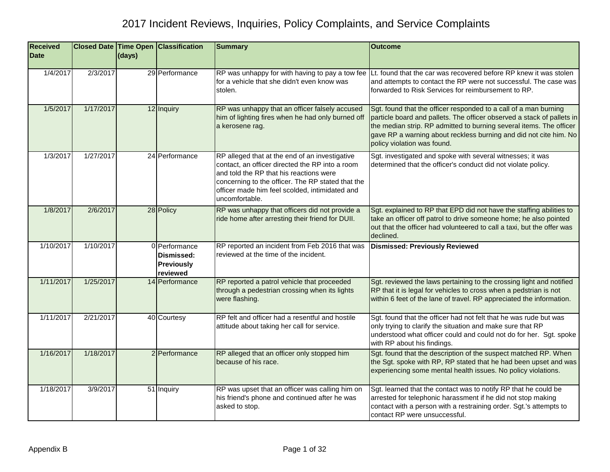| <b>Received</b><br><b>Date</b> |           | (days) | <b>Closed Date Time Open Classification</b>                  | <b>Summary</b>                                                                                                                                                                                                                                                        | <b>Outcome</b>                                                                                                                                                                                                                                                                                                        |
|--------------------------------|-----------|--------|--------------------------------------------------------------|-----------------------------------------------------------------------------------------------------------------------------------------------------------------------------------------------------------------------------------------------------------------------|-----------------------------------------------------------------------------------------------------------------------------------------------------------------------------------------------------------------------------------------------------------------------------------------------------------------------|
| 1/4/2017                       | 2/3/2017  |        | 29 Performance                                               | RP was unhappy for with having to pay a tow fee<br>for a vehicle that she didn't even know was<br>stolen.                                                                                                                                                             | Lt. found that the car was recovered before RP knew it was stolen<br>and attempts to contact the RP were not successful. The case was<br>forwarded to Risk Services for reimbursement to RP.                                                                                                                          |
| 1/5/2017                       | 1/17/2017 |        | 12 Inquiry                                                   | RP was unhappy that an officer falsely accused<br>him of lighting fires when he had only burned off<br>a kerosene rag.                                                                                                                                                | Sgt. found that the officer responded to a call of a man burning<br>particle board and pallets. The officer observed a stack of pallets in<br>the median strip. RP admitted to burning several items. The officer<br>gave RP a warning about reckless burning and did not cite him. No<br>policy violation was found. |
| 1/3/2017                       | 1/27/2017 |        | 24 Performance                                               | RP alleged that at the end of an investigative<br>contact, an officer directed the RP into a room<br>and told the RP that his reactions were<br>concerning to the officer. The RP stated that the<br>officer made him feel scolded, intimidated and<br>uncomfortable. | Sgt. investigated and spoke with several witnesses; it was<br>determined that the officer's conduct did not violate policy.                                                                                                                                                                                           |
| 1/8/2017                       | 2/6/2017  |        | 28 Policy                                                    | RP was unhappy that officers did not provide a<br>ride home after arresting their friend for DUII.                                                                                                                                                                    | Sgt. explained to RP that EPD did not have the staffing abilities to<br>take an officer off patrol to drive someone home; he also pointed<br>out that the officer had volunteered to call a taxi, but the offer was<br>declined.                                                                                      |
| 1/10/2017                      | 1/10/2017 |        | 0 Performance<br>Dismissed:<br><b>Previously</b><br>reviewed | RP reported an incident from Feb 2016 that was<br>reviewed at the time of the incident.                                                                                                                                                                               | <b>Dismissed: Previously Reviewed</b>                                                                                                                                                                                                                                                                                 |
| 1/11/2017                      | 1/25/2017 |        | 14 Performance                                               | RP reported a patrol vehicle that proceeded<br>through a pedestrian crossing when its lights<br>were flashing.                                                                                                                                                        | Sgt. reviewed the laws pertaining to the crossing light and notified<br>RP that it is legal for vehicles to cross when a pedstrian is not<br>within 6 feet of the lane of travel. RP appreciated the information.                                                                                                     |
| 1/11/2017                      | 2/21/2017 |        | 40 Courtesy                                                  | RP felt and officer had a resentful and hostile<br>attitude about taking her call for service.                                                                                                                                                                        | Sgt. found that the officer had not felt that he was rude but was<br>only trying to clarify the situation and make sure that RP<br>understood what officer could and could not do for her. Sgt. spoke<br>with RP about his findings.                                                                                  |
| 1/16/2017                      | 1/18/2017 |        | 2 Performance                                                | RP alleged that an officer only stopped him<br>because of his race.                                                                                                                                                                                                   | Sgt. found that the description of the suspect matched RP. When<br>the Sgt. spoke with RP, RP stated that he had been upset and was<br>experiencing some mental health issues. No policy violations.                                                                                                                  |
| 1/18/2017                      | 3/9/2017  |        | 51 Inquiry                                                   | RP was upset that an officer was calling him on<br>his friend's phone and continued after he was<br>asked to stop.                                                                                                                                                    | Sgt. learned that the contact was to notify RP that he could be<br>arrested for telephonic harassment if he did not stop making<br>contact with a person with a restraining order. Sgt.'s attempts to<br>contact RP were unsuccessful.                                                                                |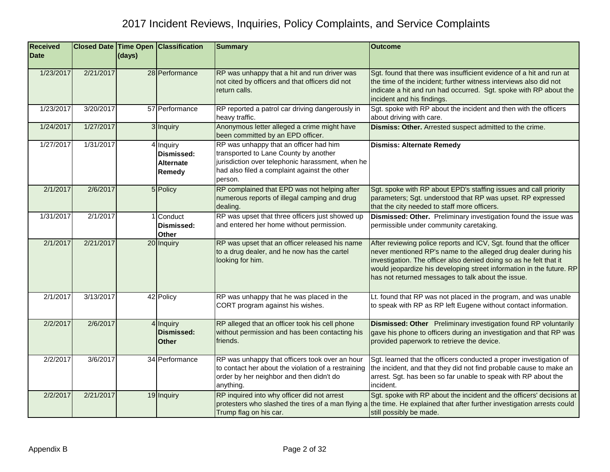| <b>Received</b><br><b>Date</b> |           | (days) | <b>Closed Date Time Open Classification</b>           | <b>Summary</b>                                                                                                                                                                                 | <b>Outcome</b>                                                                                                                                                                                                                                                                                                                             |
|--------------------------------|-----------|--------|-------------------------------------------------------|------------------------------------------------------------------------------------------------------------------------------------------------------------------------------------------------|--------------------------------------------------------------------------------------------------------------------------------------------------------------------------------------------------------------------------------------------------------------------------------------------------------------------------------------------|
|                                |           |        |                                                       |                                                                                                                                                                                                |                                                                                                                                                                                                                                                                                                                                            |
| 1/23/2017                      | 2/21/2017 |        | 28 Performance                                        | RP was unhappy that a hit and run driver was<br>not cited by officers and that officers did not<br>return calls.                                                                               | Sgt. found that there was insufficient evidence of a hit and run at<br>the time of the incident; further witness interviews also did not<br>indicate a hit and run had occurred. Sgt. spoke with RP about the<br>incident and his findings.                                                                                                |
| 1/23/2017                      | 3/20/2017 |        | 57 Performance                                        | RP reported a patrol car driving dangerously in<br>heavy traffic.                                                                                                                              | Sgt. spoke with RP about the incident and then with the officers<br>about driving with care.                                                                                                                                                                                                                                               |
| 1/24/2017                      | 1/27/2017 |        | 3 Inquiry                                             | Anonymous letter alleged a crime might have<br>been committed by an EPD officer.                                                                                                               | Dismiss: Other. Arrested suspect admitted to the crime.                                                                                                                                                                                                                                                                                    |
| 1/27/2017                      | 1/31/2017 |        | 4 Inquiry<br>Dismissed:<br><b>Alternate</b><br>Remedy | RP was unhappy that an officer had him<br>transported to Lane County by another<br>jurisdiction over telephonic harassment, when he<br>had also filed a complaint against the other<br>person. | <b>Dismiss: Alternate Remedy</b>                                                                                                                                                                                                                                                                                                           |
| 2/1/2017                       | 2/6/2017  |        | 5 Policy                                              | RP complained that EPD was not helping after<br>numerous reports of illegal camping and drug<br>dealing.                                                                                       | Sgt. spoke with RP about EPD's staffing issues and call priority<br>parameters; Sgt. understood that RP was upset. RP expressed<br>that the city needed to staff more officers.                                                                                                                                                            |
| 1/31/2017                      | 2/1/2017  |        | 1 Conduct<br>Dismissed:<br><b>Other</b>               | RP was upset that three officers just showed up<br>and entered her home without permission.                                                                                                    | Dismissed: Other. Preliminary investigation found the issue was<br>permissible under community caretaking.                                                                                                                                                                                                                                 |
| 2/1/2017                       | 2/21/2017 |        | 20 Inquiry                                            | RP was upset that an officer released his name<br>to a drug dealer, and he now has the cartel<br>looking for him.                                                                              | After reviewing police reports and ICV, Sgt. found that the officer<br>never mentioned RP's name to the alleged drug dealer during his<br>investigation. The officer also denied doing so as he felt that it<br>would jeopardize his developing street information in the future. RP<br>has not returned messages to talk about the issue. |
| 2/1/2017                       | 3/13/2017 |        | 42 Policy                                             | RP was unhappy that he was placed in the<br>CORT program against his wishes.                                                                                                                   | Lt. found that RP was not placed in the program, and was unable<br>to speak with RP as RP left Eugene without contact information.                                                                                                                                                                                                         |
| 2/2/2017                       | 2/6/2017  |        | 4 Inquiry<br><b>Dismissed:</b><br><b>Other</b>        | RP alleged that an officer took his cell phone<br>without permission and has been contacting his<br>friends.                                                                                   | <b>Dismissed: Other</b> Preliminary investigation found RP voluntarily<br>gave his phone to officers during an investigation and that RP was<br>provided paperwork to retrieve the device.                                                                                                                                                 |
| 2/2/2017                       | 3/6/2017  |        | 34 Performance                                        | RP was unhappy that officers took over an hour<br>to contact her about the violation of a restraining<br>order by her neighbor and then didn't do<br>anything.                                 | Sgt. learned that the officers conducted a proper investigation of<br>the incident, and that they did not find probable cause to make an<br>arrest. Sgt. has been so far unable to speak with RP about the<br>incident.                                                                                                                    |
| 2/2/2017                       | 2/21/2017 |        | 19 Inquiry                                            | RP inquired into why officer did not arrest<br>protesters who slashed the tires of a man flying a<br>Trump flag on his car.                                                                    | Sgt. spoke with RP about the incident and the officers' decisions at<br>the time. He explained that after further investigation arrests could<br>still possibly be made.                                                                                                                                                                   |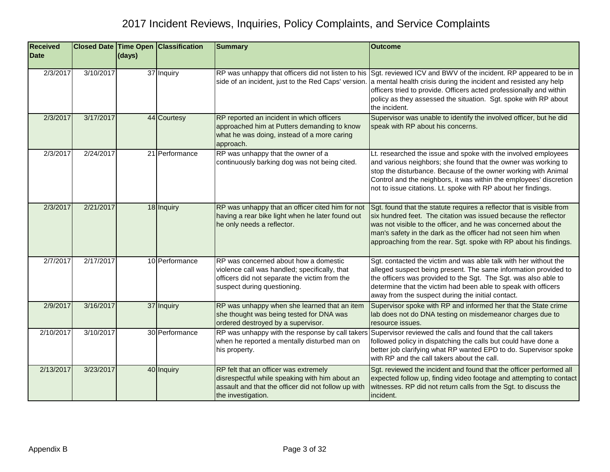| <b>Received</b> |           |        | <b>Closed Date Time Open Classification</b> | <b>Summary</b>                                                                                                                                                         | <b>Outcome</b>                                                                                                                                                                                                                                                                                                                                    |
|-----------------|-----------|--------|---------------------------------------------|------------------------------------------------------------------------------------------------------------------------------------------------------------------------|---------------------------------------------------------------------------------------------------------------------------------------------------------------------------------------------------------------------------------------------------------------------------------------------------------------------------------------------------|
| <b>Date</b>     |           | (days) |                                             |                                                                                                                                                                        |                                                                                                                                                                                                                                                                                                                                                   |
| 2/3/2017        | 3/10/2017 |        | 37 Inquiry                                  | side of an incident, just to the Red Caps' version.                                                                                                                    | RP was unhappy that officers did not listen to his Sgt. reviewed ICV and BWV of the incident. RP appeared to be in<br>a mental health crisis during the incident and resisted any help<br>officers tried to provide. Officers acted professionally and within<br>policy as they assessed the situation. Sgt. spoke with RP about<br>the incident. |
| 2/3/2017        | 3/17/2017 |        | 44 Courtesy                                 | RP reported an incident in which officers<br>approached him at Putters demanding to know<br>what he was doing, instead of a more caring<br>approach.                   | Supervisor was unable to identify the involved officer, but he did<br>speak with RP about his concerns.                                                                                                                                                                                                                                           |
| 2/3/2017        | 2/24/2017 |        | 21 Performance                              | RP was unhappy that the owner of a<br>continuously barking dog was not being cited.                                                                                    | Lt. researched the issue and spoke with the involved employees<br>and various neighbors; she found that the owner was working to<br>stop the disturbance. Because of the owner working with Animal<br>Control and the neighbors, it was within the employees' discretion<br>not to issue citations. Lt. spoke with RP about her findings.         |
| 2/3/2017        | 2/21/2017 |        | 18 Inquiry                                  | RP was unhappy that an officer cited him for not<br>having a rear bike light when he later found out<br>he only needs a reflector.                                     | Sgt. found that the statute requires a reflector that is visible from<br>six hundred feet. The citation was issued because the reflector<br>was not visible to the officer, and he was concerned about the<br>man's safety in the dark as the officer had not seen him when<br>approaching from the rear. Sgt. spoke with RP about his findings.  |
| 2/7/2017        | 2/17/2017 |        | 10 Performance                              | RP was concerned about how a domestic<br>violence call was handled; specifically, that<br>officers did not separate the victim from the<br>suspect during questioning. | Sgt. contacted the victim and was able talk with her without the<br>alleged suspect being present. The same information provided to<br>the officers was provided to the Sgt. The Sgt. was also able to<br>determine that the victim had been able to speak with officers<br>away from the suspect during the initial contact.                     |
| 2/9/2017        | 3/16/2017 |        | 37 Inquiry                                  | RP was unhappy when she learned that an item<br>she thought was being tested for DNA was<br>ordered destroyed by a supervisor.                                         | Supervisor spoke with RP and informed her that the State crime<br>lab does not do DNA testing on misdemeanor charges due to<br>resource issues.                                                                                                                                                                                                   |
| 2/10/2017       | 3/10/2017 |        | 30 Performance                              | when he reported a mentally disturbed man on<br>his property.                                                                                                          | RP was unhappy with the response by call takers Supervisor reviewed the calls and found that the call takers<br>followed policy in dispatching the calls but could have done a<br>better job clarifying what RP wanted EPD to do. Supervisor spoke<br>with RP and the call takers about the call.                                                 |
| 2/13/2017       | 3/23/2017 |        | 40 Inquiry                                  | RP felt that an officer was extremely<br>disrespectful while speaking with him about an<br>assault and that the officer did not follow up with<br>the investigation.   | Sgt. reviewed the incident and found that the officer performed all<br>expected follow up, finding video footage and attempting to contact<br>witnesses. RP did not return calls from the Sgt. to discuss the<br>incident.                                                                                                                        |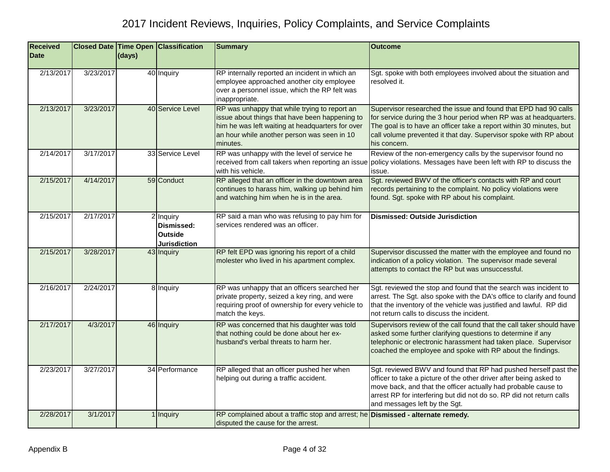| <b>Received</b><br><b>Date</b> |           | (days) | Closed Date Time Open Classification                             | <b>Summary</b>                                                                                                                                                                                                 | <b>Outcome</b>                                                                                                                                                                                                                                                                                                   |
|--------------------------------|-----------|--------|------------------------------------------------------------------|----------------------------------------------------------------------------------------------------------------------------------------------------------------------------------------------------------------|------------------------------------------------------------------------------------------------------------------------------------------------------------------------------------------------------------------------------------------------------------------------------------------------------------------|
| 2/13/2017                      | 3/23/2017 |        | 40 Inquiry                                                       | RP internally reported an incident in which an<br>employee approached another city employee<br>over a personnel issue, which the RP felt was<br>inappropriate.                                                 | Sgt. spoke with both employees involved about the situation and<br>resolved it.                                                                                                                                                                                                                                  |
| 2/13/2017                      | 3/23/2017 |        | 40 Service Level                                                 | RP was unhappy that while trying to report an<br>issue about things that have been happening to<br>him he was left waiting at headquarters for over<br>an hour while another person was seen in 10<br>minutes. | Supervisor researched the issue and found that EPD had 90 calls<br>for service during the 3 hour period when RP was at headquarters.<br>The goal is to have an officer take a report within 30 minutes, but<br>call volume prevented it that day. Supervisor spoke with RP about<br>his concern.                 |
| 2/14/2017                      | 3/17/2017 |        | 33 Service Level                                                 | RP was unhappy with the level of service he<br>received from call takers when reporting an issue<br>with his vehicle.                                                                                          | Review of the non-emergency calls by the supervisor found no<br>policy violations. Messages have been left with RP to discuss the<br>issue.                                                                                                                                                                      |
| 2/15/2017                      | 4/14/2017 |        | 59 Conduct                                                       | RP alleged that an officer in the downtown area<br>continues to harass him, walking up behind him<br>and watching him when he is in the area.                                                                  | Sgt. reviewed BWV of the officer's contacts with RP and court<br>records pertaining to the complaint. No policy violations were<br>found. Sgt. spoke with RP about his complaint.                                                                                                                                |
| 2/15/2017                      | 2/17/2017 |        | 2 Inquiry<br>Dismissed:<br><b>Outside</b><br><b>Jurisdiction</b> | RP said a man who was refusing to pay him for<br>services rendered was an officer.                                                                                                                             | <b>Dismissed: Outside Jurisdiction</b>                                                                                                                                                                                                                                                                           |
| 2/15/2017                      | 3/28/2017 |        | 43 Inquiry                                                       | RP felt EPD was ignoring his report of a child<br>molester who lived in his apartment complex.                                                                                                                 | Supervisor discussed the matter with the employee and found no<br>indication of a policy violation. The supervisor made several<br>attempts to contact the RP but was unsuccessful.                                                                                                                              |
| 2/16/2017                      | 2/24/2017 |        | 8 Inquiry                                                        | RP was unhappy that an officers searched her<br>private property, seized a key ring, and were<br>requiring proof of ownership for every vehicle to<br>match the keys.                                          | Sgt. reviewed the stop and found that the search was incident to<br>arrest. The Sgt. also spoke with the DA's office to clarify and found<br>that the inventory of the vehicle was justified and lawful. RP did<br>not return calls to discuss the incident.                                                     |
| 2/17/2017                      | 4/3/2017  |        | 46 Inquiry                                                       | RP was concerned that his daughter was told<br>that nothing could be done about her ex-<br>husband's verbal threats to harm her.                                                                               | Supervisors review of the call found that the call taker should have<br>asked some further clarifying questions to determine if any<br>telephonic or electronic harassment had taken place. Supervisor<br>coached the employee and spoke with RP about the findings.                                             |
| 2/23/2017                      | 3/27/2017 |        | 34 Performance                                                   | RP alleged that an officer pushed her when<br>helping out during a traffic accident.                                                                                                                           | Sgt. reviewed BWV and found that RP had pushed herself past the<br>officer to take a picture of the other driver after being asked to<br>move back, and that the officer actually had probable cause to<br>arrest RP for interfering but did not do so. RP did not return calls<br>and messages left by the Sgt. |
| 2/28/2017                      | 3/1/2017  |        | 1 Inquiry                                                        | RP complained about a traffic stop and arrest; he <b>Dismissed - alternate remedy.</b><br>disputed the cause for the arrest.                                                                                   |                                                                                                                                                                                                                                                                                                                  |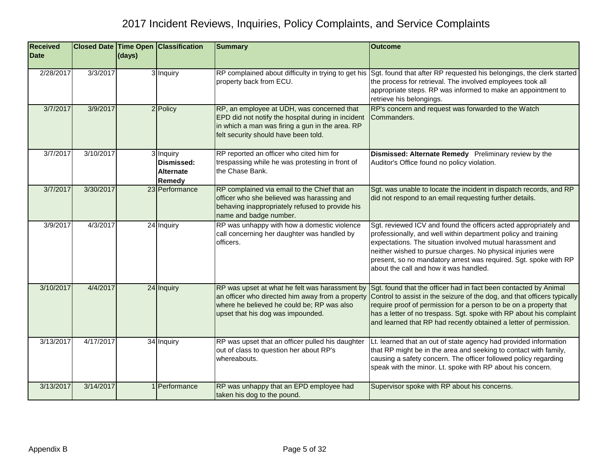| <b>Received</b><br><b>Date</b> |           | (days) | <b>Closed Date Time Open Classification</b>    | <b>Summary</b>                                                                                                                                                                              | <b>Outcome</b>                                                                                                                                                                                                                                                                                                                                                                |
|--------------------------------|-----------|--------|------------------------------------------------|---------------------------------------------------------------------------------------------------------------------------------------------------------------------------------------------|-------------------------------------------------------------------------------------------------------------------------------------------------------------------------------------------------------------------------------------------------------------------------------------------------------------------------------------------------------------------------------|
| 2/28/2017                      | 3/3/2017  |        | 3 Inquiry                                      | RP complained about difficulty in trying to get his<br>property back from ECU.                                                                                                              | Sgt. found that after RP requested his belongings, the clerk started<br>the process for retrieval. The involved employees took all<br>appropriate steps. RP was informed to make an appointment to<br>retrieve his belongings.                                                                                                                                                |
| 3/7/2017                       | 3/9/2017  |        | 2 Policy                                       | RP, an employee at UDH, was concerned that<br>EPD did not notify the hospital during in incident<br>in which a man was firing a gun in the area. RP<br>felt security should have been told. | RP's concern and request was forwarded to the Watch<br>Commanders.                                                                                                                                                                                                                                                                                                            |
| 3/7/2017                       | 3/10/2017 |        | 3 Inquiry<br>Dismissed:<br>Alternate<br>Remedy | RP reported an officer who cited him for<br>trespassing while he was protesting in front of<br>the Chase Bank.                                                                              | Dismissed: Alternate Remedy Preliminary review by the<br>Auditor's Office found no policy violation.                                                                                                                                                                                                                                                                          |
| 3/7/2017                       | 3/30/2017 |        | 23 Performance                                 | RP complained via email to the Chief that an<br>officer who she believed was harassing and<br>behaving inappropriately refused to provide his<br>name and badge number.                     | Sgt. was unable to locate the incident in dispatch records, and RP<br>did not respond to an email requesting further details.                                                                                                                                                                                                                                                 |
| 3/9/2017                       | 4/3/2017  |        | 24 Inquiry                                     | RP was unhappy with how a domestic violence<br>call concerning her daughter was handled by<br>officers.                                                                                     | Sgt. reviewed ICV and found the officers acted appropriately and<br>professionally, and well within department policy and training<br>expectations. The situation involved mutual harassment and<br>neither wished to pursue charges. No physical injuries were<br>present, so no mandatory arrest was required. Sgt. spoke with RP<br>about the call and how it was handled. |
| 3/10/2017                      | 4/4/2017  |        | 24 Inquiry                                     | RP was upset at what he felt was harassment by<br>an officer who directed him away from a property<br>where he believed he could be; RP was also<br>upset that his dog was impounded.       | Sgt. found that the officer had in fact been contacted by Animal<br>Control to assist in the seizure of the dog, and that officers typically<br>require proof of permission for a person to be on a property that<br>has a letter of no trespass. Sgt. spoke with RP about his complaint<br>and learned that RP had recently obtained a letter of permission.                 |
| 3/13/2017                      | 4/17/2017 |        | 34 Inquiry                                     | RP was upset that an officer pulled his daughter<br>out of class to question her about RP's<br>whereabouts.                                                                                 | Lt. learned that an out of state agency had provided information<br>that RP might be in the area and seeking to contact with family,<br>causing a safety concern. The officer followed policy regarding<br>speak with the minor. Lt. spoke with RP about his concern.                                                                                                         |
| 3/13/2017                      | 3/14/2017 |        | 1 Performance                                  | RP was unhappy that an EPD employee had<br>taken his dog to the pound.                                                                                                                      | Supervisor spoke with RP about his concerns.                                                                                                                                                                                                                                                                                                                                  |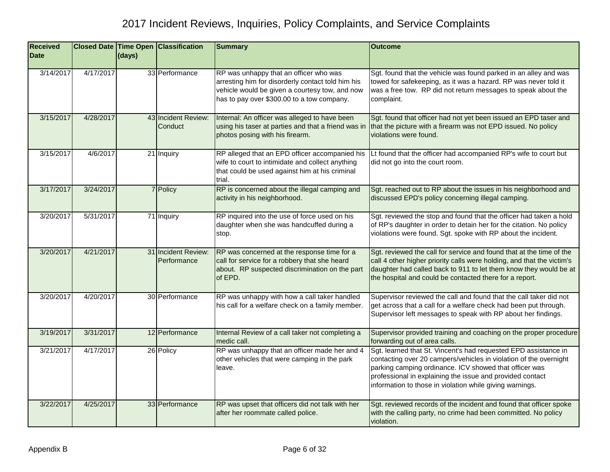| <b>Received</b><br><b>Date</b> |           | (days) | <b>Closed Date Time Open Classification</b> | <b>Summary</b>                                                                                                                                                                              | <b>Outcome</b>                                                                                                                                                                                                                                                                                                          |
|--------------------------------|-----------|--------|---------------------------------------------|---------------------------------------------------------------------------------------------------------------------------------------------------------------------------------------------|-------------------------------------------------------------------------------------------------------------------------------------------------------------------------------------------------------------------------------------------------------------------------------------------------------------------------|
|                                |           |        |                                             |                                                                                                                                                                                             |                                                                                                                                                                                                                                                                                                                         |
| 3/14/2017                      | 4/17/2017 |        | 33 Performance                              | RP was unhappy that an officer who was<br>arresting him for disorderly contact told him his<br>vehicle would be given a courtesy tow, and now<br>has to pay over \$300.00 to a tow company. | Sgt. found that the vehicle was found parked in an alley and was<br>towed for safekeeping, as it was a hazard. RP was never told it<br>was a free tow. RP did not return messages to speak about the<br>complaint.                                                                                                      |
| 3/15/2017                      | 4/28/2017 |        | 43 Incident Review:<br>Conduct              | Internal: An officer was alleged to have been<br>using his taser at parties and that a friend was in<br>photos posing with his firearm.                                                     | Sgt. found that officer had not yet been issued an EPD taser and<br>that the picture with a firearm was not EPD issued. No policy<br>violations were found.                                                                                                                                                             |
| 3/15/2017                      | 4/6/2017  |        | 21 Inquiry                                  | RP alleged that an EPD officer accompanied his<br>wife to court to intimidate and collect anything<br>that could be used against him at his criminal<br>trial.                              | Lt found that the officer had accompanied RP's wife to court but<br>did not go into the court room.                                                                                                                                                                                                                     |
| 3/17/2017                      | 3/24/2017 |        | 7 Policy                                    | RP is concerned about the illegal camping and<br>activity in his neighborhood.                                                                                                              | Sgt. reached out to RP about the issues in his neighborhood and<br>discussed EPD's policy concerning illegal camping.                                                                                                                                                                                                   |
| 3/20/2017                      | 5/31/2017 |        | 71 Inquiry                                  | RP inquired into the use of force used on his<br>daughter when she was handcuffed during a<br>stop.                                                                                         | Sgt. reviewed the stop and found that the officer had taken a hold<br>of RP's daughter in order to detain her for the citation. No policy<br>violations were found. Sgt. spoke with RP about the incident.                                                                                                              |
| 3/20/2017                      | 4/21/2017 |        | 31 Incident Review:<br>Performance          | RP was concerned at the response time for a<br>call for service for a robbery that she heard<br>about. RP suspected discrimination on the part<br>of EPD.                                   | Sgt. reviewed the call for service and found that at the time of the<br>call 4 other higher priority calls were holding, and that the victim's<br>daughter had called back to 911 to let them know they would be at<br>the hospital and could be contacted there for a report.                                          |
| 3/20/2017                      | 4/20/2017 |        | 30 Performance                              | RP was unhappy with how a call taker handled<br>his call for a welfare check on a family member.                                                                                            | Supervisor reviewed the call and found that the call taker did not<br>get across that a call for a welfare check had been put through.<br>Supervisor left messages to speak with RP about her findings.                                                                                                                 |
| 3/19/2017                      | 3/31/2017 |        | 12 Performance                              | Internal Review of a call taker not completing a<br>medic call.                                                                                                                             | Supervisor provided training and coaching on the proper procedure<br>forwarding out of area calls.                                                                                                                                                                                                                      |
| 3/21/2017                      | 4/17/2017 |        | 26 Policy                                   | RP was unhappy that an officer made her and 4<br>other vehicles that were camping in the park<br>leave.                                                                                     | Sgt. learned that St. Vincent's had requested EPD assistance in<br>contacting over 20 campers/vehicles in violation of the overnight<br>parking camping ordinance. ICV showed that officer was<br>professional in explaining the issue and provided contact<br>information to those in violation while giving warnings. |
| 3/22/2017                      | 4/25/2017 |        | 33 Performance                              | RP was upset that officers did not talk with her<br>after her roommate called police.                                                                                                       | Sgt. reviewed records of the incident and found that officer spoke<br>with the calling party, no crime had been committed. No policy<br>violation.                                                                                                                                                                      |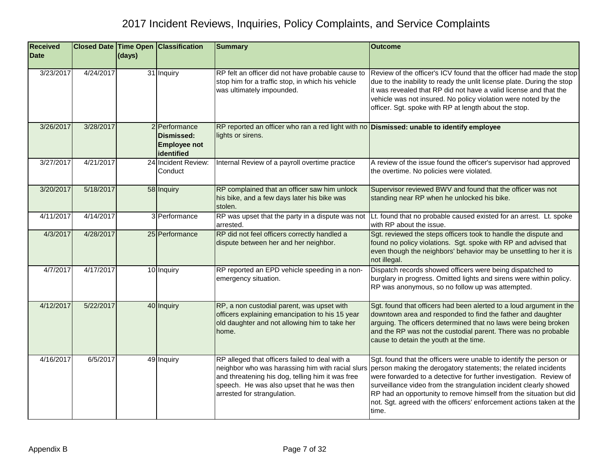| <b>Received</b><br><b>Date</b> |           | (days) | <b>Closed Date Time Open Classification</b>                      | <b>Summary</b>                                                                                                                                                                                                                      | <b>Outcome</b>                                                                                                                                                                                                                                                                                                                                                                                                                         |
|--------------------------------|-----------|--------|------------------------------------------------------------------|-------------------------------------------------------------------------------------------------------------------------------------------------------------------------------------------------------------------------------------|----------------------------------------------------------------------------------------------------------------------------------------------------------------------------------------------------------------------------------------------------------------------------------------------------------------------------------------------------------------------------------------------------------------------------------------|
| 3/23/2017                      | 4/24/2017 |        | 31 Inquiry                                                       | RP felt an officer did not have probable cause to<br>stop him for a traffic stop, in which his vehicle<br>was ultimately impounded.                                                                                                 | Review of the officer's ICV found that the officer had made the stop<br>due to the inability to ready the unlit license plate. During the stop<br>it was revealed that RP did not have a valid license and that the<br>vehicle was not insured. No policy violation were noted by the<br>officer. Sgt. spoke with RP at length about the stop.                                                                                         |
| 3/26/2017                      | 3/28/2017 |        | 2 Performance<br>Dismissed:<br><b>Employee not</b><br>identified | RP reported an officer who ran a red light with no Dismissed: unable to identify employee<br>lights or sirens.                                                                                                                      |                                                                                                                                                                                                                                                                                                                                                                                                                                        |
| 3/27/2017                      | 4/21/2017 |        | 24 Incident Review:<br>Conduct                                   | Internal Review of a payroll overtime practice                                                                                                                                                                                      | A review of the issue found the officer's supervisor had approved<br>the overtime. No policies were violated.                                                                                                                                                                                                                                                                                                                          |
| 3/20/2017                      | 5/18/2017 |        | 58 Inquiry                                                       | RP complained that an officer saw him unlock<br>his bike, and a few days later his bike was<br>stolen.                                                                                                                              | Supervisor reviewed BWV and found that the officer was not<br>standing near RP when he unlocked his bike.                                                                                                                                                                                                                                                                                                                              |
| 4/11/2017                      | 4/14/2017 |        | 3 Performance                                                    | RP was upset that the party in a dispute was not<br>arrested.                                                                                                                                                                       | Lt. found that no probable caused existed for an arrest. Lt. spoke<br>with RP about the issue.                                                                                                                                                                                                                                                                                                                                         |
| 4/3/2017                       | 4/28/2017 |        | 25 Performance                                                   | RP did not feel officers correctly handled a<br>dispute between her and her neighbor.                                                                                                                                               | Sgt. reviewed the steps officers took to handle the dispute and<br>found no policy violations. Sgt. spoke with RP and advised that<br>even though the neighbors' behavior may be unsettling to her it is<br>not illegal.                                                                                                                                                                                                               |
| 4/7/2017                       | 4/17/2017 |        | 10 Inquiry                                                       | RP reported an EPD vehicle speeding in a non-<br>emergency situation.                                                                                                                                                               | Dispatch records showed officers were being dispatched to<br>burglary in progress. Omitted lights and sirens were within policy.<br>RP was anonymous, so no follow up was attempted.                                                                                                                                                                                                                                                   |
| 4/12/2017                      | 5/22/2017 |        | 40 Inquiry                                                       | RP, a non custodial parent, was upset with<br>officers explaining emancipation to his 15 year<br>old daughter and not allowing him to take her<br>home.                                                                             | Sgt. found that officers had been alerted to a loud argument in the<br>downtown area and responded to find the father and daughter<br>arguing. The officers determined that no laws were being broken<br>and the RP was not the custodial parent. There was no probable<br>cause to detain the youth at the time.                                                                                                                      |
| 4/16/2017                      | 6/5/2017  |        | 49 Inquiry                                                       | RP alleged that officers failed to deal with a<br>neighbor who was harassing him with racial slurs<br>and threatening his dog, telling him it was free<br>speech. He was also upset that he was then<br>arrested for strangulation. | Sgt. found that the officers were unable to identify the person or<br>person making the derogatory statements; the related incidents<br>were forwarded to a detective for further investigation. Review of<br>surveillance video from the strangulation incident clearly showed<br>RP had an opportunity to remove himself from the situation but did<br>not. Sgt. agreed with the officers' enforcement actions taken at the<br>time. |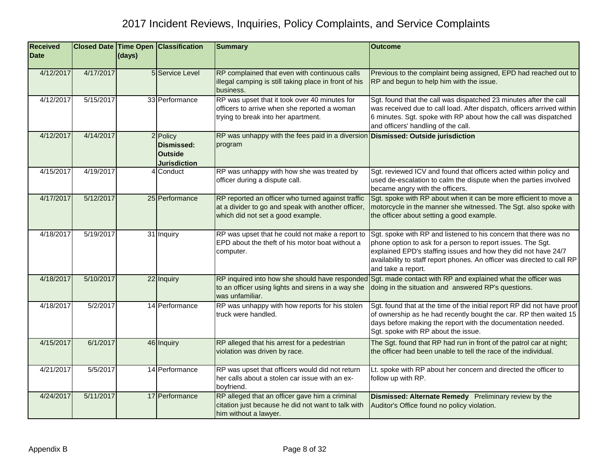| <b>Received</b><br><b>Date</b> |           | (days) | <b>Closed Date Time Open Classification</b>                     | <b>Summary</b>                                                                                                                               | <b>Outcome</b>                                                                                                                                                                                                                                                                                     |
|--------------------------------|-----------|--------|-----------------------------------------------------------------|----------------------------------------------------------------------------------------------------------------------------------------------|----------------------------------------------------------------------------------------------------------------------------------------------------------------------------------------------------------------------------------------------------------------------------------------------------|
| 4/12/2017                      | 4/17/2017 |        | 5 Service Level                                                 | RP complained that even with continuous calls<br>illegal camping is still taking place in front of his<br>business.                          | Previous to the complaint being assigned, EPD had reached out to<br>RP and begun to help him with the issue.                                                                                                                                                                                       |
| 4/12/2017                      | 5/15/2017 |        | 33 Performance                                                  | RP was upset that it took over 40 minutes for<br>officers to arrive when she reported a woman<br>trying to break into her apartment.         | Sgt. found that the call was dispatched 23 minutes after the call<br>was received due to call load. After dispatch, officers arrived within<br>6 minutes. Sgt. spoke with RP about how the call was dispatched<br>and officers' handling of the call.                                              |
| 4/12/2017                      | 4/14/2017 |        | 2 Policy<br>Dismissed:<br><b>Outside</b><br><b>Jurisdiction</b> | RP was unhappy with the fees paid in a diversion Dismissed: Outside jurisdiction<br>program                                                  |                                                                                                                                                                                                                                                                                                    |
| 4/15/2017                      | 4/19/2017 |        | 4 Conduct                                                       | RP was unhappy with how she was treated by<br>officer during a dispute call.                                                                 | Sgt. reviewed ICV and found that officers acted within policy and<br>used de-escalation to calm the dispute when the parties involved<br>became angry with the officers.                                                                                                                           |
| 4/17/2017                      | 5/12/2017 |        | 25 Performance                                                  | RP reported an officer who turned against traffic<br>at a divider to go and speak with another officer,<br>which did not set a good example. | Sgt. spoke with RP about when it can be more efficient to move a<br>motorcycle in the manner she witnessed. The Sgt. also spoke with<br>the officer about setting a good example.                                                                                                                  |
| 4/18/2017                      | 5/19/2017 |        | 31 Inquiry                                                      | RP was upset that he could not make a report to<br>EPD about the theft of his motor boat without a<br>computer.                              | Sgt. spoke with RP and listened to his concern that there was no<br>phone option to ask for a person to report issues. The Sgt.<br>explained EPD's staffing issues and how they did not have 24/7<br>availability to staff report phones. An officer was directed to call RP<br>and take a report. |
| 4/18/2017                      | 5/10/2017 |        | 22 Inquiry                                                      | RP inquired into how she should have responded<br>to an officer using lights and sirens in a way she<br>was unfamiliar.                      | Sgt. made contact with RP and explained what the officer was<br>doing in the situation and answered RP's questions.                                                                                                                                                                                |
| 4/18/2017                      | 5/2/2017  |        | 14 Performance                                                  | RP was unhappy with how reports for his stolen<br>truck were handled.                                                                        | Sgt. found that at the time of the initial report RP did not have proof<br>of ownership as he had recently bought the car. RP then waited 15<br>days before making the report with the documentation needed.<br>Sgt. spoke with RP about the issue.                                                |
| 4/15/2017                      | 6/1/2017  |        | 46 Inquiry                                                      | RP alleged that his arrest for a pedestrian<br>violation was driven by race.                                                                 | The Sgt. found that RP had run in front of the patrol car at night;<br>the officer had been unable to tell the race of the individual.                                                                                                                                                             |
| 4/21/2017                      | 5/5/2017  |        | 14 Performance                                                  | RP was upset that officers would did not return<br>her calls about a stolen car issue with an ex-<br>boyfriend.                              | Lt. spoke with RP about her concern and directed the officer to<br>follow up with RP.                                                                                                                                                                                                              |
| 4/24/2017                      | 5/11/2017 |        | 17 Performance                                                  | RP alleged that an officer gave him a criminal<br>citation just because he did not want to talk with<br>him without a lawyer.                | Dismissed: Alternate Remedy Preliminary review by the<br>Auditor's Office found no policy violation.                                                                                                                                                                                               |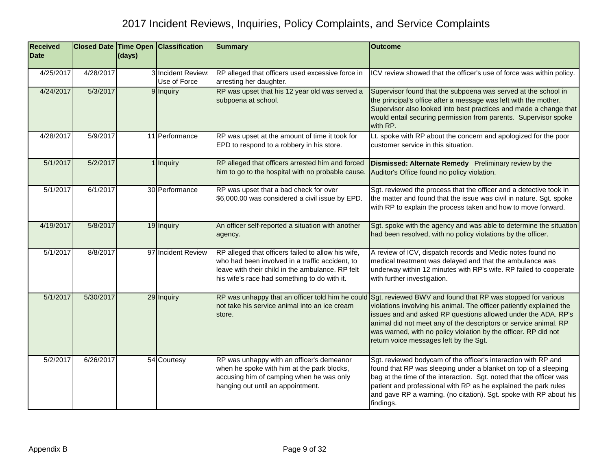| <b>Received</b><br><b>Date</b> |           | (days) | <b>Closed Date Time Open Classification</b> | <b>Summary</b>                                                                                                                                                                                            | <b>Outcome</b>                                                                                                                                                                                                                                                                                                                                                                        |
|--------------------------------|-----------|--------|---------------------------------------------|-----------------------------------------------------------------------------------------------------------------------------------------------------------------------------------------------------------|---------------------------------------------------------------------------------------------------------------------------------------------------------------------------------------------------------------------------------------------------------------------------------------------------------------------------------------------------------------------------------------|
| 4/25/2017                      | 4/28/2017 |        | 3 Incident Review:<br>Use of Force          | RP alleged that officers used excessive force in<br>arresting her daughter.                                                                                                                               | ICV review showed that the officer's use of force was within policy.                                                                                                                                                                                                                                                                                                                  |
| 4/24/2017                      | 5/3/2017  |        | 9 Inquiry                                   | RP was upset that his 12 year old was served a<br>subpoena at school.                                                                                                                                     | Supervisor found that the subpoena was served at the school in<br>the principal's office after a message was left with the mother.<br>Supervisor also looked into best practices and made a change that<br>would entail securing permission from parents. Supervisor spoke<br>with RP.                                                                                                |
| 4/28/2017                      | 5/9/2017  |        | 11 Performance                              | RP was upset at the amount of time it took for<br>EPD to respond to a robbery in his store.                                                                                                               | Lt. spoke with RP about the concern and apologized for the poor<br>customer service in this situation.                                                                                                                                                                                                                                                                                |
| 5/1/2017                       | 5/2/2017  |        | 1 Inquiry                                   | RP alleged that officers arrested him and forced<br>him to go to the hospital with no probable cause.                                                                                                     | Dismissed: Alternate Remedy Preliminary review by the<br>Auditor's Office found no policy violation.                                                                                                                                                                                                                                                                                  |
| 5/1/2017                       | 6/1/2017  |        | 30 Performance                              | RP was upset that a bad check for over<br>\$6,000.00 was considered a civil issue by EPD.                                                                                                                 | Sgt. reviewed the process that the officer and a detective took in<br>the matter and found that the issue was civil in nature. Sgt. spoke<br>with RP to explain the process taken and how to move forward.                                                                                                                                                                            |
| 4/19/2017                      | 5/8/2017  |        | 19 Inquiry                                  | An officer self-reported a situation with another<br>agency.                                                                                                                                              | Sgt. spoke with the agency and was able to determine the situation<br>had been resolved, with no policy violations by the officer.                                                                                                                                                                                                                                                    |
| 5/1/2017                       | 8/8/2017  |        | 97 Incident Review                          | RP alleged that officers failed to allow his wife,<br>who had been involved in a traffic accident, to<br>leave with their child in the ambulance. RP felt<br>his wife's race had something to do with it. | A review of ICV, dispatch records and Medic notes found no<br>medical treatment was delayed and that the ambulance was<br>underway within 12 minutes with RP's wife. RP failed to cooperate<br>with further investigation.                                                                                                                                                            |
| 5/1/2017                       | 5/30/2017 |        | 29 Inquiry                                  | RP was unhappy that an officer told him he could<br>not take his service animal into an ice cream<br>store.                                                                                               | Sgt. reviewed BWV and found that RP was stopped for various<br>violations involving his animal. The officer patiently explained the<br>issues and and asked RP questions allowed under the ADA. RP's<br>animal did not meet any of the descriptors or service animal. RP<br>was warned, with no policy violation by the officer. RP did not<br>return voice messages left by the Sgt. |
| 5/2/2017                       | 6/26/2017 |        | 54 Courtesy                                 | RP was unhappy with an officer's demeanor<br>when he spoke with him at the park blocks,<br>accusing him of camping when he was only<br>hanging out until an appointment.                                  | Sgt. reviewed bodycam of the officer's interaction with RP and<br>found that RP was sleeping under a blanket on top of a sleeping<br>bag at the time of the interaction. Sgt. noted that the officer was<br>patient and professional with RP as he explained the park rules<br>and gave RP a warning. (no citation). Sgt. spoke with RP about his<br>findings.                        |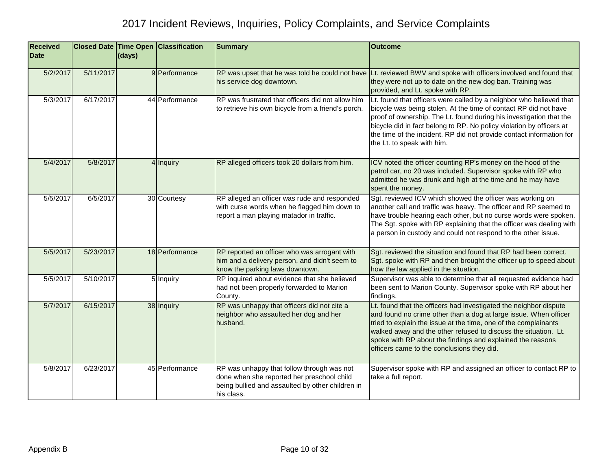| <b>Received</b><br><b>Date</b> |           | (days) | <b>Closed Date Time Open Classification</b> | <b>Summary</b>                                                                                                                                             | <b>Outcome</b>                                                                                                                                                                                                                                                                                                                                                                               |
|--------------------------------|-----------|--------|---------------------------------------------|------------------------------------------------------------------------------------------------------------------------------------------------------------|----------------------------------------------------------------------------------------------------------------------------------------------------------------------------------------------------------------------------------------------------------------------------------------------------------------------------------------------------------------------------------------------|
|                                |           |        |                                             |                                                                                                                                                            |                                                                                                                                                                                                                                                                                                                                                                                              |
| 5/2/2017                       | 5/11/2017 |        | 9 Performance                               | his service dog downtown.                                                                                                                                  | RP was upset that he was told he could not have Lt. reviewed BWV and spoke with officers involved and found that<br>they were not up to date on the new dog ban. Training was<br>provided, and Lt. spoke with RP.                                                                                                                                                                            |
| 5/3/2017                       | 6/17/2017 |        | 44 Performance                              | RP was frustrated that officers did not allow him<br>to retrieve his own bicycle from a friend's porch.                                                    | Lt. found that officers were called by a neighbor who believed that<br>bicycle was being stolen. At the time of contact RP did not have<br>proof of ownership. The Lt. found during his investigation that the<br>bicycle did in fact belong to RP. No policy violation by officers at<br>the time of the incident. RP did not provide contact information for<br>the Lt. to speak with him. |
| 5/4/2017                       | 5/8/2017  |        | 4 Inquiry                                   | RP alleged officers took 20 dollars from him.                                                                                                              | ICV noted the officer counting RP's money on the hood of the<br>patrol car, no 20 was included. Supervisor spoke with RP who<br>admitted he was drunk and high at the time and he may have<br>spent the money.                                                                                                                                                                               |
| 5/5/2017                       | 6/5/2017  |        | 30 Courtesy                                 | RP alleged an officer was rude and responded<br>with curse words when he flagged him down to<br>report a man playing matador in traffic.                   | Sgt. reviewed ICV which showed the officer was working on<br>another call and traffic was heavy. The officer and RP seemed to<br>have trouble hearing each other, but no curse words were spoken.<br>The Sgt. spoke with RP explaining that the officer was dealing with<br>a person in custody and could not respond to the other issue.                                                    |
| 5/5/2017                       | 5/23/2017 |        | 18 Performance                              | RP reported an officer who was arrogant with<br>him and a delivery person, and didn't seem to<br>know the parking laws downtown.                           | Sgt. reviewed the situation and found that RP had been correct.<br>Sgt. spoke with RP and then brought the officer up to speed about<br>how the law applied in the situation.                                                                                                                                                                                                                |
| 5/5/2017                       | 5/10/2017 |        | 5 Inquiry                                   | RP inquired about evidence that she believed<br>had not been properly forwarded to Marion<br>County.                                                       | Supervisor was able to determine that all requested evidence had<br>been sent to Marion County. Supervisor spoke with RP about her<br>findings.                                                                                                                                                                                                                                              |
| 5/7/2017                       | 6/15/2017 |        | 38 Inquiry                                  | RP was unhappy that officers did not cite a<br>neighbor who assaulted her dog and her<br>husband.                                                          | Lt. found that the officers had investigated the neighbor dispute<br>and found no crime other than a dog at large issue. When officer<br>tried to explain the issue at the time, one of the complainants<br>walked away and the other refused to discuss the situation. Lt.<br>spoke with RP about the findings and explained the reasons<br>officers came to the conclusions they did.      |
| 5/8/2017                       | 6/23/2017 |        | 45 Performance                              | RP was unhappy that follow through was not<br>done when she reported her preschool child<br>being bullied and assaulted by other children in<br>his class. | Supervisor spoke with RP and assigned an officer to contact RP to<br>take a full report.                                                                                                                                                                                                                                                                                                     |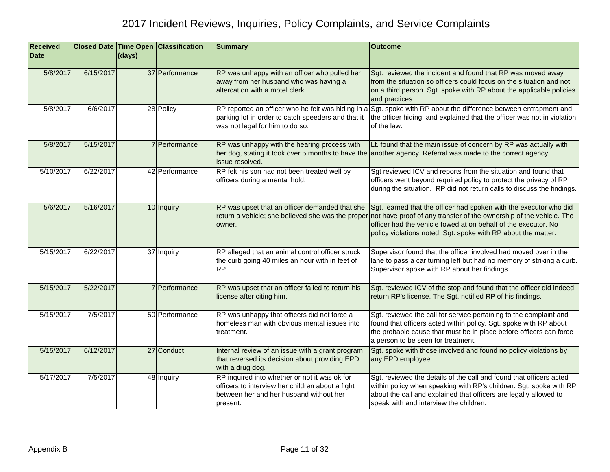| <b>Received</b><br><b>Date</b> |           | (days) | <b>Closed Date Time Open Classification</b> | <b>Summary</b>                                                                                                                                           | <b>Outcome</b>                                                                                                                                                                                                                                                               |
|--------------------------------|-----------|--------|---------------------------------------------|----------------------------------------------------------------------------------------------------------------------------------------------------------|------------------------------------------------------------------------------------------------------------------------------------------------------------------------------------------------------------------------------------------------------------------------------|
| 5/8/2017                       | 6/15/2017 |        | 37 Performance                              | RP was unhappy with an officer who pulled her<br>away from her husband who was having a<br>altercation with a motel clerk.                               | Sgt. reviewed the incident and found that RP was moved away<br>from the situation so officers could focus on the situation and not<br>on a third person. Sgt. spoke with RP about the applicable policies<br>and practices.                                                  |
| 5/8/2017                       | 6/6/2017  |        | 28 Policy                                   | parking lot in order to catch speeders and that it<br>was not legal for him to do so.                                                                    | RP reported an officer who he felt was hiding in a Sgt. spoke with RP about the difference between entrapment and<br>the officer hiding, and explained that the officer was not in violation<br>of the law.                                                                  |
| 5/8/2017                       | 5/15/2017 |        | 7 Performance                               | RP was unhappy with the hearing process with<br>issue resolved.                                                                                          | Lt. found that the main issue of concern by RP was actually with<br>her dog, stating it took over 5 months to have the another agency. Referral was made to the correct agency.                                                                                              |
| 5/10/2017                      | 6/22/2017 |        | 42 Performance                              | RP felt his son had not been treated well by<br>officers during a mental hold.                                                                           | Sgt reviewed ICV and reports from the situation and found that<br>officers went beyond required policy to protect the privacy of RP<br>during the situation. RP did not return calls to discuss the findings.                                                                |
| 5/6/2017                       | 5/16/2017 |        | 10 Inquiry                                  | RP was upset that an officer demanded that she<br>return a vehicle; she believed she was the proper<br>owner.                                            | Sgt. learned that the officer had spoken with the executor who did<br>not have proof of any transfer of the ownership of the vehicle. The<br>officer had the vehicle towed at on behalf of the executor. No<br>policy violations noted. Sgt. spoke with RP about the matter. |
| 5/15/2017                      | 6/22/2017 |        | 37 Inquiry                                  | RP alleged that an animal control officer struck<br>the curb going 40 miles an hour with in feet of<br>RP.                                               | Supervisor found that the officer involved had moved over in the<br>lane to pass a car turning left but had no memory of striking a curb.<br>Supervisor spoke with RP about her findings.                                                                                    |
| 5/15/2017                      | 5/22/2017 |        | 7 Performance                               | RP was upset that an officer failed to return his<br>license after citing him.                                                                           | Sgt. reviewed ICV of the stop and found that the officer did indeed<br>return RP's license. The Sgt. notified RP of his findings.                                                                                                                                            |
| 5/15/2017                      | 7/5/2017  |        | 50 Performance                              | RP was unhappy that officers did not force a<br>homeless man with obvious mental issues into<br>treatment.                                               | Sgt. reviewed the call for service pertaining to the complaint and<br>found that officers acted within policy. Sgt. spoke with RP about<br>the probable cause that must be in place before officers can force<br>a person to be seen for treatment.                          |
| 5/15/2017                      | 6/12/2017 |        | 27 Conduct                                  | Internal review of an issue with a grant program<br>that reversed its decision about providing EPD<br>with a drug dog.                                   | Sgt. spoke with those involved and found no policy violations by<br>any EPD employee.                                                                                                                                                                                        |
| 5/17/2017                      | 7/5/2017  |        | 48 Inquiry                                  | RP inquired into whether or not it was ok for<br>officers to interview her children about a fight<br>between her and her husband without her<br>present. | Sgt. reviewed the details of the call and found that officers acted<br>within policy when speaking with RP's children. Sgt. spoke with RP<br>about the call and explained that officers are legally allowed to<br>speak with and interview the children.                     |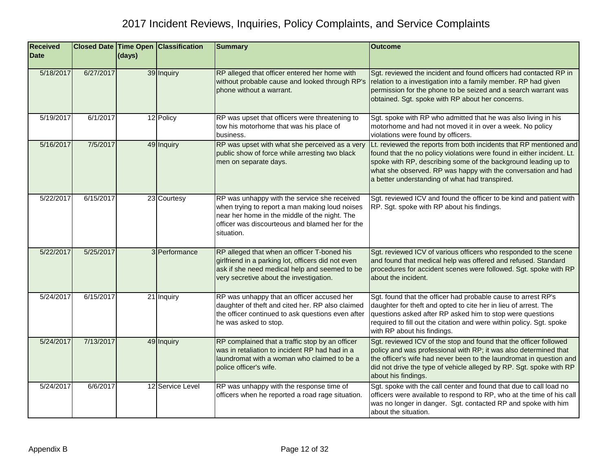| <b>Received</b><br><b>Date</b> |           | (days) | <b>Closed Date Time Open Classification</b> | <b>Summary</b>                                                                                                                                                                                                   | <b>Outcome</b>                                                                                                                                                                                                                                                                                                                    |
|--------------------------------|-----------|--------|---------------------------------------------|------------------------------------------------------------------------------------------------------------------------------------------------------------------------------------------------------------------|-----------------------------------------------------------------------------------------------------------------------------------------------------------------------------------------------------------------------------------------------------------------------------------------------------------------------------------|
| 5/18/2017                      | 6/27/2017 |        | 39 Inquiry                                  | RP alleged that officer entered her home with<br>without probable cause and looked through RP's<br>phone without a warrant.                                                                                      | Sgt. reviewed the incident and found officers had contacted RP in<br>relation to a investigation into a family member. RP had given<br>permission for the phone to be seized and a search warrant was<br>obtained. Sgt. spoke with RP about her concerns.                                                                         |
| 5/19/2017                      | 6/1/2017  |        | 12 Policy                                   | RP was upset that officers were threatening to<br>tow his motorhome that was his place of<br>business.                                                                                                           | Sgt. spoke with RP who admitted that he was also living in his<br>motorhome and had not moved it in over a week. No policy<br>violations were found by officers.                                                                                                                                                                  |
| 5/16/2017                      | 7/5/2017  |        | 49 Inquiry                                  | RP was upset with what she perceived as a very<br>public show of force while arresting two black<br>men on separate days.                                                                                        | Lt. reviewed the reports from both incidents that RP mentioned and<br>found that the no policy violations were found in either incident. Lt.<br>spoke with RP, describing some of the background leading up to<br>what she observed. RP was happy with the conversation and had<br>a better understanding of what had transpired. |
| 5/22/2017                      | 6/15/2017 |        | 23 Courtesy                                 | RP was unhappy with the service she received<br>when trying to report a man making loud noises<br>near her home in the middle of the night. The<br>officer was discourteous and blamed her for the<br>situation. | Sgt. reviewed ICV and found the officer to be kind and patient with<br>RP. Sgt. spoke with RP about his findings.                                                                                                                                                                                                                 |
| 5/22/2017                      | 5/25/2017 |        | 3 Performance                               | RP alleged that when an officer T-boned his<br>girlfriend in a parking lot, officers did not even<br>ask if she need medical help and seemed to be<br>very secretive about the investigation.                    | Sgt. reviewed ICV of various officers who responded to the scene<br>and found that medical help was offered and refused. Standard<br>procedures for accident scenes were followed. Sgt. spoke with RP<br>about the incident.                                                                                                      |
| 5/24/2017                      | 6/15/2017 |        | 21 Inquiry                                  | RP was unhappy that an officer accused her<br>daughter of theft and cited her. RP also claimed<br>the officer continued to ask questions even after<br>he was asked to stop.                                     | Sgt. found that the officer had probable cause to arrest RP's<br>daughter for theft and opted to cite her in lieu of arrest. The<br>questions asked after RP asked him to stop were questions<br>required to fill out the citation and were within policy. Sgt. spoke<br>with RP about his findings.                              |
| 5/24/2017                      | 7/13/2017 |        | 49 Inquiry                                  | RP complained that a traffic stop by an officer<br>was in retaliation to incident RP had had in a<br>laundromat with a woman who claimed to be a<br>police officer's wife.                                       | Sgt. reviewed ICV of the stop and found that the officer followed<br>policy and was professional with RP; it was also determined that<br>the officer's wife had never been to the laundromat in question and<br>did not drive the type of vehicle alleged by RP. Sgt. spoke with RP<br>about his findings.                        |
| 5/24/2017                      | 6/6/2017  |        | 12 Service Level                            | RP was unhappy with the response time of<br>officers when he reported a road rage situation.                                                                                                                     | Sgt. spoke with the call center and found that due to call load no<br>officers were available to respond to RP, who at the time of his call<br>was no longer in danger. Sgt. contacted RP and spoke with him<br>about the situation.                                                                                              |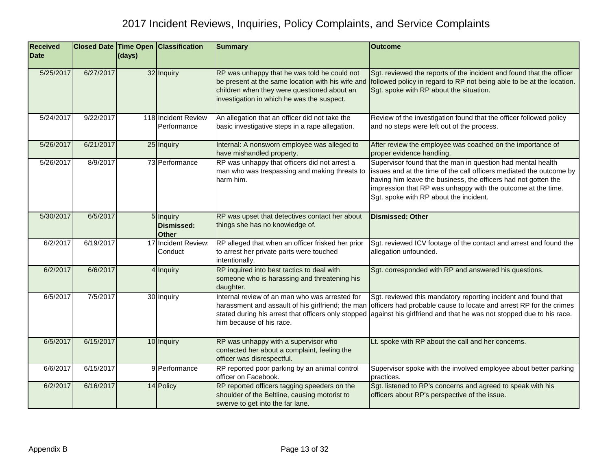| <b>Received</b><br><b>Date</b> |           | (days) | <b>Closed Date Time Open Classification</b> | <b>Summary</b>                                                                                                                                                                                 | <b>Outcome</b>                                                                                                                                                                                                                                                                                                 |
|--------------------------------|-----------|--------|---------------------------------------------|------------------------------------------------------------------------------------------------------------------------------------------------------------------------------------------------|----------------------------------------------------------------------------------------------------------------------------------------------------------------------------------------------------------------------------------------------------------------------------------------------------------------|
| 5/25/2017                      | 6/27/2017 |        | 32 Inquiry                                  | RP was unhappy that he was told he could not<br>be present at the same location with his wife and<br>children when they were questioned about an<br>investigation in which he was the suspect. | Sgt. reviewed the reports of the incident and found that the officer<br>followed policy in regard to RP not being able to be at the location.<br>Sgt. spoke with RP about the situation.                                                                                                                       |
| 5/24/2017                      | 9/22/2017 |        | 118 Incident Review<br>Performance          | An allegation that an officer did not take the<br>basic investigative steps in a rape allegation.                                                                                              | Review of the investigation found that the officer followed policy<br>and no steps were left out of the process.                                                                                                                                                                                               |
| 5/26/2017                      | 6/21/2017 |        | 25 Inquiry                                  | Internal: A nonsworn employee was alleged to<br>have mishandled property.                                                                                                                      | After review the employee was coached on the importance of<br>proper evidence handling.                                                                                                                                                                                                                        |
| 5/26/2017                      | 8/9/2017  |        | 73 Performance                              | RP was unhappy that officers did not arrest a<br>man who was trespassing and making threats to<br>harm him.                                                                                    | Supervisor found that the man in question had mental health<br>issues and at the time of the call officers mediated the outcome by<br>having him leave the business, the officers had not gotten the<br>impression that RP was unhappy with the outcome at the time.<br>Sgt. spoke with RP about the incident. |
| 5/30/2017                      | 6/5/2017  |        | 5 Inquiry<br>Dismissed:<br><b>Other</b>     | RP was upset that detectives contact her about<br>things she has no knowledge of.                                                                                                              | <b>Dismissed: Other</b>                                                                                                                                                                                                                                                                                        |
| 6/2/2017                       | 6/19/2017 |        | 17 Incident Review:<br>Conduct              | RP alleged that when an officer frisked her prior<br>to arrest her private parts were touched<br>intentionally.                                                                                | Sgt. reviewed ICV footage of the contact and arrest and found the<br>allegation unfounded.                                                                                                                                                                                                                     |
| 6/2/2017                       | 6/6/2017  |        | 4 Inquiry                                   | RP inquired into best tactics to deal with<br>someone who is harassing and threatening his<br>daughter.                                                                                        | Sgt. corresponded with RP and answered his questions.                                                                                                                                                                                                                                                          |
| 6/5/2017                       | 7/5/2017  |        | 30 Inquiry                                  | Internal review of an man who was arrested for<br>harassment and assault of his girlfriend; the man<br>stated during his arrest that officers only stopped<br>him because of his race.         | Sgt. reviewed this mandatory reporting incident and found that<br>officers had probable cause to locate and arrest RP for the crimes<br>against his girlfriend and that he was not stopped due to his race.                                                                                                    |
| 6/5/2017                       | 6/15/2017 |        | 10 Inquiry                                  | RP was unhappy with a supervisor who<br>contacted her about a complaint, feeling the<br>officer was disrespectful.                                                                             | Lt. spoke with RP about the call and her concerns.                                                                                                                                                                                                                                                             |
| 6/6/2017                       | 6/15/2017 |        | 9 Performance                               | RP reported poor parking by an animal control<br>officer on Facebook.                                                                                                                          | Supervisor spoke with the involved employee about better parking<br>practices.                                                                                                                                                                                                                                 |
| 6/2/2017                       | 6/16/2017 |        | 14 Policy                                   | RP reported officers tagging speeders on the<br>shoulder of the Beltline, causing motorist to<br>swerve to get into the far lane.                                                              | Sgt. listened to RP's concerns and agreed to speak with his<br>officers about RP's perspective of the issue.                                                                                                                                                                                                   |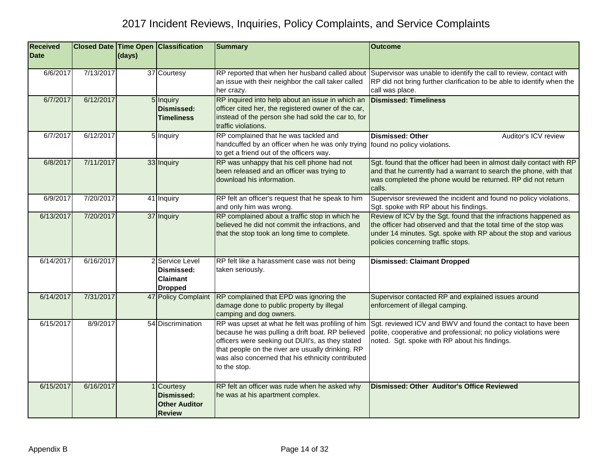| <b>Received</b> |           |        | <b>Closed Date Time Open Classification</b>                              | <b>Summary</b>                                                                                                                                                                                                                                                                      | <b>Outcome</b>                                                                                                                                                                                                                                |
|-----------------|-----------|--------|--------------------------------------------------------------------------|-------------------------------------------------------------------------------------------------------------------------------------------------------------------------------------------------------------------------------------------------------------------------------------|-----------------------------------------------------------------------------------------------------------------------------------------------------------------------------------------------------------------------------------------------|
| <b>Date</b>     |           | (days) |                                                                          |                                                                                                                                                                                                                                                                                     |                                                                                                                                                                                                                                               |
| 6/6/2017        | 7/13/2017 |        | 37 Courtesy                                                              | RP reported that when her husband called about<br>an issue with their neighbor the call taker called<br>her crazy.                                                                                                                                                                  | Supervisor was unable to identify the call to review, contact with<br>RP did not bring further clarification to be able to identify when the<br>call was place.                                                                               |
| 6/7/2017        | 6/12/2017 |        | 5 Inquiry<br><b>Dismissed:</b><br><b>Timeliness</b>                      | RP inquired into help about an issue in which an<br>officer cited her, the registered owner of the car,<br>instead of the person she had sold the car to, for<br>traffic violations.                                                                                                | <b>Dismissed: Timeliness</b>                                                                                                                                                                                                                  |
| 6/7/2017        | 6/12/2017 |        | 5 Inquiry                                                                | RP complained that he was tackled and<br>handcuffed by an officer when he was only trying found no policy violations.<br>to get a friend out of the officers way.                                                                                                                   | Dismissed: Other<br>Auditor's ICV review                                                                                                                                                                                                      |
| 6/8/2017        | 7/11/2017 |        | 33 Inquiry                                                               | RP was unhappy that his cell phone had not<br>been released and an officer was trying to<br>download his information.                                                                                                                                                               | Sgt. found that the officer had been in almost daily contact with RP<br>and that he currently had a warrant to search the phone, with that<br>was completed the phone would be returned. RP did not return<br>calls.                          |
| 6/9/2017        | 7/20/2017 |        | 41 Inquiry                                                               | RP felt an officer's request that he speak to him<br>and only him was wrong.                                                                                                                                                                                                        | Supervisor sreviewed the incident and found no policy violations.<br>Sgt. spoke with RP about his findings.                                                                                                                                   |
| 6/13/2017       | 7/20/2017 |        | 37 Inquiry                                                               | RP complained about a traffic stop in which he<br>believed he did not commit the infractions, and<br>that the stop took an long time to complete.                                                                                                                                   | Review of ICV by the Sgt. found that the infractions happened as<br>the officer had observed and that the total time of the stop was<br>under 14 minutes. Sgt. spoke with RP about the stop and various<br>policies concerning traffic stops. |
| 6/14/2017       | 6/16/2017 |        | 2 Service Level<br>Dismissed:<br>Claimant<br><b>Dropped</b>              | RP felt like a harassment case was not being<br>taken seriously.                                                                                                                                                                                                                    | <b>Dismissed: Claimant Dropped</b>                                                                                                                                                                                                            |
| 6/14/2017       | 7/31/2017 |        | 47 Policy Complaint                                                      | RP complained that EPD was ignoring the<br>damage done to public property by illegal<br>camping and dog owners.                                                                                                                                                                     | Supervisor contacted RP and explained issues around<br>enforcement of illegal camping.                                                                                                                                                        |
| 6/15/2017       | 8/9/2017  |        | 54 Discrimination                                                        | RP was upset at what he felt was profiling of him<br>because he was pulling a drift boat. RP believed<br>officers were seeking out DUII's, as they stated<br>that people on the river are usually drinking. RP<br>was also concerned that his ethnicity contributed<br>to the stop. | Sgt. reviewed ICV and BWV and found the contact to have been<br>polite, cooperative and professional; no policy violations were<br>noted. Sgt. spoke with RP about his findings.                                                              |
| 6/15/2017       | 6/16/2017 |        | 1 Courtesy<br><b>Dismissed:</b><br><b>Other Auditor</b><br><b>Review</b> | RP felt an officer was rude when he asked why<br>he was at his apartment complex.                                                                                                                                                                                                   | <b>Dismissed: Other Auditor's Office Reviewed</b>                                                                                                                                                                                             |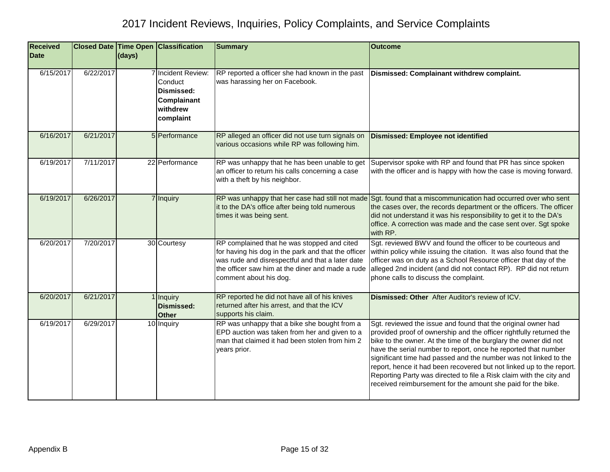| <b>Received</b><br><b>Date</b> |           | (days) | <b>Closed Date Time Open Classification</b>                                         | <b>Summary</b>                                                                                                                                                                                                                       | <b>Outcome</b>                                                                                                                                                                                                                                                                                                                                                                                                                                                                                                                                                |
|--------------------------------|-----------|--------|-------------------------------------------------------------------------------------|--------------------------------------------------------------------------------------------------------------------------------------------------------------------------------------------------------------------------------------|---------------------------------------------------------------------------------------------------------------------------------------------------------------------------------------------------------------------------------------------------------------------------------------------------------------------------------------------------------------------------------------------------------------------------------------------------------------------------------------------------------------------------------------------------------------|
|                                |           |        |                                                                                     |                                                                                                                                                                                                                                      |                                                                                                                                                                                                                                                                                                                                                                                                                                                                                                                                                               |
| 6/15/2017                      | 6/22/2017 |        | 7 Incident Review:<br>Conduct<br>Dismissed:<br>Complainant<br>withdrew<br>complaint | RP reported a officer she had known in the past<br>was harassing her on Facebook.                                                                                                                                                    | Dismissed: Complainant withdrew complaint.                                                                                                                                                                                                                                                                                                                                                                                                                                                                                                                    |
| 6/16/2017                      | 6/21/2017 |        | 5 Performance                                                                       | RP alleged an officer did not use turn signals on<br>various occasions while RP was following him.                                                                                                                                   | <b>Dismissed: Employee not identified</b>                                                                                                                                                                                                                                                                                                                                                                                                                                                                                                                     |
| 6/19/2017                      | 7/11/2017 |        | 22 Performance                                                                      | RP was unhappy that he has been unable to get<br>an officer to return his calls concerning a case<br>with a theft by his neighbor.                                                                                                   | Supervisor spoke with RP and found that PR has since spoken<br>with the officer and is happy with how the case is moving forward.                                                                                                                                                                                                                                                                                                                                                                                                                             |
| 6/19/2017                      | 6/26/2017 |        | 7 Inquiry                                                                           | it to the DA's office after being told numerous<br>times it was being sent.                                                                                                                                                          | RP was unhappy that her case had still not made Sgt. found that a miscommunication had occurred over who sent<br>the cases over, the records department or the officers. The officer<br>did not understand it was his responsibility to get it to the DA's<br>office. A correction was made and the case sent over. Sgt spoke<br>with RP.                                                                                                                                                                                                                     |
| 6/20/2017                      | 7/20/2017 |        | 30 Courtesy                                                                         | RP complained that he was stopped and cited<br>for having his dog in the park and that the officer<br>was rude and disrespectful and that a later date<br>the officer saw him at the diner and made a rude<br>comment about his dog. | Sgt. reviewed BWV and found the officer to be courteous and<br>within policy while issuing the citation. It was also found that the<br>officer was on duty as a School Resource officer that day of the<br>alleged 2nd incident (and did not contact RP). RP did not return<br>phone calls to discuss the complaint.                                                                                                                                                                                                                                          |
| 6/20/2017                      | 6/21/2017 |        | 1 Inquiry<br><b>Dismissed:</b><br><b>Other</b>                                      | RP reported he did not have all of his knives<br>returned after his arrest, and that the ICV<br>supports his claim.                                                                                                                  | Dismissed: Other After Auditor's review of ICV.                                                                                                                                                                                                                                                                                                                                                                                                                                                                                                               |
| 6/19/2017                      | 6/29/2017 |        | 10 Inquiry                                                                          | RP was unhappy that a bike she bought from a<br>EPD auction was taken from her and given to a<br>man that claimed it had been stolen from him 2<br>years prior.                                                                      | Sgt. reviewed the issue and found that the original owner had<br>provided proof of ownership and the officer rightfully returned the<br>bike to the owner. At the time of the burglary the owner did not<br>have the serial number to report, once he reported that number<br>significant time had passed and the number was not linked to the<br>report, hence it had been recovered but not linked up to the report.<br>Reporting Party was directed to file a Risk claim with the city and<br>received reimbursement for the amount she paid for the bike. |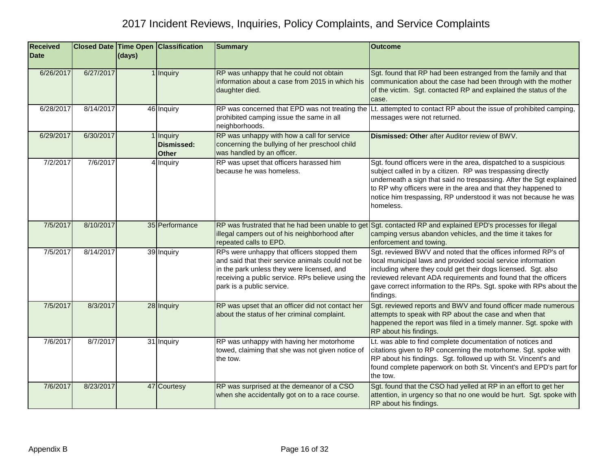| <b>Received</b><br><b>Date</b> |           | (days) | <b>Closed Date Time Open Classification</b>  | <b>Summary</b>                                                                                                                                                                                                                  | <b>Outcome</b>                                                                                                                                                                                                                                                                                                                                          |
|--------------------------------|-----------|--------|----------------------------------------------|---------------------------------------------------------------------------------------------------------------------------------------------------------------------------------------------------------------------------------|---------------------------------------------------------------------------------------------------------------------------------------------------------------------------------------------------------------------------------------------------------------------------------------------------------------------------------------------------------|
| 6/26/2017                      | 6/27/2017 |        | 1 Inquiry                                    | RP was unhappy that he could not obtain<br>information about a case from 2015 in which his<br>daughter died.                                                                                                                    | Sgt. found that RP had been estranged from the family and that<br>communication about the case had been through with the mother<br>of the victim. Sgt. contacted RP and explained the status of the<br>case.                                                                                                                                            |
| 6/28/2017                      | 8/14/2017 |        | 46 Inquiry                                   | prohibited camping issue the same in all<br>neighborhoods.                                                                                                                                                                      | RP was concerned that EPD was not treating the Lt. attempted to contact RP about the issue of prohibited camping,<br>messages were not returned.                                                                                                                                                                                                        |
| 6/29/2017                      | 6/30/2017 |        | Inquiry<br><b>Dismissed:</b><br><b>Other</b> | RP was unhappy with how a call for service<br>concerning the bullying of her preschool child<br>was handled by an officer.                                                                                                      | Dismissed: Other after Auditor review of BWV.                                                                                                                                                                                                                                                                                                           |
| 7/2/2017                       | 7/6/2017  |        | 4 Inquiry                                    | RP was upset that officers harassed him<br>because he was homeless.                                                                                                                                                             | Sgt. found officers were in the area, dispatched to a suspicious<br>subject called in by a citizen. RP was trespassing directly<br>underneath a sign that said no trespassing. After the Sgt explained<br>to RP why officers were in the area and that they happened to<br>notice him trespassing, RP understood it was not because he was<br>homeless. |
| 7/5/2017                       | 8/10/2017 |        | 35 Performance                               | RP was frustrated that he had been unable to get<br>illegal campers out of his neighborhood after<br>repeated calls to EPD.                                                                                                     | Sgt. contacted RP and explained EPD's processes for illegal<br>camping versus abandon vehicles, and the time it takes for<br>enforcement and towing.                                                                                                                                                                                                    |
| 7/5/2017                       | 8/14/2017 |        | 39 Inquiry                                   | RPs were unhappy that officers stopped them<br>and said that their service animals could not be<br>in the park unless they were licensed, and<br>receiving a public service. RPs believe using the<br>park is a public service. | Sgt. reviewed BWV and noted that the offices informed RP's of<br>local municipal laws and provided social service information<br>including where they could get their dogs licensed. Sgt. also<br>reviewed relevant ADA requirements and found that the officers<br>gave correct information to the RPs. Sgt. spoke with RPs about the<br>findings.     |
| 7/5/2017                       | 8/3/2017  |        | 28 Inquiry                                   | RP was upset that an officer did not contact her<br>about the status of her criminal complaint.                                                                                                                                 | Sgt. reviewed reports and BWV and found officer made numerous<br>attempts to speak with RP about the case and when that<br>happened the report was filed in a timely manner. Sgt. spoke with<br>RP about his findings.                                                                                                                                  |
| 7/6/2017                       | 8/7/2017  |        | 31 Inquiry                                   | RP was unhappy with having her motorhome<br>towed, claiming that she was not given notice of<br>the tow.                                                                                                                        | Lt. was able to find complete documentation of notices and<br>citations given to RP concerning the motorhome. Sgt. spoke with<br>RP about his findings. Sgt. followed up with St. Vincent's and<br>found complete paperwork on both St. Vincent's and EPD's part for<br>the tow.                                                                        |
| 7/6/2017                       | 8/23/2017 |        | 47 Courtesy                                  | RP was surprised at the demeanor of a CSO<br>when she accidentally got on to a race course.                                                                                                                                     | Sgt. found that the CSO had yelled at RP in an effort to get her<br>attention, in urgency so that no one would be hurt. Sgt. spoke with<br>RP about his findings.                                                                                                                                                                                       |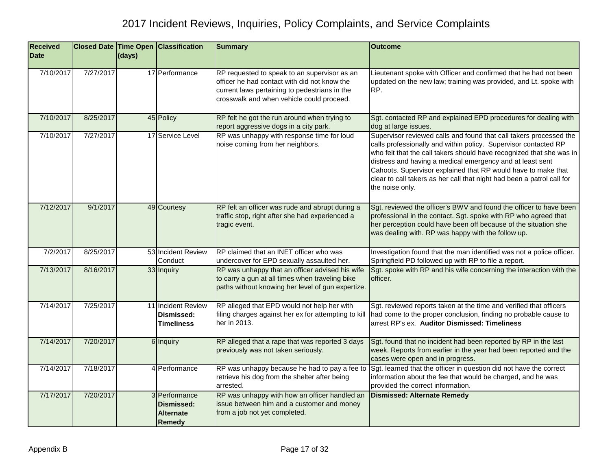| <b>Received</b><br><b>Date</b> |           | $\vert$ (days) | <b>Closed Date Time Open Classification</b>                      | <b>Summary</b>                                                                                                                                                                             | <b>Outcome</b>                                                                                                                                                                                                                                                                                                                                                                                                                           |
|--------------------------------|-----------|----------------|------------------------------------------------------------------|--------------------------------------------------------------------------------------------------------------------------------------------------------------------------------------------|------------------------------------------------------------------------------------------------------------------------------------------------------------------------------------------------------------------------------------------------------------------------------------------------------------------------------------------------------------------------------------------------------------------------------------------|
| 7/10/2017                      | 7/27/2017 |                | 17 Performance                                                   | RP requested to speak to an supervisor as an<br>officer he had contact with did not know the<br>current laws pertaining to pedestrians in the<br>crosswalk and when vehicle could proceed. | Lieutenant spoke with Officer and confirmed that he had not been<br>updated on the new law; training was provided, and Lt. spoke with<br>RP.                                                                                                                                                                                                                                                                                             |
| 7/10/2017                      | 8/25/2017 |                | 45 Policy                                                        | RP felt he got the run around when trying to<br>report aggressive dogs in a city park.                                                                                                     | Sgt. contacted RP and explained EPD procedures for dealing with<br>dog at large issues.                                                                                                                                                                                                                                                                                                                                                  |
| 7/10/2017                      | 7/27/2017 |                | 17 Service Level                                                 | RP was unhappy with response time for loud<br>noise coming from her neighbors.                                                                                                             | Supervisor reviewed calls and found that call takers processed the<br>calls professionally and within policy. Supervisor contacted RP<br>who felt that the call takers should have recognized that she was in<br>distress and having a medical emergency and at least sent<br>Cahoots. Supervisor explained that RP would have to make that<br>clear to call takers as her call that night had been a patrol call for<br>the noise only. |
| 7/12/2017                      | 9/1/2017  |                | 49 Courtesy                                                      | RP felt an officer was rude and abrupt during a<br>traffic stop, right after she had experienced a<br>tragic event.                                                                        | Sgt. reviewed the officer's BWV and found the officer to have been<br>professional in the contact. Sgt. spoke with RP who agreed that<br>her perception could have been off because of the situation she<br>was dealing with. RP was happy with the follow up.                                                                                                                                                                           |
| 7/2/2017                       | 8/25/2017 |                | 53 Incident Review<br>Conduct                                    | RP claimed that an INET officer who was<br>undercover for EPD sexually assaulted her.                                                                                                      | Investigation found that the man identified was not a police officer.<br>Springfield PD followed up with RP to file a report.                                                                                                                                                                                                                                                                                                            |
| 7/13/2017                      | 8/16/2017 |                | 33 Inquiry                                                       | RP was unhappy that an officer advised his wife<br>to carry a gun at all times when traveling bike<br>paths without knowing her level of gun expertize.                                    | Sgt. spoke with RP and his wife concerning the interaction with the<br>officer.                                                                                                                                                                                                                                                                                                                                                          |
| 7/14/2017                      | 7/25/2017 |                | 11 Incident Review<br>Dismissed:<br><b>Timeliness</b>            | RP alleged that EPD would not help her with<br>filing charges against her ex for attempting to kill<br>her in 2013.                                                                        | Sgt. reviewed reports taken at the time and verified that officers<br>had come to the proper conclusion, finding no probable cause to<br>arrest RP's ex. Auditor Dismissed: Timeliness                                                                                                                                                                                                                                                   |
| 7/14/2017                      | 7/20/2017 |                | 6 Inquiry                                                        | RP alleged that a rape that was reported 3 days<br>previously was not taken seriously.                                                                                                     | Sgt. found that no incident had been reported by RP in the last<br>week. Reports from earlier in the year had been reported and the<br>cases were open and in progress.                                                                                                                                                                                                                                                                  |
| 7/14/2017                      | 7/18/2017 |                | 4 Performance                                                    | RP was unhappy because he had to pay a fee to<br>retrieve his dog from the shelter after being<br>arrested.                                                                                | Sgt. learned that the officer in question did not have the correct<br>information about the fee that would be charged, and he was<br>provided the correct information.                                                                                                                                                                                                                                                                   |
| 7/17/2017                      | 7/20/2017 |                | 3 Performance<br>Dismissed:<br><b>Alternate</b><br><b>Remedy</b> | RP was unhappy with how an officer handled an<br>issue between him and a customer and money<br>from a job not yet completed.                                                               | <b>Dismissed: Alternate Remedy</b>                                                                                                                                                                                                                                                                                                                                                                                                       |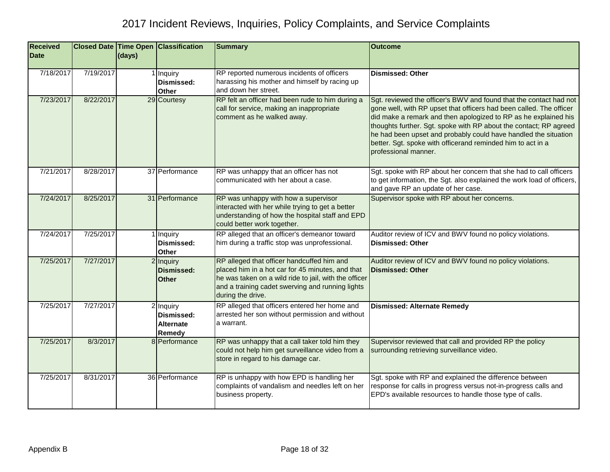| <b>Received</b><br><b>Date</b> |           | (days) | Closed Date Time Open Classification                  | <b>Summary</b>                                                                                                                                                                                                                   | <b>Outcome</b>                                                                                                                                                                                                                                                                                                                                                                                                                              |
|--------------------------------|-----------|--------|-------------------------------------------------------|----------------------------------------------------------------------------------------------------------------------------------------------------------------------------------------------------------------------------------|---------------------------------------------------------------------------------------------------------------------------------------------------------------------------------------------------------------------------------------------------------------------------------------------------------------------------------------------------------------------------------------------------------------------------------------------|
|                                |           |        |                                                       |                                                                                                                                                                                                                                  |                                                                                                                                                                                                                                                                                                                                                                                                                                             |
| 7/18/2017                      | 7/19/2017 |        | 1 Inquiry<br>Dismissed:<br>Other                      | RP reported numerous incidents of officers<br>harassing his mother and himself by racing up<br>and down her street.                                                                                                              | <b>Dismissed: Other</b>                                                                                                                                                                                                                                                                                                                                                                                                                     |
| 7/23/2017                      | 8/22/2017 |        | 29 Courtesy                                           | RP felt an officer had been rude to him during a<br>call for service, making an inappropriate<br>comment as he walked away.                                                                                                      | Sgt. reviewed the officer's BWV and found that the contact had not<br>gone well, with RP upset that officers had been called. The officer<br>did make a remark and then apologized to RP as he explained his<br>thoughts further. Sgt. spoke with RP about the contact; RP agreed<br>he had been upset and probably could have handled the situation<br>better. Sgt. spoke with officerand reminded him to act in a<br>professional manner. |
| 7/21/2017                      | 8/28/2017 |        | 37 Performance                                        | RP was unhappy that an officer has not<br>communicated with her about a case.                                                                                                                                                    | Sgt. spoke with RP about her concern that she had to call officers<br>to get information, the Sgt. also explained the work load of officers,<br>and gave RP an update of her case.                                                                                                                                                                                                                                                          |
| 7/24/2017                      | 8/25/2017 |        | 31 Performance                                        | RP was unhappy with how a supervisor<br>interacted with her while trying to get a better<br>understanding of how the hospital staff and EPD<br>could better work together.                                                       | Supervisor spoke with RP about her concerns.                                                                                                                                                                                                                                                                                                                                                                                                |
| 7/24/2017                      | 7/25/2017 |        | 1 Inquiry<br>Dismissed:<br>Other                      | RP alleged that an officer's demeanor toward<br>him during a traffic stop was unprofessional.                                                                                                                                    | Auditor review of ICV and BWV found no policy violations.<br><b>Dismissed: Other</b>                                                                                                                                                                                                                                                                                                                                                        |
| 7/25/2017                      | 7/27/2017 |        | 2 Inquiry<br><b>Dismissed:</b><br><b>Other</b>        | RP alleged that officer handcuffed him and<br>placed him in a hot car for 45 minutes, and that<br>he was taken on a wild ride to jail, with the officer<br>and a training cadet swerving and running lights<br>during the drive. | Auditor review of ICV and BWV found no policy violations.<br><b>Dismissed: Other</b>                                                                                                                                                                                                                                                                                                                                                        |
| 7/25/2017                      | 7/27/2017 |        | 2 Inquiry<br>Dismissed:<br><b>Alternate</b><br>Remedy | RP alleged that officers entered her home and<br>arrested her son without permission and without<br>a warrant.                                                                                                                   | <b>Dismissed: Alternate Remedy</b>                                                                                                                                                                                                                                                                                                                                                                                                          |
| 7/25/2017                      | 8/3/2017  |        | 8 Performance                                         | RP was unhappy that a call taker told him they<br>could not help him get surveillance video from a<br>store in regard to his damage car.                                                                                         | Supervisor reviewed that call and provided RP the policy<br>surrounding retrieving surveillance video.                                                                                                                                                                                                                                                                                                                                      |
| 7/25/2017                      | 8/31/2017 |        | 36 Performance                                        | RP is unhappy with how EPD is handling her<br>complaints of vandalism and needles left on her<br>business property.                                                                                                              | Sgt. spoke with RP and explained the difference between<br>response for calls in progress versus not-in-progress calls and<br>EPD's available resources to handle those type of calls.                                                                                                                                                                                                                                                      |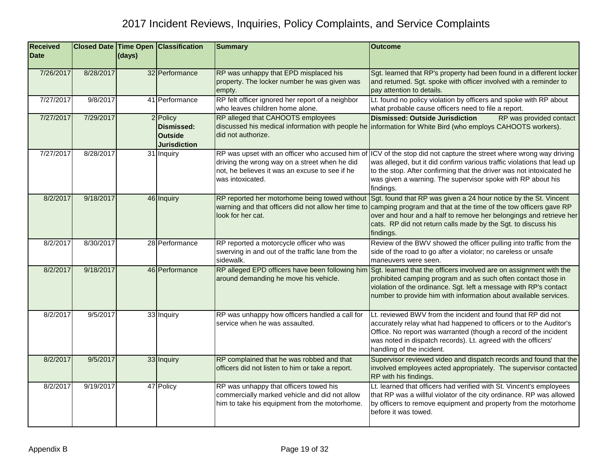| <b>Received</b> |           |        | <b>Closed Date Time Open Classification</b>                     | <b>Summary</b>                                                                                                                                                         | <b>Outcome</b>                                                                                                                                                                                                                                                                                                                         |
|-----------------|-----------|--------|-----------------------------------------------------------------|------------------------------------------------------------------------------------------------------------------------------------------------------------------------|----------------------------------------------------------------------------------------------------------------------------------------------------------------------------------------------------------------------------------------------------------------------------------------------------------------------------------------|
| <b>Date</b>     |           | (days) |                                                                 |                                                                                                                                                                        |                                                                                                                                                                                                                                                                                                                                        |
| 7/26/2017       | 8/28/2017 |        | 32 Performance                                                  | RP was unhappy that EPD misplaced his<br>property. The locker number he was given was<br>empty.                                                                        | Sgt. learned that RP's property had been found in a different locker<br>and returned. Sgt. spoke with officer involved with a reminder to<br>pay attention to details.                                                                                                                                                                 |
| 7/27/2017       | 9/8/2017  |        | 41 Performance                                                  | RP felt officer ignored her report of a neighbor<br>who leaves children home alone.                                                                                    | Lt. found no policy violation by officers and spoke with RP about<br>what probable cause officers need to file a report.                                                                                                                                                                                                               |
| 7/27/2017       | 7/29/2017 |        | 2 Policy<br>Dismissed:<br><b>Outside</b><br><b>Jurisdiction</b> | RP alleged that CAHOOTS employees<br>did not authorize.                                                                                                                | RP was provided contact<br><b>Dismissed: Outside Jurisdiction</b><br>discussed his medical information with people he information for White Bird (who employs CAHOOTS workers).                                                                                                                                                        |
| 7/27/2017       | 8/28/2017 |        | 31 Inquiry                                                      | RP was upset with an officer who accused him of<br>driving the wrong way on a street when he did<br>not, he believes it was an excuse to see if he<br>was intoxicated. | ICV of the stop did not capture the street where wrong way driving<br>was alleged, but it did confirm various traffic violations that lead up<br>to the stop. After confirming that the driver was not intoxicated he<br>was given a warning. The supervisor spoke with RP about his<br>findings.                                      |
| 8/2/2017        | 9/18/2017 |        | 46 Inquiry                                                      | warning and that officers did not allow her time to<br>look for her cat.                                                                                               | RP reported her motorhome being towed without Sgt. found that RP was given a 24 hour notice by the St. Vincent<br>camping program and that at the time of the tow officers gave RP<br>over and hour and a half to remove her belongings and retrieve her<br>cats. RP did not return calls made by the Sgt. to discuss his<br>findings. |
| 8/2/2017        | 8/30/2017 |        | 28 Performance                                                  | RP reported a motorcycle officer who was<br>swerving in and out of the traffic lane from the<br>sidewalk.                                                              | Review of the BWV showed the officer pulling into traffic from the<br>side of the road to go after a violator; no careless or unsafe<br>maneuvers were seen.                                                                                                                                                                           |
| 8/2/2017        | 9/18/2017 |        | 46 Performance                                                  | RP alleged EPD officers have been following him<br>around demanding he move his vehicle.                                                                               | Sgt. learned that the officers involved are on assignment with the<br>prohibited camping program and as such often contact those in<br>violation of the ordinance. Sgt. left a message with RP's contact<br>number to provide him with information about available services.                                                           |
| 8/2/2017        | 9/5/2017  |        | 33 Inquiry                                                      | RP was unhappy how officers handled a call for<br>service when he was assaulted.                                                                                       | Lt. reviewed BWV from the incident and found that RP did not<br>accurately relay what had happened to officers or to the Auditor's<br>Office. No report was warranted (though a record of the incident<br>was noted in dispatch records). Lt. agreed with the officers'<br>handling of the incident.                                   |
| 8/2/2017        | 9/5/2017  |        | 33 Inquiry                                                      | RP complained that he was robbed and that<br>officers did not listen to him or take a report.                                                                          | Supervisor reviewed video and dispatch records and found that the<br>involved employees acted appropriately. The supervisor contacted<br>RP with his findings.                                                                                                                                                                         |
| 8/2/2017        | 9/19/2017 |        | 47 Policy                                                       | RP was unhappy that officers towed his<br>commercially marked vehicle and did not allow<br>him to take his equipment from the motorhome.                               | Lt. learned that officers had verified with St. Vincent's employees<br>that RP was a willful violator of the city ordinance. RP was allowed<br>by officers to remove equipment and property from the motorhome<br>before it was towed.                                                                                                 |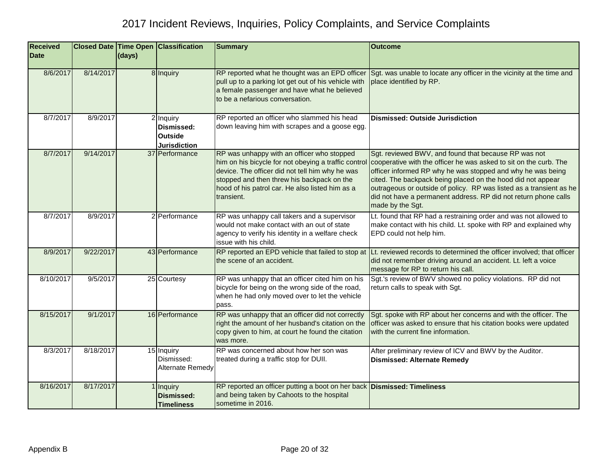| <b>Received</b> |           |        | <b>Closed Date Time Open Classification</b>               | <b>Summary</b>                                                                                                                                                                                                                                                       | <b>Outcome</b>                                                                                                                                                                                                                                                                                                                                                                                                        |
|-----------------|-----------|--------|-----------------------------------------------------------|----------------------------------------------------------------------------------------------------------------------------------------------------------------------------------------------------------------------------------------------------------------------|-----------------------------------------------------------------------------------------------------------------------------------------------------------------------------------------------------------------------------------------------------------------------------------------------------------------------------------------------------------------------------------------------------------------------|
| <b>Date</b>     |           | (days) |                                                           |                                                                                                                                                                                                                                                                      |                                                                                                                                                                                                                                                                                                                                                                                                                       |
| 8/6/2017        | 8/14/2017 |        | 8 Inquiry                                                 | RP reported what he thought was an EPD officer<br>pull up to a parking lot get out of his vehicle with<br>a female passenger and have what he believed<br>to be a nefarious conversation.                                                                            | Sgt. was unable to locate any officer in the vicinity at the time and<br>place identified by RP.                                                                                                                                                                                                                                                                                                                      |
| 8/7/2017        | 8/9/2017  |        | 2 Inquiry<br>Dismissed:<br>Outside<br><b>Jurisdiction</b> | RP reported an officer who slammed his head<br>down leaving him with scrapes and a goose egg.                                                                                                                                                                        | <b>Dismissed: Outside Jurisdiction</b>                                                                                                                                                                                                                                                                                                                                                                                |
| 8/7/2017        | 9/14/2017 |        | 37 Performance                                            | RP was unhappy with an officer who stopped<br>him on his bicycle for not obeying a traffic control<br>device. The officer did not tell him why he was<br>stopped and then threw his backpack on the<br>hood of his patrol car. He also listed him as a<br>transient. | Sgt. reviewed BWV, and found that because RP was not<br>cooperative with the officer he was asked to sit on the curb. The<br>officer informed RP why he was stopped and why he was being<br>cited. The backpack being placed on the hood did not appear<br>outrageous or outside of policy. RP was listed as a transient as he<br>did not have a permanent address. RP did not return phone calls<br>made by the Sgt. |
| 8/7/2017        | 8/9/2017  |        | 2 Performance                                             | RP was unhappy call takers and a supervisor<br>would not make contact with an out of state<br>agency to verify his identity in a welfare check<br>issue with his child.                                                                                              | Lt. found that RP had a restraining order and was not allowed to<br>make contact with his child. Lt. spoke with RP and explained why<br>EPD could not help him.                                                                                                                                                                                                                                                       |
| 8/9/2017        | 9/22/2017 |        | 43 Performance                                            | the scene of an accident.                                                                                                                                                                                                                                            | RP reported an EPD vehicle that failed to stop at Lt. reviewed records to determined the officer involved; that officer<br>did not remember driving around an accident. Lt. left a voice<br>message for RP to return his call.                                                                                                                                                                                        |
| 8/10/2017       | 9/5/2017  |        | 25 Courtesy                                               | RP was unhappy that an officer cited him on his<br>bicycle for being on the wrong side of the road,<br>when he had only moved over to let the vehicle<br>pass.                                                                                                       | Sgt.'s review of BWV showed no policy violations. RP did not<br>return calls to speak with Sgt.                                                                                                                                                                                                                                                                                                                       |
| 8/15/2017       | 9/1/2017  |        | 16 Performance                                            | RP was unhappy that an officer did not correctly<br>right the amount of her husband's citation on the<br>copy given to him, at court he found the citation<br>was more.                                                                                              | Sgt. spoke with RP about her concerns and with the officer. The<br>officer was asked to ensure that his citation books were updated<br>with the current fine information.                                                                                                                                                                                                                                             |
| 8/3/2017        | 8/18/2017 |        | 15 Inquiry<br>Dismissed:<br>Alternate Remedy              | RP was concerned about how her son was<br>treated during a traffic stop for DUII.                                                                                                                                                                                    | After preliminary review of ICV and BWV by the Auditor.<br><b>Dismissed: Alternate Remedy</b>                                                                                                                                                                                                                                                                                                                         |
| 8/16/2017       | 8/17/2017 |        | 1 Inquiry<br><b>Dismissed:</b><br><b>Timeliness</b>       | RP reported an officer putting a boot on her back Dismissed: Timeliness<br>and being taken by Cahoots to the hospital<br>sometime in 2016.                                                                                                                           |                                                                                                                                                                                                                                                                                                                                                                                                                       |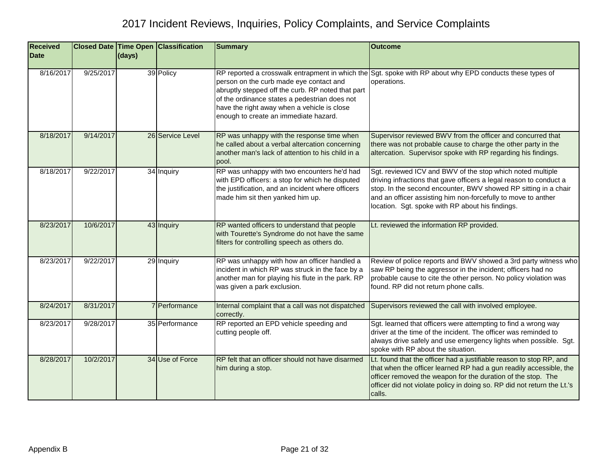| <b>Received</b><br><b>Date</b> |           | (days) | <b>Closed Date Time Open Classification</b> | <b>Summary</b>                                                                                                                                                                                                                        | <b>Outcome</b>                                                                                                                                                                                                                                                                                                           |
|--------------------------------|-----------|--------|---------------------------------------------|---------------------------------------------------------------------------------------------------------------------------------------------------------------------------------------------------------------------------------------|--------------------------------------------------------------------------------------------------------------------------------------------------------------------------------------------------------------------------------------------------------------------------------------------------------------------------|
|                                |           |        |                                             |                                                                                                                                                                                                                                       |                                                                                                                                                                                                                                                                                                                          |
| 8/16/2017                      | 9/25/2017 |        | 39 Policy                                   | person on the curb made eye contact and<br>abruptly stepped off the curb. RP noted that part<br>of the ordinance states a pedestrian does not<br>have the right away when a vehicle is close<br>enough to create an immediate hazard. | RP reported a crosswalk entrapment in which the Sgt. spoke with RP about why EPD conducts these types of<br>operations.                                                                                                                                                                                                  |
| 8/18/2017                      | 9/14/2017 |        | 26 Service Level                            | RP was unhappy with the response time when<br>he called about a verbal altercation concerning<br>another man's lack of attention to his child in a<br>pool.                                                                           | Supervisor reviewed BWV from the officer and concurred that<br>there was not probable cause to charge the other party in the<br>altercation. Supervisor spoke with RP regarding his findings.                                                                                                                            |
| 8/18/2017                      | 9/22/2017 |        | 34 Inquiry                                  | RP was unhappy with two encounters he'd had<br>with EPD officers: a stop for which he disputed<br>the justification, and an incident where officers<br>made him sit then yanked him up.                                               | Sgt. reviewed ICV and BWV of the stop which noted multiple<br>driving infractions that gave officers a legal reason to conduct a<br>stop. In the second encounter, BWV showed RP sitting in a chair<br>and an officer assisting him non-forcefully to move to anther<br>location. Sgt. spoke with RP about his findings. |
| 8/23/2017                      | 10/6/2017 |        | 43 Inquiry                                  | RP wanted officers to understand that people<br>with Tourette's Syndrome do not have the same<br>filters for controlling speech as others do.                                                                                         | Lt. reviewed the information RP provided.                                                                                                                                                                                                                                                                                |
| 8/23/2017                      | 9/22/2017 |        | 29 Inquiry                                  | RP was unhappy with how an officer handled a<br>incident in which RP was struck in the face by a<br>another man for playing his flute in the park. RP<br>was given a park exclusion.                                                  | Review of police reports and BWV showed a 3rd party witness who<br>saw RP being the aggressor in the incident; officers had no<br>probable cause to cite the other person. No policy violation was<br>found. RP did not return phone calls.                                                                              |
| 8/24/2017                      | 8/31/2017 |        | 7 Performance                               | Internal complaint that a call was not dispatched<br>correctly.                                                                                                                                                                       | Supervisors reviewed the call with involved employee.                                                                                                                                                                                                                                                                    |
| 8/23/2017                      | 9/28/2017 |        | 35 Performance                              | RP reported an EPD vehicle speeding and<br>cutting people off.                                                                                                                                                                        | Sgt. learned that officers were attempting to find a wrong way<br>driver at the time of the incident. The officer was reminded to<br>always drive safely and use emergency lights when possible. Sgt.<br>spoke with RP about the situation.                                                                              |
| 8/28/2017                      | 10/2/2017 |        | 34 Use of Force                             | RP felt that an officer should not have disarmed<br>him during a stop.                                                                                                                                                                | Lt. found that the officer had a justifiable reason to stop RP, and<br>that when the officer learned RP had a gun readily accessible, the<br>officer removed the weapon for the duration of the stop. The<br>officer did not violate policy in doing so. RP did not return the Lt.'s<br>calls.                           |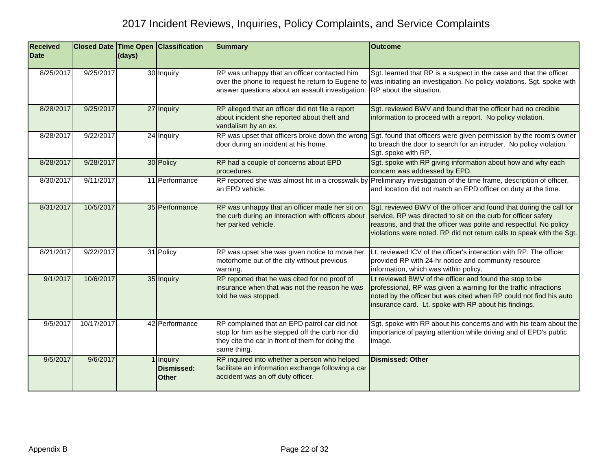| <b>Received</b><br><b>Date</b> |            | (days) | <b>Closed Date Time Open Classification</b>    | <b>Summary</b>                                                                                                                                                     | <b>Outcome</b>                                                                                                                                                                                                                                                                       |
|--------------------------------|------------|--------|------------------------------------------------|--------------------------------------------------------------------------------------------------------------------------------------------------------------------|--------------------------------------------------------------------------------------------------------------------------------------------------------------------------------------------------------------------------------------------------------------------------------------|
| 8/25/2017                      | 9/25/2017  |        | 30 Inquiry                                     | RP was unhappy that an officer contacted him<br>answer questions about an assault investigation.                                                                   | Sgt. learned that RP is a suspect in the case and that the officer<br>over the phone to request he return to Eugene to was initiating an investigation. No policy violations. Sgt. spoke with<br>RP about the situation.                                                             |
| 8/28/2017                      | 9/25/2017  |        | 27 Inquiry                                     | RP alleged that an officer did not file a report<br>about incident she reported about theft and<br>vandalism by an ex.                                             | Sgt. reviewed BWV and found that the officer had no credible<br>information to proceed with a report. No policy violation.                                                                                                                                                           |
| 8/28/2017                      | 9/22/2017  |        | 24 Inquiry                                     | RP was upset that officers broke down the wrong<br>door during an incident at his home.                                                                            | Sgt. found that officers were given permission by the room's owner<br>to breach the door to search for an intruder. No policy violation.<br>Sgt. spoke with RP.                                                                                                                      |
| 8/28/2017                      | 9/28/2017  |        | 30 Policy                                      | RP had a couple of concerns about EPD<br>procedures.                                                                                                               | Sgt. spoke with RP giving information about how and why each<br>concern was addressed by EPD.                                                                                                                                                                                        |
| 8/30/2017                      | 9/11/2017  |        | 11 Performance                                 | an EPD vehicle.                                                                                                                                                    | RP reported she was almost hit in a crosswalk by Preliminary investigation of the time frame, description of officer,<br>and location did not match an EPD officer on duty at the time.                                                                                              |
| 8/31/2017                      | 10/5/2017  |        | 35 Performance                                 | RP was unhappy that an officer made her sit on<br>the curb during an interaction with officers about<br>her parked vehicle.                                        | Sgt. reviewed BWV of the officer and found that during the call for<br>service, RP was directed to sit on the curb for officer safety<br>reasons, and that the officer was polite and respectful. No policy<br>violations were noted. RP did not return calls to speak with the Sgt. |
| 8/21/2017                      | 9/22/2017  |        | 31 Policy                                      | RP was upset she was given notice to move her<br>motorhome out of the city without previous<br>warning.                                                            | Lt. reviewed ICV of the officer's interaction with RP. The officer<br>provided RP with 24-hr notice and community resource<br>information, which was within policy.                                                                                                                  |
| 9/1/2017                       | 10/6/2017  |        | 35 Inquiry                                     | RP reported that he was cited for no proof of<br>insurance when that was not the reason he was<br>told he was stopped.                                             | Lt reviewed BWV of the officer and found the stop to be<br>professional, RP was given a warning for the traffic infractions<br>noted by the officer but was cited when RP could not find his auto<br>insurance card. Lt. spoke with RP about his findings.                           |
| 9/5/2017                       | 10/17/2017 |        | 42 Performance                                 | RP complained that an EPD patrol car did not<br>stop for him as he stepped off the curb nor did<br>they cite the car in front of them for doing the<br>same thing. | Sgt. spoke with RP about his concerns and with his team about the<br>importance of paying attention while driving and of EPD's public<br>image.                                                                                                                                      |
| 9/5/2017                       | 9/6/2017   |        | 1 Inquiry<br><b>Dismissed:</b><br><b>Other</b> | RP inquired into whether a person who helped<br>facilitate an information exchange following a car<br>accident was an off duty officer.                            | <b>Dismissed: Other</b>                                                                                                                                                                                                                                                              |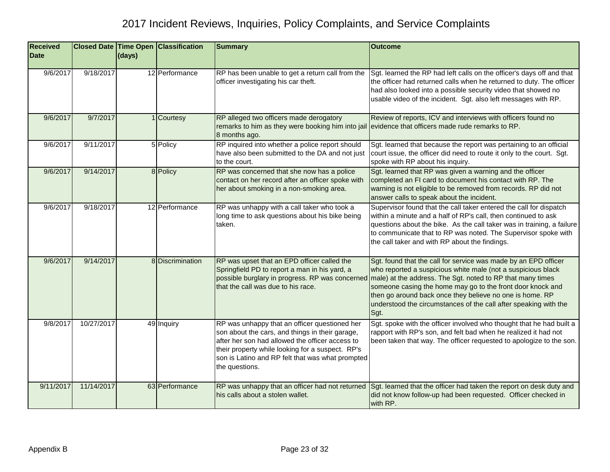| <b>Received</b><br><b>Date</b> |            | (days) | Closed Date Time Open Classification | <b>Summary</b>                                                                                                                                                                                                                                                                | <b>Outcome</b>                                                                                                                                                                                                                                                                                                                                                                                      |
|--------------------------------|------------|--------|--------------------------------------|-------------------------------------------------------------------------------------------------------------------------------------------------------------------------------------------------------------------------------------------------------------------------------|-----------------------------------------------------------------------------------------------------------------------------------------------------------------------------------------------------------------------------------------------------------------------------------------------------------------------------------------------------------------------------------------------------|
| 9/6/2017                       | 9/18/2017  |        | 12 Performance                       | RP has been unable to get a return call from the<br>officer investigating his car theft.                                                                                                                                                                                      | Sgt. learned the RP had left calls on the officer's days off and that<br>the officer had returned calls when he returned to duty. The officer<br>had also looked into a possible security video that showed no<br>usable video of the incident. Sgt. also left messages with RP.                                                                                                                    |
| 9/6/2017                       | 9/7/2017   |        | 1 Courtesy                           | RP alleged two officers made derogatory<br>remarks to him as they were booking him into jail<br>8 months ago.                                                                                                                                                                 | Review of reports, ICV and interviews with officers found no<br>evidence that officers made rude remarks to RP.                                                                                                                                                                                                                                                                                     |
| 9/6/2017                       | 9/11/2017  |        | 5 Policy                             | RP inquired into whether a police report should<br>have also been submitted to the DA and not just<br>to the court.                                                                                                                                                           | Sgt. learned that because the report was pertaining to an official<br>court issue, the officer did need to route it only to the court. Sgt.<br>spoke with RP about his inquiry.                                                                                                                                                                                                                     |
| 9/6/2017                       | 9/14/2017  |        | 8 Policy                             | RP was concerned that she now has a police<br>contact on her record after an officer spoke with<br>her about smoking in a non-smoking area.                                                                                                                                   | Sgt. learned that RP was given a warning and the officer<br>completed an FI card to document his contact with RP. The<br>warning is not eligible to be removed from records. RP did not<br>answer calls to speak about the incident.                                                                                                                                                                |
| 9/6/2017                       | 9/18/2017  |        | 12 Performance                       | RP was unhappy with a call taker who took a<br>long time to ask questions about his bike being<br>taken.                                                                                                                                                                      | Supervisor found that the call taker entered the call for dispatch<br>within a minute and a half of RP's call, then continued to ask<br>questions about the bike. As the call taker was in training, a failure<br>to communicate that to RP was noted. The Supervisor spoke with<br>the call taker and with RP about the findings.                                                                  |
| 9/6/2017                       | 9/14/2017  |        | 8 Discrimination                     | RP was upset that an EPD officer called the<br>Springfield PD to report a man in his yard, a<br>possible burglary in progress. RP was concerned<br>that the call was due to his race.                                                                                         | Sgt. found that the call for service was made by an EPD officer<br>who reported a suspicious white male (not a suspicious black<br>male) at the address. The Sgt. noted to RP that many times<br>someone casing the home may go to the front door knock and<br>then go around back once they believe no one is home. RP<br>understood the circumstances of the call after speaking with the<br>Sgt. |
| 9/8/2017                       | 10/27/2017 |        | 49 Inquiry                           | RP was unhappy that an officer questioned her<br>son about the cars, and things in their garage,<br>after her son had allowed the officer access to<br>their property while looking for a suspect. RP's<br>son is Latino and RP felt that was what prompted<br>the questions. | Sgt. spoke with the officer involved who thought that he had built a<br>rapport with RP's son, and felt bad when he realized it had not<br>been taken that way. The officer requested to apologize to the son.                                                                                                                                                                                      |
| 9/11/2017                      | 11/14/2017 |        | 63 Performance                       | RP was unhappy that an officer had not returned<br>his calls about a stolen wallet.                                                                                                                                                                                           | Sgt. learned that the officer had taken the report on desk duty and<br>did not know follow-up had been requested. Officer checked in<br>with RP.                                                                                                                                                                                                                                                    |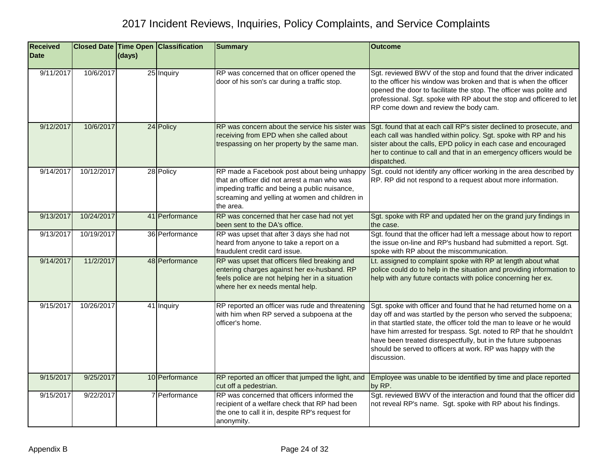| <b>Received</b><br><b>Date</b> |            | (days) | <b>Closed Date Time Open Classification</b> | <b>Summary</b>                                                                                                                                                                                              | <b>Outcome</b>                                                                                                                                                                                                                                                                                                                                                                                                                     |
|--------------------------------|------------|--------|---------------------------------------------|-------------------------------------------------------------------------------------------------------------------------------------------------------------------------------------------------------------|------------------------------------------------------------------------------------------------------------------------------------------------------------------------------------------------------------------------------------------------------------------------------------------------------------------------------------------------------------------------------------------------------------------------------------|
| 9/11/2017                      | 10/6/2017  |        | 25 Inquiry                                  | RP was concerned that on officer opened the<br>door of his son's car during a traffic stop.                                                                                                                 | Sgt. reviewed BWV of the stop and found that the driver indicated<br>to the officer his window was broken and that is when the officer<br>opened the door to facilitate the stop. The officer was polite and<br>professional. Sgt. spoke with RP about the stop and officered to let<br>RP come down and review the body cam.                                                                                                      |
| 9/12/2017                      | 10/6/2017  |        | 24 Policy                                   | RP was concern about the service his sister was<br>receiving from EPD when she called about<br>trespassing on her property by the same man.                                                                 | Sgt. found that at each call RP's sister declined to prosecute, and<br>each call was handled within policy. Sgt. spoke with RP and his<br>sister about the calls, EPD policy in each case and encouraged<br>her to continue to call and that in an emergency officers would be<br>dispatched.                                                                                                                                      |
| 9/14/2017                      | 10/12/2017 |        | 28 Policy                                   | RP made a Facebook post about being unhappy<br>that an officer did not arrest a man who was<br>impeding traffic and being a public nuisance,<br>screaming and yelling at women and children in<br>the area. | Sgt. could not identify any officer working in the area described by<br>RP. RP did not respond to a request about more information.                                                                                                                                                                                                                                                                                                |
| 9/13/2017                      | 10/24/2017 |        | 41 Performance                              | RP was concerned that her case had not yet<br>been sent to the DA's office.                                                                                                                                 | Sgt. spoke with RP and updated her on the grand jury findings in<br>the case.                                                                                                                                                                                                                                                                                                                                                      |
| 9/13/2017                      | 10/19/2017 |        | 36 Performance                              | RP was upset that after 3 days she had not<br>heard from anyone to take a report on a<br>fraudulent credit card issue.                                                                                      | Sgt. found that the officer had left a message about how to report<br>the issue on-line and RP's husband had submitted a report. Sgt.<br>spoke with RP about the miscommunication.                                                                                                                                                                                                                                                 |
| 9/14/2017                      | 11/2/2017  |        | 48 Performance                              | RP was upset that officers filed breaking and<br>entering charges against her ex-husband. RP<br>feels police are not helping her in a situation<br>where her ex needs mental help.                          | Lt. assigned to complaint spoke with RP at length about what<br>police could do to help in the situation and providing information to<br>help with any future contacts with police concerning her ex.                                                                                                                                                                                                                              |
| 9/15/2017                      | 10/26/2017 |        | 41 Inquiry                                  | RP reported an officer was rude and threatening<br>with him when RP served a subpoena at the<br>officer's home.                                                                                             | Sgt. spoke with officer and found that he had returned home on a<br>day off and was startled by the person who served the subpoena;<br>in that startled state, the officer told the man to leave or he would<br>have him arrested for trespass. Sgt. noted to RP that he shouldn't<br>have been treated disrespectfully, but in the future subpoenas<br>should be served to officers at work. RP was happy with the<br>discussion. |
| 9/15/2017                      | 9/25/2017  |        | 10 Performance                              | RP reported an officer that jumped the light, and<br>cut off a pedestrian.                                                                                                                                  | Employee was unable to be identified by time and place reported<br>by RP.                                                                                                                                                                                                                                                                                                                                                          |
| 9/15/2017                      | 9/22/2017  |        | 7 Performance                               | RP was concerned that officers informed the<br>recipient of a welfare check that RP had been<br>the one to call it in, despite RP's request for<br>anonymity.                                               | Sgt. reviewed BWV of the interaction and found that the officer did<br>not reveal RP's name. Sgt. spoke with RP about his findings.                                                                                                                                                                                                                                                                                                |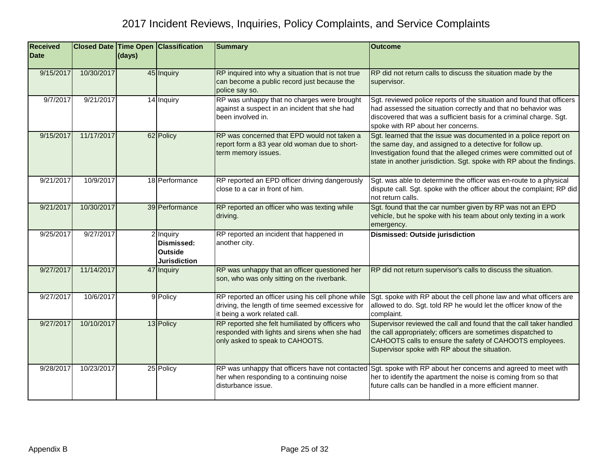| <b>Received</b><br><b>Date</b> |            | (days) | <b>Closed Date Time Open Classification</b>                      | <b>Summary</b>                                                                                                                         | <b>Outcome</b>                                                                                                                                                                                                                                                             |
|--------------------------------|------------|--------|------------------------------------------------------------------|----------------------------------------------------------------------------------------------------------------------------------------|----------------------------------------------------------------------------------------------------------------------------------------------------------------------------------------------------------------------------------------------------------------------------|
| 9/15/2017                      | 10/30/2017 |        | 45 Inquiry                                                       | RP inquired into why a situation that is not true<br>can become a public record just because the<br>police say so.                     | RP did not return calls to discuss the situation made by the<br>supervisor.                                                                                                                                                                                                |
| 9/7/2017                       | 9/21/2017  |        | 14 Inquiry                                                       | RP was unhappy that no charges were brought<br>against a suspect in an incident that she had<br>been involved in.                      | Sgt. reviewed police reports of the situation and found that officers<br>had assessed the situation correctly and that no behavior was<br>discovered that was a sufficient basis for a criminal charge. Sgt.<br>spoke with RP about her concerns.                          |
| 9/15/2017                      | 11/17/2017 |        | 62 Policy                                                        | RP was concerned that EPD would not taken a<br>report form a 83 year old woman due to short-<br>term memory issues.                    | Sgt. learned that the issue was documented in a police report on<br>the same day, and assigned to a detective for follow up.<br>Investigation found that the alleged crimes were committed out of<br>state in another jurisdiction. Sgt. spoke with RP about the findings. |
| 9/21/2017                      | 10/9/2017  |        | 18 Performance                                                   | RP reported an EPD officer driving dangerously<br>close to a car in front of him.                                                      | Sgt. was able to determine the officer was en-route to a physical<br>dispute call. Sgt. spoke with the officer about the complaint; RP did<br>not return calls.                                                                                                            |
| 9/21/2017                      | 10/30/2017 |        | 39 Performance                                                   | RP reported an officer who was texting while<br>driving.                                                                               | Sgt. found that the car number given by RP was not an EPD<br>vehicle, but he spoke with his team about only texting in a work<br>emergency.                                                                                                                                |
| 9/25/2017                      | 9/27/2017  |        | 2 Inquiry<br>Dismissed:<br><b>Outside</b><br><b>Jurisdiction</b> | RP reported an incident that happened in<br>another city.                                                                              | <b>Dismissed: Outside jurisdiction</b>                                                                                                                                                                                                                                     |
| 9/27/2017                      | 11/14/2017 |        | 47 Inquiry                                                       | RP was unhappy that an officer questioned her<br>son, who was only sitting on the riverbank.                                           | RP did not return supervisor's calls to discuss the situation.                                                                                                                                                                                                             |
| 9/27/2017                      | 10/6/2017  |        | 9 Policy                                                         | RP reported an officer using his cell phone while<br>driving, the length of time seemed excessive for<br>it being a work related call. | Sgt. spoke with RP about the cell phone law and what officers are<br>allowed to do. Sgt. told RP he would let the officer know of the<br>complaint.                                                                                                                        |
| 9/27/2017                      | 10/10/2017 |        | 13 Policy                                                        | RP reported she felt humiliated by officers who<br>responded with lights and sirens when she had<br>only asked to speak to CAHOOTS.    | Supervisor reviewed the call and found that the call taker handled<br>the call appropriately; officers are sometimes dispatched to<br>CAHOOTS calls to ensure the safety of CAHOOTS employees.<br>Supervisor spoke with RP about the situation.                            |
| 9/28/2017                      | 10/23/2017 |        | 25 Policy                                                        | RP was unhappy that officers have not contacted<br>her when responding to a continuing noise<br>disturbance issue.                     | Sgt. spoke with RP about her concerns and agreed to meet with<br>her to identify the apartment the noise is coming from so that<br>future calls can be handled in a more efficient manner.                                                                                 |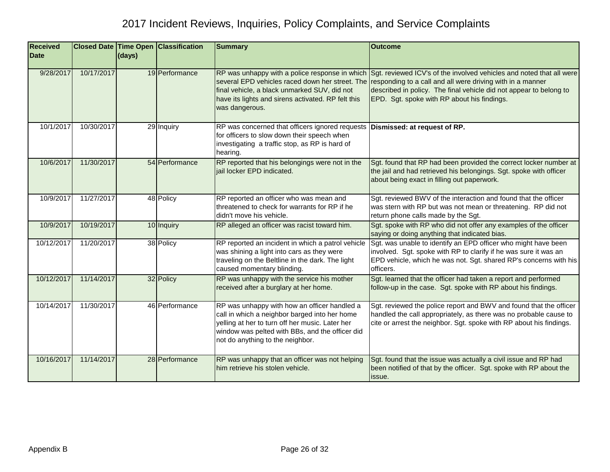| <b>Received</b><br><b>Date</b> |            | (days) | <b>Closed Date Time Open Classification</b> | <b>Summary</b>                                                                                                                                                                                                                          | <b>Outcome</b>                                                                                                                                                                                                                                          |
|--------------------------------|------------|--------|---------------------------------------------|-----------------------------------------------------------------------------------------------------------------------------------------------------------------------------------------------------------------------------------------|---------------------------------------------------------------------------------------------------------------------------------------------------------------------------------------------------------------------------------------------------------|
|                                |            |        |                                             |                                                                                                                                                                                                                                         |                                                                                                                                                                                                                                                         |
| 9/28/2017                      | 10/17/2017 |        | 19 Performance                              | RP was unhappy with a police response in which<br>several EPD vehicles raced down her street. The<br>final vehicle, a black unmarked SUV, did not<br>have its lights and sirens activated. RP felt this<br>was dangerous.               | Sgt. reviewed ICV's of the involved vehicles and noted that all were<br>responding to a call and all were driving with in a manner<br>described in policy. The final vehicle did not appear to belong to<br>EPD. Sgt. spoke with RP about his findings. |
| 10/1/2017                      | 10/30/2017 |        | 29 Inquiry                                  | RP was concerned that officers ignored requests<br>for officers to slow down their speech when<br>investigating a traffic stop, as RP is hard of<br>hearing.                                                                            | Dismissed: at request of RP.                                                                                                                                                                                                                            |
| 10/6/2017                      | 11/30/2017 |        | 54 Performance                              | RP reported that his belongings were not in the<br>jail locker EPD indicated.                                                                                                                                                           | Sgt. found that RP had been provided the correct locker number at<br>the jail and had retrieved his belongings. Sgt. spoke with officer<br>about being exact in filling out paperwork.                                                                  |
| 10/9/2017                      | 11/27/2017 |        | 48 Policy                                   | RP reported an officer who was mean and<br>threatened to check for warrants for RP if he<br>didn't move his vehicle.                                                                                                                    | Sgt. reviewed BWV of the interaction and found that the officer<br>was stern with RP but was not mean or threatening. RP did not<br>return phone calls made by the Sgt.                                                                                 |
| 10/9/2017                      | 10/19/2017 |        | 10 Inquiry                                  | RP alleged an officer was racist toward him.                                                                                                                                                                                            | Sgt. spoke with RP who did not offer any examples of the officer<br>saying or doing anything that indicated bias.                                                                                                                                       |
| 10/12/2017                     | 11/20/2017 |        | 38 Policy                                   | RP reported an incident in which a patrol vehicle<br>was shining a light into cars as they were<br>traveling on the Beltline in the dark. The light<br>caused momentary blinding.                                                       | Sgt. was unable to identify an EPD officer who might have been<br>involved. Sgt. spoke with RP to clarify if he was sure it was an<br>EPD vehicle, which he was not. Sgt. shared RP's concerns with his<br>officers.                                    |
| 10/12/2017                     | 11/14/2017 |        | 32 Policy                                   | RP was unhappy with the service his mother<br>received after a burglary at her home.                                                                                                                                                    | Sgt. learned that the officer had taken a report and performed<br>follow-up in the case. Sgt. spoke with RP about his findings.                                                                                                                         |
| 10/14/2017                     | 11/30/2017 |        | 46 Performance                              | RP was unhappy with how an officer handled a<br>call in which a neighbor barged into her home<br>yelling at her to turn off her music. Later her<br>window was pelted with BBs, and the officer did<br>not do anything to the neighbor. | Sgt. reviewed the police report and BWV and found that the officer<br>handled the call appropriately, as there was no probable cause to<br>cite or arrest the neighbor. Sgt. spoke with RP about his findings.                                          |
| 10/16/2017                     | 11/14/2017 |        | 28 Performance                              | RP was unhappy that an officer was not helping<br>him retrieve his stolen vehicle.                                                                                                                                                      | Sgt. found that the issue was actually a civil issue and RP had<br>been notified of that by the officer. Sgt. spoke with RP about the<br>issue.                                                                                                         |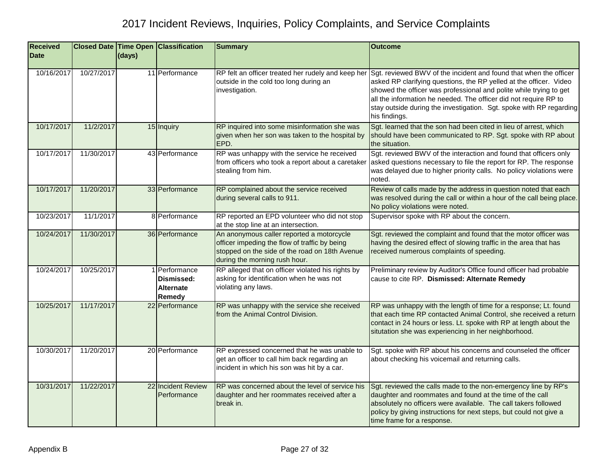| <b>Received</b><br><b>Date</b> |            | (days) | <b>Closed Date Time Open Classification</b>               | <b>Summary</b>                                                                                                                                                                | <b>Outcome</b>                                                                                                                                                                                                                                                                                                                                                            |
|--------------------------------|------------|--------|-----------------------------------------------------------|-------------------------------------------------------------------------------------------------------------------------------------------------------------------------------|---------------------------------------------------------------------------------------------------------------------------------------------------------------------------------------------------------------------------------------------------------------------------------------------------------------------------------------------------------------------------|
|                                |            |        |                                                           |                                                                                                                                                                               |                                                                                                                                                                                                                                                                                                                                                                           |
| 10/16/2017                     | 10/27/2017 |        | 11 Performance                                            | RP felt an officer treated her rudely and keep her<br>outside in the cold too long during an<br>investigation.                                                                | Sgt. reviewed BWV of the incident and found that when the officer<br>asked RP clarifying questions, the RP yelled at the officer. Video<br>showed the officer was professional and polite while trying to get<br>all the information he needed. The officer did not require RP to<br>stay outside during the investigation. Sgt. spoke with RP regarding<br>his findings. |
| 10/17/2017                     | 11/2/2017  |        | 15 Inquiry                                                | RP inquired into some misinformation she was<br>given when her son was taken to the hospital by<br>EPD.                                                                       | Sgt. learned that the son had been cited in lieu of arrest, which<br>should have been communicated to RP. Sgt. spoke with RP about<br>the situation.                                                                                                                                                                                                                      |
| 10/17/2017                     | 11/30/2017 |        | 43 Performance                                            | RP was unhappy with the service he received<br>from officers who took a report about a caretaker<br>stealing from him.                                                        | Sgt. reviewed BWV of the interaction and found that officers only<br>asked questions necessary to file the report for RP. The response<br>was delayed due to higher priority calls. No policy violations were<br>noted.                                                                                                                                                   |
| 10/17/2017                     | 11/20/2017 |        | 33 Performance                                            | RP complained about the service received<br>during several calls to 911.                                                                                                      | Review of calls made by the address in question noted that each<br>was resolved during the call or within a hour of the call being place.<br>No policy violations were noted.                                                                                                                                                                                             |
| 10/23/2017                     | 11/1/2017  |        | 8 Performance                                             | RP reported an EPD volunteer who did not stop<br>at the stop line at an intersection.                                                                                         | Supervisor spoke with RP about the concern.                                                                                                                                                                                                                                                                                                                               |
| 10/24/2017                     | 11/30/2017 |        | 36 Performance                                            | An anonymous caller reported a motorcycle<br>officer impeding the flow of traffic by being<br>stopped on the side of the road on 18th Avenue<br>during the morning rush hour. | Sgt. reviewed the complaint and found that the motor officer was<br>having the desired effect of slowing traffic in the area that has<br>received numerous complaints of speeding.                                                                                                                                                                                        |
| 10/24/2017                     | 10/25/2017 |        | 1 Performance<br>Dismissed:<br><b>Alternate</b><br>Remedy | RP alleged that on officer violated his rights by<br>asking for identification when he was not<br>violating any laws.                                                         | Preliminary review by Auditor's Office found officer had probable<br>cause to cite RP. Dismissed: Alternate Remedy                                                                                                                                                                                                                                                        |
| 10/25/2017                     | 11/17/2017 |        | 22 Performance                                            | RP was unhappy with the service she received<br>from the Animal Control Division.                                                                                             | RP was unhappy with the length of time for a response; Lt. found<br>that each time RP contacted Animal Control, she received a return<br>contact in 24 hours or less. Lt. spoke with RP at length about the<br>situtation she was experiencing in her neighborhood.                                                                                                       |
| 10/30/2017                     | 11/20/2017 |        | 20 Performance                                            | RP expressed concerned that he was unable to<br>get an officer to call him back regarding an<br>incident in which his son was hit by a car.                                   | Sgt. spoke with RP about his concerns and counseled the officer<br>about checking his voicemail and returning calls.                                                                                                                                                                                                                                                      |
| 10/31/2017                     | 11/22/2017 |        | 22 Incident Review<br>Performance                         | RP was concerned about the level of service his<br>daughter and her roommates received after a<br>break in.                                                                   | Sgt. reviewed the calls made to the non-emergency line by RP's<br>daughter and roommates and found at the time of the call<br>absolutely no officers were available. The call takers followed<br>policy by giving instructions for next steps, but could not give a<br>time frame for a response.                                                                         |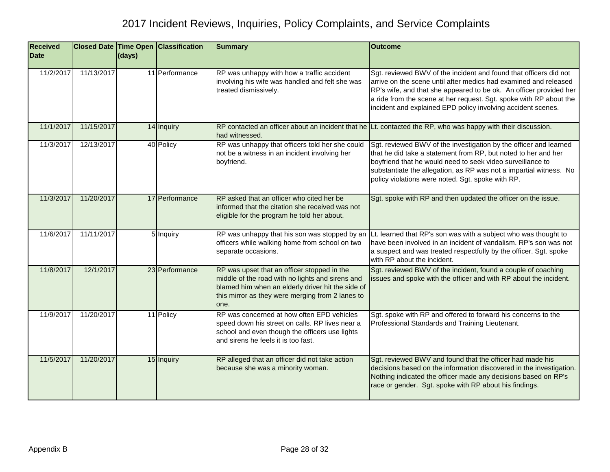| <b>Received</b><br><b>Date</b> |            | (days) | Closed Date Time Open Classification | <b>Summary</b>                                                                                                                                                                                                   | <b>Outcome</b>                                                                                                                                                                                                                                                                                                                                    |
|--------------------------------|------------|--------|--------------------------------------|------------------------------------------------------------------------------------------------------------------------------------------------------------------------------------------------------------------|---------------------------------------------------------------------------------------------------------------------------------------------------------------------------------------------------------------------------------------------------------------------------------------------------------------------------------------------------|
| 11/2/2017                      | 11/13/2017 |        | 11 Performance                       | RP was unhappy with how a traffic accident<br>involving his wife was handled and felt she was<br>treated dismissively.                                                                                           | Sgt. reviewed BWV of the incident and found that officers did not<br>arrive on the scene until after medics had examined and released<br>RP's wife, and that she appeared to be ok. An officer provided her<br>a ride from the scene at her request. Sgt. spoke with RP about the<br>incident and explained EPD policy involving accident scenes. |
| 11/1/2017                      | 11/15/2017 |        | 14 Inquiry                           | had witnessed.                                                                                                                                                                                                   | RP contacted an officer about an incident that he Lt. contacted the RP, who was happy with their discussion.                                                                                                                                                                                                                                      |
| 11/3/2017                      | 12/13/2017 |        | 40 Policy                            | RP was unhappy that officers told her she could<br>not be a witness in an incident involving her<br>boyfriend.                                                                                                   | Sgt. reviewed BWV of the investigation by the officer and learned<br>that he did take a statement from RP, but noted to her and her<br>boyfriend that he would need to seek video surveillance to<br>substantiate the allegation, as RP was not a impartial witness. No<br>policy violations were noted. Sgt. spoke with RP.                      |
| 11/3/2017                      | 11/20/2017 |        | 17 Performance                       | RP asked that an officer who cited her be<br>informed that the citation she received was not<br>eligible for the program he told her about.                                                                      | Sgt. spoke with RP and then updated the officer on the issue.                                                                                                                                                                                                                                                                                     |
| 11/6/2017                      | 11/11/2017 |        | 5 Inquiry                            | RP was unhappy that his son was stopped by an<br>officers while walking home from school on two<br>separate occasions.                                                                                           | Lt. learned that RP's son was with a subject who was thought to<br>have been involved in an incident of vandalism. RP's son was not<br>a suspect and was treated respectfully by the officer. Sgt. spoke<br>with RP about the incident.                                                                                                           |
| 11/8/2017                      | 12/1/2017  |        | 23 Performance                       | RP was upset that an officer stopped in the<br>middle of the road with no lights and sirens and<br>blamed him when an elderly driver hit the side of<br>this mirror as they were merging from 2 lanes to<br>one. | Sgt. reviewed BWV of the incident, found a couple of coaching<br>issues and spoke with the officer and with RP about the incident.                                                                                                                                                                                                                |
| 11/9/2017                      | 11/20/2017 |        | 11 Policy                            | RP was concerned at how often EPD vehicles<br>speed down his street on calls. RP lives near a<br>school and even though the officers use lights<br>and sirens he feels it is too fast.                           | Sgt. spoke with RP and offered to forward his concerns to the<br>Professional Standards and Training Lieutenant.                                                                                                                                                                                                                                  |
| 11/5/2017                      | 11/20/2017 |        | 15 Inquiry                           | RP alleged that an officer did not take action<br>because she was a minority woman.                                                                                                                              | Sgt. reviewed BWV and found that the officer had made his<br>decisions based on the information discovered in the investigation.<br>Nothing indicated the officer made any decisions based on RP's<br>race or gender. Sgt. spoke with RP about his findings.                                                                                      |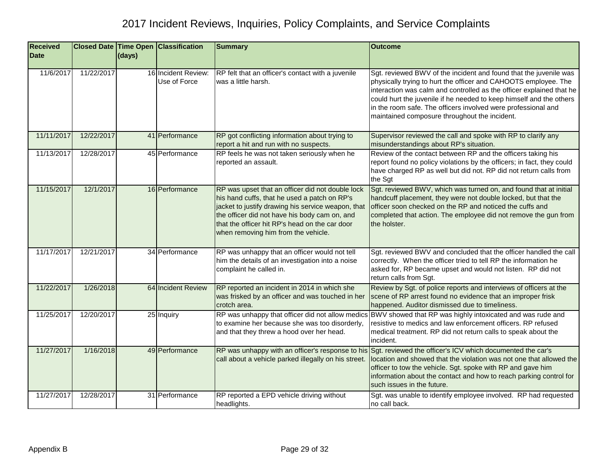| <b>Received</b> |            |        | <b>Closed Date Time Open Classification</b> | <b>Summary</b>                                                                                                                                                                                                                                                                                   | <b>Outcome</b>                                                                                                                                                                                                                                                                                                                                                                                        |
|-----------------|------------|--------|---------------------------------------------|--------------------------------------------------------------------------------------------------------------------------------------------------------------------------------------------------------------------------------------------------------------------------------------------------|-------------------------------------------------------------------------------------------------------------------------------------------------------------------------------------------------------------------------------------------------------------------------------------------------------------------------------------------------------------------------------------------------------|
| <b>Date</b>     |            | (days) |                                             |                                                                                                                                                                                                                                                                                                  |                                                                                                                                                                                                                                                                                                                                                                                                       |
| 11/6/2017       | 11/22/2017 |        | 16 Incident Review:<br>Use of Force         | RP felt that an officer's contact with a juvenile<br>was a little harsh.                                                                                                                                                                                                                         | Sgt. reviewed BWV of the incident and found that the juvenile was<br>physically trying to hurt the officer and CAHOOTS employee. The<br>interaction was calm and controlled as the officer explained that he<br>could hurt the juvenile if he needed to keep himself and the others<br>in the room safe. The officers involved were professional and<br>maintained composure throughout the incident. |
| 11/11/2017      | 12/22/2017 |        | 41 Performance                              | RP got conflicting information about trying to<br>report a hit and run with no suspects.                                                                                                                                                                                                         | Supervisor reviewed the call and spoke with RP to clarify any<br>misunderstandings about RP's situation.                                                                                                                                                                                                                                                                                              |
| 11/13/2017      | 12/28/2017 |        | 45 Performance                              | RP feels he was not taken seriously when he<br>reported an assault.                                                                                                                                                                                                                              | Review of the contact between RP and the officers taking his<br>report found no policy violations by the officers; in fact, they could<br>have charged RP as well but did not. RP did not return calls from<br>the Sgt                                                                                                                                                                                |
| 11/15/2017      | 12/1/2017  |        | 16 Performance                              | RP was upset that an officer did not double lock<br>his hand cuffs, that he used a patch on RP's<br>jacket to justify drawing his service weapon, that<br>the officer did not have his body cam on, and<br>that the officer hit RP's head on the car door<br>when removing him from the vehicle. | Sgt. reviewed BWV, which was turned on, and found that at initial<br>handcuff placement, they were not double locked, but that the<br>officer soon checked on the RP and noticed the cuffs and<br>completed that action. The employee did not remove the gun from<br>the holster.                                                                                                                     |
| 11/17/2017      | 12/21/2017 |        | 34 Performance                              | RP was unhappy that an officer would not tell<br>him the details of an investigation into a noise<br>complaint he called in.                                                                                                                                                                     | Sgt. reviewed BWV and concluded that the officer handled the call<br>correctly. When the officer tried to tell RP the information he<br>asked for, RP became upset and would not listen. RP did not<br>return calls from Sgt.                                                                                                                                                                         |
| 11/22/2017      | 1/26/2018  |        | 64 Incident Review                          | RP reported an incident in 2014 in which she<br>was frisked by an officer and was touched in her<br>crotch area.                                                                                                                                                                                 | Review by Sgt. of police reports and interviews of officers at the<br>scene of RP arrest found no evidence that an improper frisk<br>happened. Auditor dismissed due to timeliness.                                                                                                                                                                                                                   |
| 11/25/2017      | 12/20/2017 |        | 25 Inquiry                                  | RP was unhappy that officer did not allow medics<br>to examine her because she was too disorderly,<br>and that they threw a hood over her head.                                                                                                                                                  | BWV showed that RP was highly intoxicated and was rude and<br>resistive to medics and law enforcement officers. RP refused<br>medical treatment. RP did not return calls to speak about the<br>incident.                                                                                                                                                                                              |
| 11/27/2017      | 1/16/2018  |        | 49 Performance                              | call about a vehicle parked illegally on his street.                                                                                                                                                                                                                                             | RP was unhappy with an officer's response to his Sgt. reviewed the officer's ICV which documented the car's<br>location and showed that the violation was not one that allowed the<br>officer to tow the vehicle. Sgt. spoke with RP and gave him<br>information about the contact and how to reach parking control for<br>such issues in the future.                                                 |
| 11/27/2017      | 12/28/2017 |        | 31 Performance                              | RP reported a EPD vehicle driving without<br>headlights.                                                                                                                                                                                                                                         | Sgt. was unable to identify employee involved. RP had requested<br>no call back.                                                                                                                                                                                                                                                                                                                      |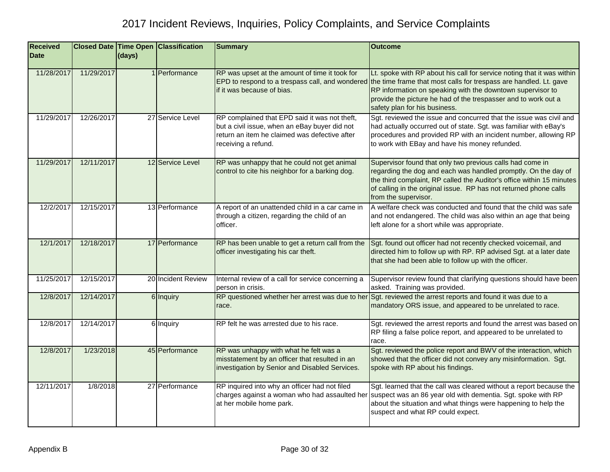| <b>Received</b> |            |        | <b>Closed Date Time Open Classification</b> | <b>Summary</b>                                                                                                                                                         | <b>Outcome</b>                                                                                                                                                                                                                                                                                                                                               |
|-----------------|------------|--------|---------------------------------------------|------------------------------------------------------------------------------------------------------------------------------------------------------------------------|--------------------------------------------------------------------------------------------------------------------------------------------------------------------------------------------------------------------------------------------------------------------------------------------------------------------------------------------------------------|
| <b>Date</b>     |            | (days) |                                             |                                                                                                                                                                        |                                                                                                                                                                                                                                                                                                                                                              |
| 11/28/2017      | 11/29/2017 |        | 1 <b>Performance</b>                        | RP was upset at the amount of time it took for<br>if it was because of bias.                                                                                           | Lt. spoke with RP about his call for service noting that it was within<br>EPD to respond to a trespass call, and wondered the time frame that most calls for trespass are handled. Lt. gave<br>RP information on speaking with the downtown supervisor to<br>provide the picture he had of the trespasser and to work out a<br>safety plan for his business. |
| 11/29/2017      | 12/26/2017 |        | 27 Service Level                            | RP complained that EPD said it was not theft,<br>but a civil issue, when an eBay buyer did not<br>return an item he claimed was defective after<br>receiving a refund. | Sgt. reviewed the issue and concurred that the issue was civil and<br>had actually occurred out of state. Sgt. was familiar with eBay's<br>procedures and provided RP with an incident number, allowing RP<br>to work with EBay and have his money refunded.                                                                                                 |
| 11/29/2017      | 12/11/2017 |        | 12 Service Level                            | RP was unhappy that he could not get animal<br>control to cite his neighbor for a barking dog.                                                                         | Supervisor found that only two previous calls had come in<br>regarding the dog and each was handled promptly. On the day of<br>the third complaint, RP called the Auditor's office within 15 minutes<br>of calling in the original issue. RP has not returned phone calls<br>from the supervisor.                                                            |
| 12/2/2017       | 12/15/2017 |        | 13 Performance                              | A report of an unattended child in a car came in<br>through a citizen, regarding the child of an<br>officer.                                                           | A welfare check was conducted and found that the child was safe<br>and not endangered. The child was also within an age that being<br>left alone for a short while was appropriate.                                                                                                                                                                          |
| 12/1/2017       | 12/18/2017 |        | 17 Performance                              | RP has been unable to get a return call from the<br>officer investigating his car theft.                                                                               | Sgt. found out officer had not recently checked voicemail, and<br>directed him to follow up with RP. RP advised Sgt. at a later date<br>that she had been able to follow up with the officer.                                                                                                                                                                |
| 11/25/2017      | 12/15/2017 |        | 20 Incident Review                          | Internal review of a call for service concerning a<br>person in crisis.                                                                                                | Supervisor review found that clarifying questions should have been<br>asked. Training was provided.                                                                                                                                                                                                                                                          |
| 12/8/2017       | 12/14/2017 |        | 6 Inquiry                                   | RP questioned whether her arrest was due to her<br>race.                                                                                                               | Sgt. reviewed the arrest reports and found it was due to a<br>mandatory ORS issue, and appeared to be unrelated to race.                                                                                                                                                                                                                                     |
| 12/8/2017       | 12/14/2017 |        | 6 Inquiry                                   | RP felt he was arrested due to his race.                                                                                                                               | Sgt. reviewed the arrest reports and found the arrest was based on<br>RP filing a false police report, and appeared to be unrelated to<br>race.                                                                                                                                                                                                              |
| 12/8/2017       | 1/23/2018  |        | 45 Performance                              | RP was unhappy with what he felt was a<br>misstatement by an officer that resulted in an<br>investigation by Senior and Disabled Services.                             | Sgt. reviewed the police report and BWV of the interaction, which<br>showed that the officer did not convey any misinformation. Sgt.<br>spoke with RP about his findings.                                                                                                                                                                                    |
| 12/11/2017      | 1/8/2018   |        | 27 Performance                              | RP inquired into why an officer had not filed<br>charges against a woman who had assaulted her<br>at her mobile home park.                                             | Sgt. learned that the call was cleared without a report because the<br>suspect was an 86 year old with dementia. Sgt. spoke with RP<br>about the situation and what things were happening to help the<br>suspect and what RP could expect.                                                                                                                   |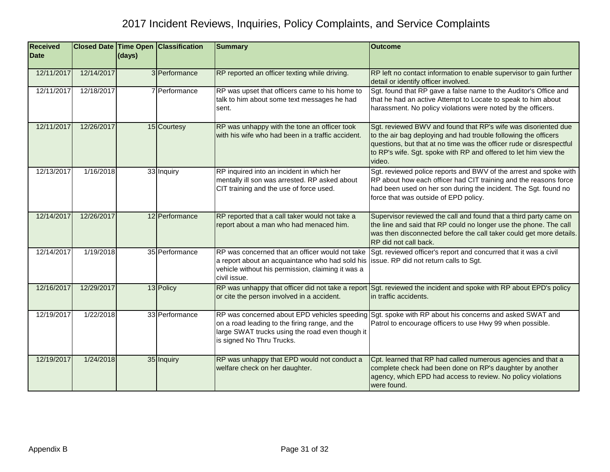| <b>Received</b><br><b>Date</b> |            | (days) | <b>Closed Date Time Open Classification</b> | <b>Summary</b>                                                                                                                                                          | <b>Outcome</b>                                                                                                                                                                                                                                                                          |
|--------------------------------|------------|--------|---------------------------------------------|-------------------------------------------------------------------------------------------------------------------------------------------------------------------------|-----------------------------------------------------------------------------------------------------------------------------------------------------------------------------------------------------------------------------------------------------------------------------------------|
| 12/11/2017                     | 12/14/2017 |        | 3 Performance                               | RP reported an officer texting while driving.                                                                                                                           | RP left no contact information to enable supervisor to gain further<br>detail or identify officer involved.                                                                                                                                                                             |
| 12/11/2017                     | 12/18/2017 |        | 7 Performance                               | RP was upset that officers came to his home to<br>talk to him about some text messages he had<br>sent.                                                                  | Sgt. found that RP gave a false name to the Auditor's Office and<br>that he had an active Attempt to Locate to speak to him about<br>harassment. No policy violations were noted by the officers.                                                                                       |
| 12/11/2017                     | 12/26/2017 |        | 15 Courtesy                                 | RP was unhappy with the tone an officer took<br>with his wife who had been in a traffic accident.                                                                       | Sgt. reviewed BWV and found that RP's wife was disoriented due<br>to the air bag deploying and had trouble following the officers<br>questions, but that at no time was the officer rude or disrespectful<br>to RP's wife. Sgt. spoke with RP and offered to let him view the<br>video. |
| 12/13/2017                     | 1/16/2018  |        | 33 Inquiry                                  | RP inquired into an incident in which her<br>mentally ill son was arrested. RP asked about<br>CIT training and the use of force used.                                   | Sgt. reviewed police reports and BWV of the arrest and spoke with<br>RP about how each officer had CIT training and the reasons force<br>had been used on her son during the incident. The Sgt. found no<br>force that was outside of EPD policy.                                       |
| 12/14/2017                     | 12/26/2017 |        | 12 Performance                              | RP reported that a call taker would not take a<br>report about a man who had menaced him.                                                                               | Supervisor reviewed the call and found that a third party came on<br>the line and said that RP could no longer use the phone. The call<br>was then disconnected before the call taker could get more details.<br>RP did not call back.                                                  |
| 12/14/2017                     | 1/19/2018  |        | 35 Performance                              | RP was concerned that an officer would not take<br>a report about an acquaintance who had sold his<br>vehicle without his permission, claiming it was a<br>civil issue. | Sgt. reviewed officer's report and concurred that it was a civil<br>issue. RP did not return calls to Sgt.                                                                                                                                                                              |
| 12/16/2017                     | 12/29/2017 |        | 13 Policy                                   | RP was unhappy that officer did not take a report<br>or cite the person involved in a accident.                                                                         | Sgt. reviewed the incident and spoke with RP about EPD's policy<br>in traffic accidents.                                                                                                                                                                                                |
| 12/19/2017                     | 1/22/2018  |        | 33 Performance                              | on a road leading to the firing range, and the<br>large SWAT trucks using the road even though it<br>is signed No Thru Trucks.                                          | RP was concerned about EPD vehicles speeding Sgt. spoke with RP about his concerns and asked SWAT and<br>Patrol to encourage officers to use Hwy 99 when possible.                                                                                                                      |
| 12/19/2017                     | 1/24/2018  |        | 35 Inquiry                                  | RP was unhappy that EPD would not conduct a<br>welfare check on her daughter.                                                                                           | Cpt. learned that RP had called numerous agencies and that a<br>complete check had been done on RP's daughter by another<br>agency, which EPD had access to review. No policy violations<br>were found.                                                                                 |